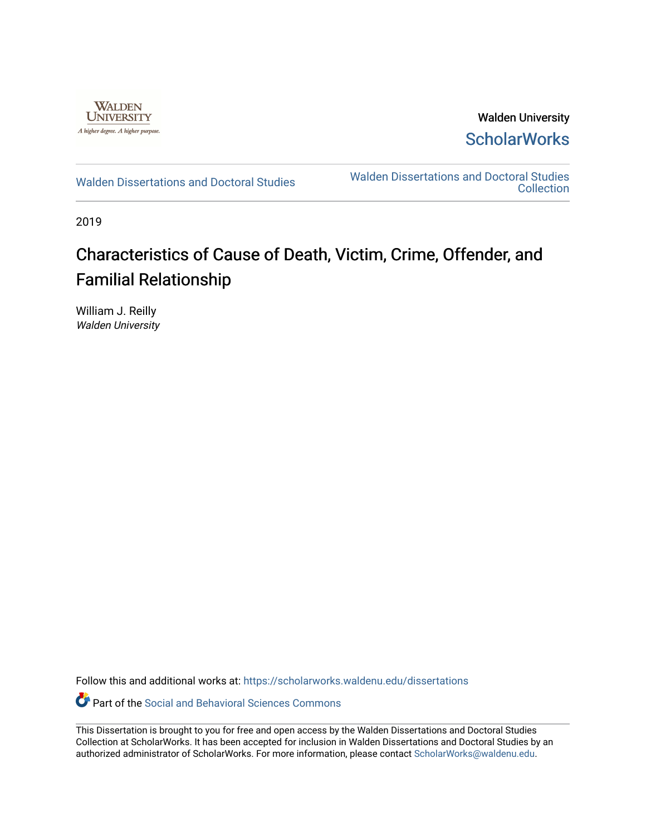

Walden University **ScholarWorks** 

[Walden Dissertations and Doctoral Studies](https://scholarworks.waldenu.edu/dissertations) Walden Dissertations and Doctoral Studies **Collection** 

2019

# Characteristics of Cause of Death, Victim, Crime, Offender, and Familial Relationship

William J. Reilly Walden University

Follow this and additional works at: [https://scholarworks.waldenu.edu/dissertations](https://scholarworks.waldenu.edu/dissertations?utm_source=scholarworks.waldenu.edu%2Fdissertations%2F7726&utm_medium=PDF&utm_campaign=PDFCoverPages)

Part of the [Social and Behavioral Sciences Commons](http://network.bepress.com/hgg/discipline/316?utm_source=scholarworks.waldenu.edu%2Fdissertations%2F7726&utm_medium=PDF&utm_campaign=PDFCoverPages) 

This Dissertation is brought to you for free and open access by the Walden Dissertations and Doctoral Studies Collection at ScholarWorks. It has been accepted for inclusion in Walden Dissertations and Doctoral Studies by an authorized administrator of ScholarWorks. For more information, please contact [ScholarWorks@waldenu.edu](mailto:ScholarWorks@waldenu.edu).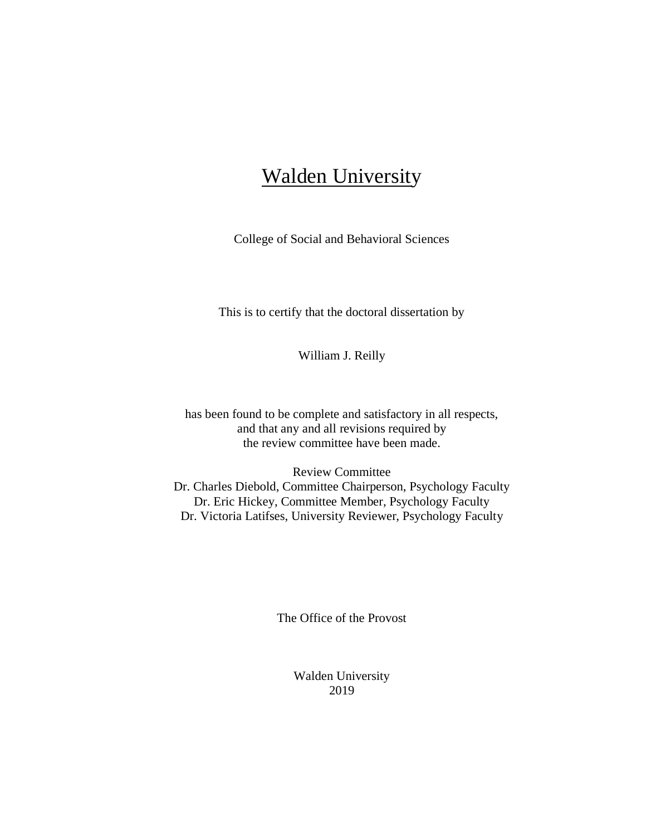# **Walden University**

College of Social and Behavioral Sciences

This is to certify that the doctoral dissertation by

William J. Reilly

has been found to be complete and satisfactory in all respects, and that any and all revisions required by the review committee have been made.

Review Committee Dr. Charles Diebold, Committee Chairperson, Psychology Faculty Dr. Eric Hickey, Committee Member, Psychology Faculty Dr. Victoria Latifses, University Reviewer, Psychology Faculty

The Office of the Provost

Walden University 2019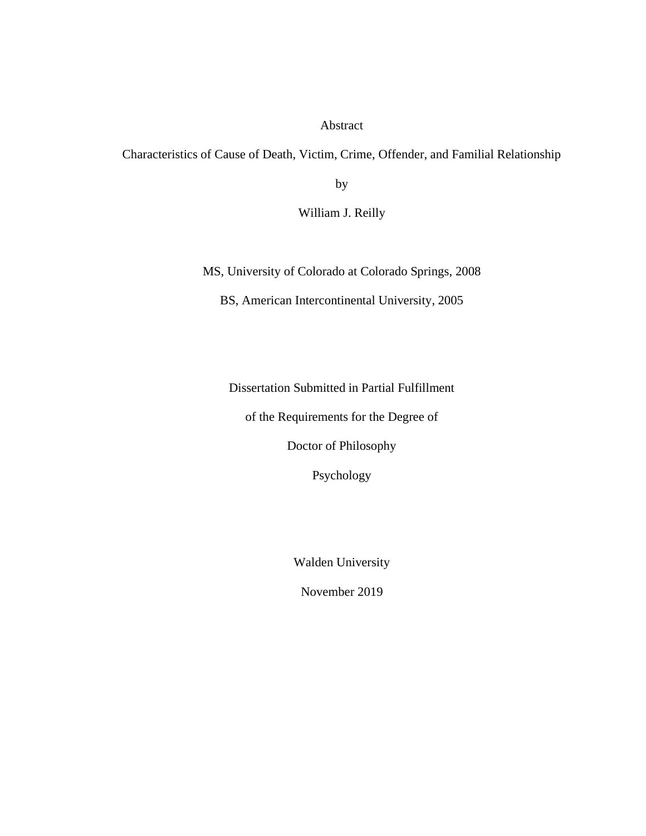Abstract

Characteristics of Cause of Death, Victim, Crime, Offender, and Familial Relationship

by

William J. Reilly

MS, University of Colorado at Colorado Springs, 2008

BS, American Intercontinental University, 2005

Dissertation Submitted in Partial Fulfillment

of the Requirements for the Degree of

Doctor of Philosophy

Psychology

Walden University

November 2019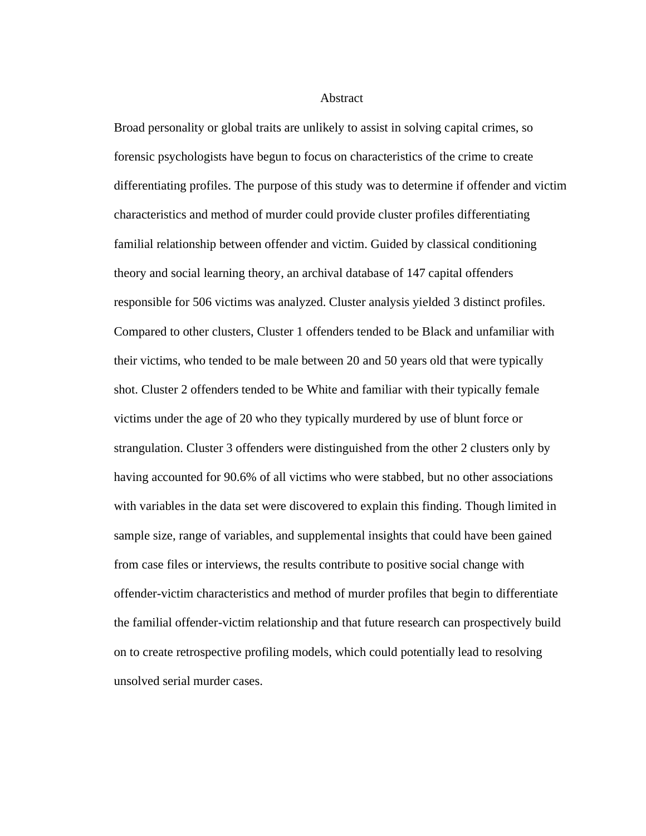Abstract

Broad personality or global traits are unlikely to assist in solving capital crimes, so forensic psychologists have begun to focus on characteristics of the crime to create differentiating profiles. The purpose of this study was to determine if offender and victim characteristics and method of murder could provide cluster profiles differentiating familial relationship between offender and victim. Guided by classical conditioning theory and social learning theory, an archival database of 147 capital offenders responsible for 506 victims was analyzed. Cluster analysis yielded 3 distinct profiles. Compared to other clusters, Cluster 1 offenders tended to be Black and unfamiliar with their victims, who tended to be male between 20 and 50 years old that were typically shot. Cluster 2 offenders tended to be White and familiar with their typically female victims under the age of 20 who they typically murdered by use of blunt force or strangulation. Cluster 3 offenders were distinguished from the other 2 clusters only by having accounted for 90.6% of all victims who were stabbed, but no other associations with variables in the data set were discovered to explain this finding. Though limited in sample size, range of variables, and supplemental insights that could have been gained from case files or interviews, the results contribute to positive social change with offender-victim characteristics and method of murder profiles that begin to differentiate the familial offender-victim relationship and that future research can prospectively build on to create retrospective profiling models, which could potentially lead to resolving unsolved serial murder cases.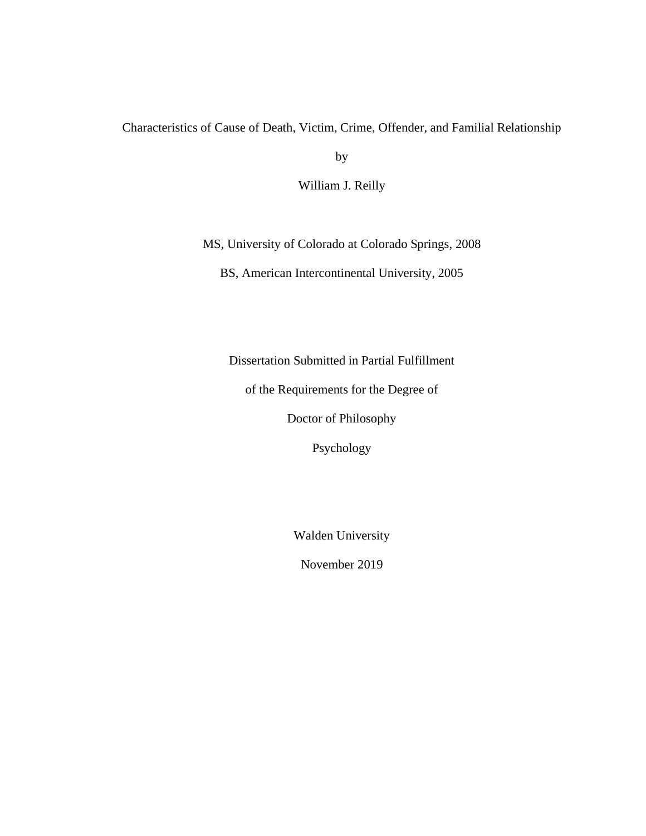# Characteristics of Cause of Death, Victim, Crime, Offender, and Familial Relationship

by

William J. Reilly

MS, University of Colorado at Colorado Springs, 2008

BS, American Intercontinental University, 2005

Dissertation Submitted in Partial Fulfillment

of the Requirements for the Degree of

Doctor of Philosophy

Psychology

Walden University

November 2019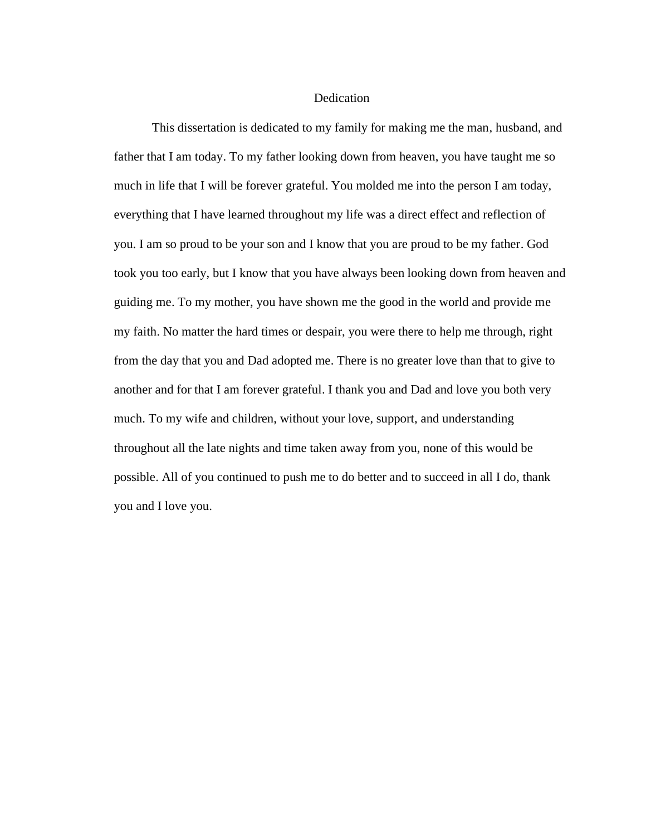#### **Dedication**

This dissertation is dedicated to my family for making me the man, husband, and father that I am today. To my father looking down from heaven, you have taught me so much in life that I will be forever grateful. You molded me into the person I am today, everything that I have learned throughout my life was a direct effect and reflection of you. I am so proud to be your son and I know that you are proud to be my father. God took you too early, but I know that you have always been looking down from heaven and guiding me. To my mother, you have shown me the good in the world and provide me my faith. No matter the hard times or despair, you were there to help me through, right from the day that you and Dad adopted me. There is no greater love than that to give to another and for that I am forever grateful. I thank you and Dad and love you both very much. To my wife and children, without your love, support, and understanding throughout all the late nights and time taken away from you, none of this would be possible. All of you continued to push me to do better and to succeed in all I do, thank you and I love you.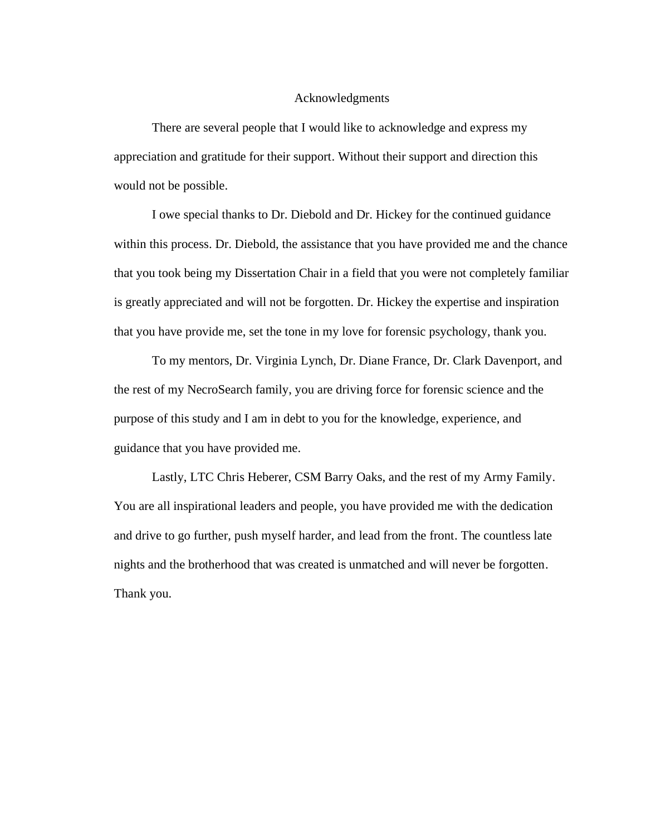## Acknowledgments

There are several people that I would like to acknowledge and express my appreciation and gratitude for their support. Without their support and direction this would not be possible.

I owe special thanks to Dr. Diebold and Dr. Hickey for the continued guidance within this process. Dr. Diebold, the assistance that you have provided me and the chance that you took being my Dissertation Chair in a field that you were not completely familiar is greatly appreciated and will not be forgotten. Dr. Hickey the expertise and inspiration that you have provide me, set the tone in my love for forensic psychology, thank you.

To my mentors, Dr. Virginia Lynch, Dr. Diane France, Dr. Clark Davenport, and the rest of my NecroSearch family, you are driving force for forensic science and the purpose of this study and I am in debt to you for the knowledge, experience, and guidance that you have provided me.

Lastly, LTC Chris Heberer, CSM Barry Oaks, and the rest of my Army Family. You are all inspirational leaders and people, you have provided me with the dedication and drive to go further, push myself harder, and lead from the front. The countless late nights and the brotherhood that was created is unmatched and will never be forgotten. Thank you.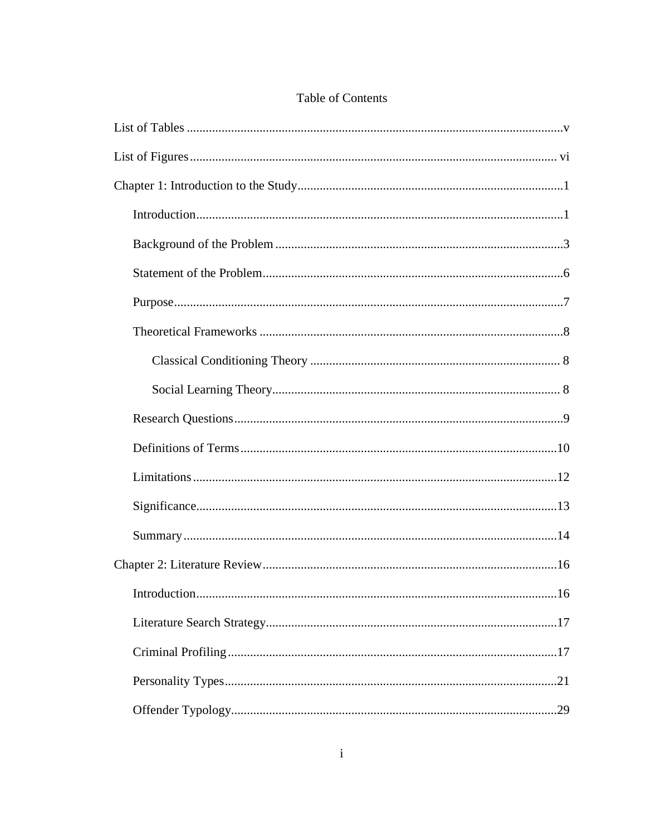# Table of Contents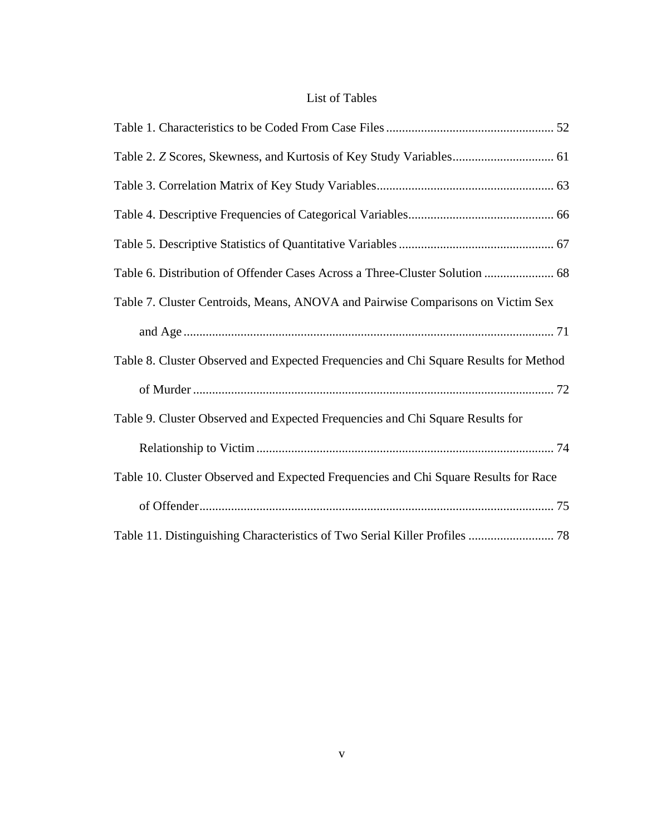# List of Tables

<span id="page-11-0"></span>

| Table 6. Distribution of Offender Cases Across a Three-Cluster Solution  68          |
|--------------------------------------------------------------------------------------|
| Table 7. Cluster Centroids, Means, ANOVA and Pairwise Comparisons on Victim Sex      |
|                                                                                      |
| Table 8. Cluster Observed and Expected Frequencies and Chi Square Results for Method |
|                                                                                      |
| Table 9. Cluster Observed and Expected Frequencies and Chi Square Results for        |
|                                                                                      |
| Table 10. Cluster Observed and Expected Frequencies and Chi Square Results for Race  |
|                                                                                      |
| Table 11. Distinguishing Characteristics of Two Serial Killer Profiles  78           |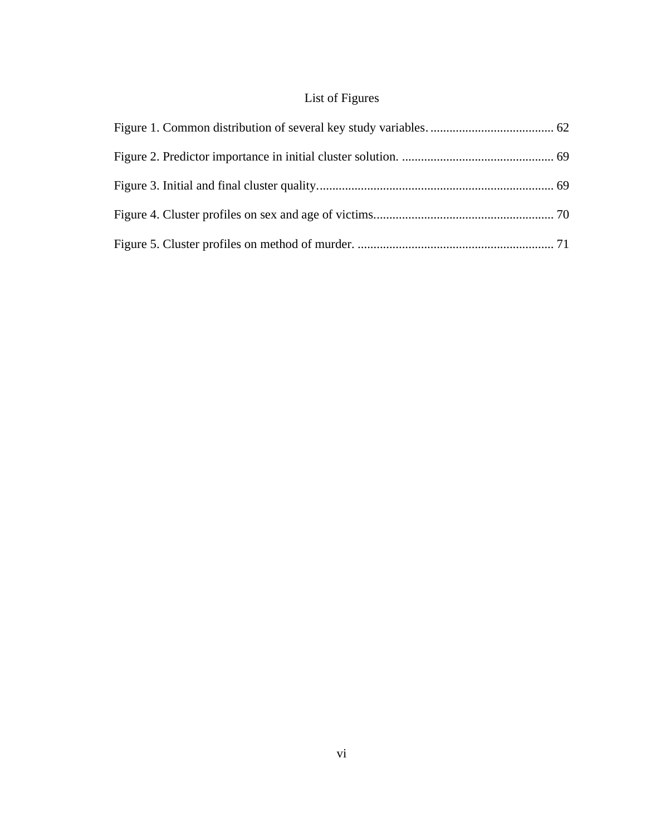# List of Figures

<span id="page-12-0"></span>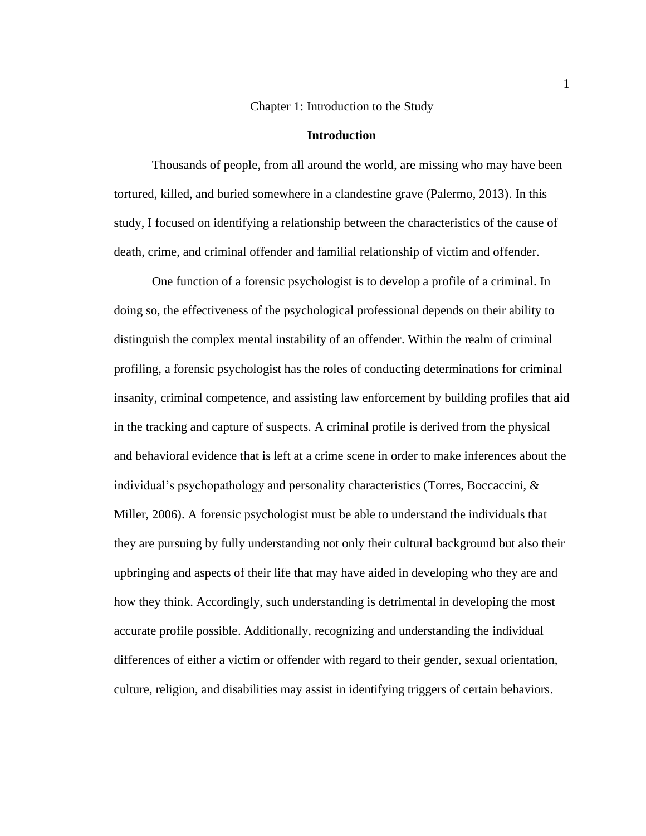Chapter 1: Introduction to the Study

#### **Introduction**

<span id="page-13-1"></span><span id="page-13-0"></span>Thousands of people, from all around the world, are missing who may have been tortured, killed, and buried somewhere in a clandestine grave (Palermo, 2013). In this study, I focused on identifying a relationship between the characteristics of the cause of death, crime, and criminal offender and familial relationship of victim and offender.

One function of a forensic psychologist is to develop a profile of a criminal. In doing so, the effectiveness of the psychological professional depends on their ability to distinguish the complex mental instability of an offender. Within the realm of criminal profiling, a forensic psychologist has the roles of conducting determinations for criminal insanity, criminal competence, and assisting law enforcement by building profiles that aid in the tracking and capture of suspects. A criminal profile is derived from the physical and behavioral evidence that is left at a crime scene in order to make inferences about the individual's psychopathology and personality characteristics (Torres, Boccaccini, & Miller, 2006). A forensic psychologist must be able to understand the individuals that they are pursuing by fully understanding not only their cultural background but also their upbringing and aspects of their life that may have aided in developing who they are and how they think. Accordingly, such understanding is detrimental in developing the most accurate profile possible. Additionally, recognizing and understanding the individual differences of either a victim or offender with regard to their gender, sexual orientation, culture, religion, and disabilities may assist in identifying triggers of certain behaviors.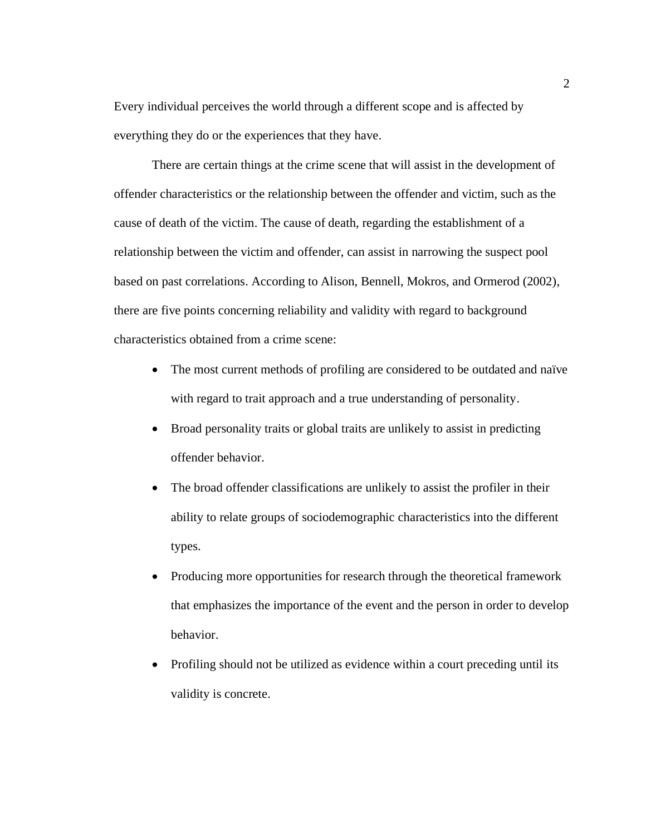Every individual perceives the world through a different scope and is affected by everything they do or the experiences that they have.

There are certain things at the crime scene that will assist in the development of offender characteristics or the relationship between the offender and victim, such as the cause of death of the victim. The cause of death, regarding the establishment of a relationship between the victim and offender, can assist in narrowing the suspect pool based on past correlations. According to Alison, Bennell, Mokros, and Ormerod (2002), there are five points concerning reliability and validity with regard to background characteristics obtained from a crime scene:

- The most current methods of profiling are considered to be outdated and naïve with regard to trait approach and a true understanding of personality.
- Broad personality traits or global traits are unlikely to assist in predicting offender behavior.
- The broad offender classifications are unlikely to assist the profiler in their ability to relate groups of sociodemographic characteristics into the different types.
- Producing more opportunities for research through the theoretical framework that emphasizes the importance of the event and the person in order to develop behavior.
- Profiling should not be utilized as evidence within a court preceding until its validity is concrete.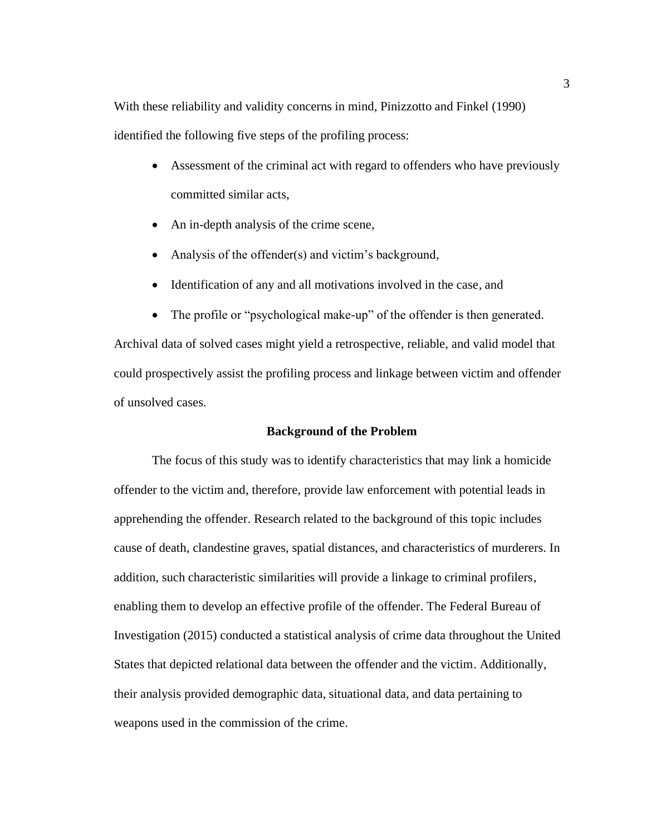With these reliability and validity concerns in mind, Pinizzotto and Finkel (1990) identified the following five steps of the profiling process:

- Assessment of the criminal act with regard to offenders who have previously committed similar acts,
- An in-depth analysis of the crime scene,
- Analysis of the offender(s) and victim's background,
- Identification of any and all motivations involved in the case, and
- The profile or "psychological make-up" of the offender is then generated.

Archival data of solved cases might yield a retrospective, reliable, and valid model that could prospectively assist the profiling process and linkage between victim and offender of unsolved cases.

## **Background of the Problem**

<span id="page-15-0"></span>The focus of this study was to identify characteristics that may link a homicide offender to the victim and, therefore, provide law enforcement with potential leads in apprehending the offender. Research related to the background of this topic includes cause of death, clandestine graves, spatial distances, and characteristics of murderers. In addition, such characteristic similarities will provide a linkage to criminal profilers, enabling them to develop an effective profile of the offender. The Federal Bureau of Investigation (2015) conducted a statistical analysis of crime data throughout the United States that depicted relational data between the offender and the victim. Additionally, their analysis provided demographic data, situational data, and data pertaining to weapons used in the commission of the crime.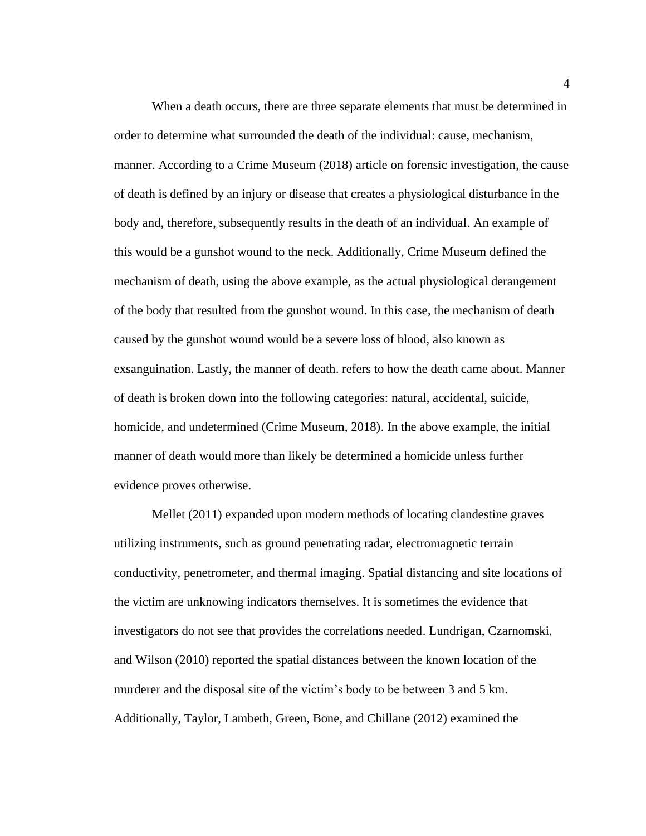When a death occurs, there are three separate elements that must be determined in order to determine what surrounded the death of the individual: cause, mechanism, manner. According to a Crime Museum (2018) article on forensic investigation, the cause of death is defined by an injury or disease that creates a physiological disturbance in the body and, therefore, subsequently results in the death of an individual. An example of this would be a gunshot wound to the neck. Additionally, Crime Museum defined the mechanism of death, using the above example, as the actual physiological derangement of the body that resulted from the gunshot wound. In this case, the mechanism of death caused by the gunshot wound would be a severe loss of blood, also known as exsanguination. Lastly, the manner of death. refers to how the death came about. Manner of death is broken down into the following categories: natural, accidental, suicide, homicide, and undetermined (Crime Museum, 2018). In the above example, the initial manner of death would more than likely be determined a homicide unless further evidence proves otherwise.

Mellet (2011) expanded upon modern methods of locating clandestine graves utilizing instruments, such as ground penetrating radar, electromagnetic terrain conductivity, penetrometer, and thermal imaging. Spatial distancing and site locations of the victim are unknowing indicators themselves. It is sometimes the evidence that investigators do not see that provides the correlations needed. Lundrigan, Czarnomski, and Wilson (2010) reported the spatial distances between the known location of the murderer and the disposal site of the victim's body to be between 3 and 5 km. Additionally, Taylor, Lambeth, Green, Bone, and Chillane (2012) examined the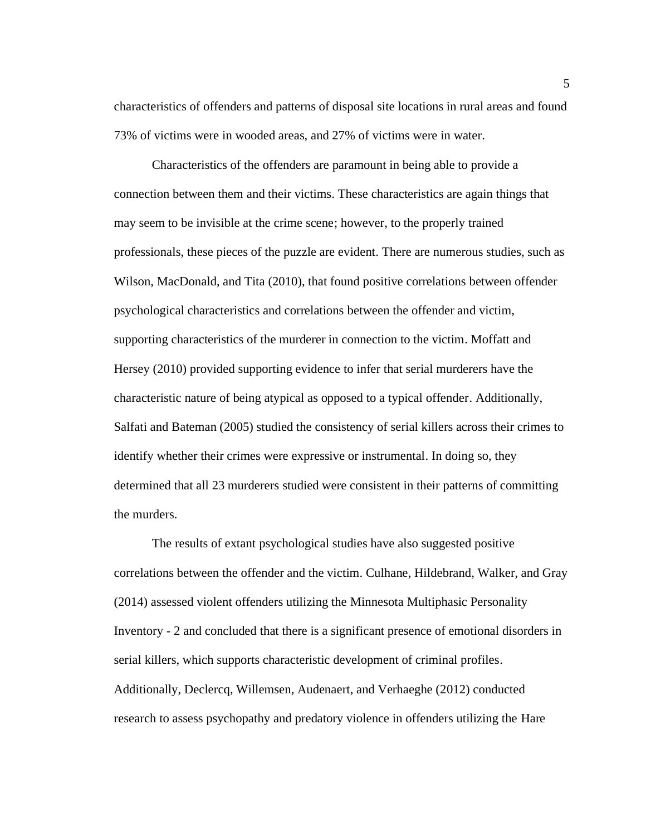characteristics of offenders and patterns of disposal site locations in rural areas and found 73% of victims were in wooded areas, and 27% of victims were in water.

Characteristics of the offenders are paramount in being able to provide a connection between them and their victims. These characteristics are again things that may seem to be invisible at the crime scene; however, to the properly trained professionals, these pieces of the puzzle are evident. There are numerous studies, such as Wilson, MacDonald, and Tita (2010), that found positive correlations between offender psychological characteristics and correlations between the offender and victim, supporting characteristics of the murderer in connection to the victim. Moffatt and Hersey (2010) provided supporting evidence to infer that serial murderers have the characteristic nature of being atypical as opposed to a typical offender. Additionally, Salfati and Bateman (2005) studied the consistency of serial killers across their crimes to identify whether their crimes were expressive or instrumental. In doing so, they determined that all 23 murderers studied were consistent in their patterns of committing the murders.

The results of extant psychological studies have also suggested positive correlations between the offender and the victim. Culhane, Hildebrand, Walker, and Gray (2014) assessed violent offenders utilizing the Minnesota Multiphasic Personality Inventory - 2 and concluded that there is a significant presence of emotional disorders in serial killers, which supports characteristic development of criminal profiles. Additionally, Declercq, Willemsen, Audenaert, and Verhaeghe (2012) conducted research to assess psychopathy and predatory violence in offenders utilizing the Hare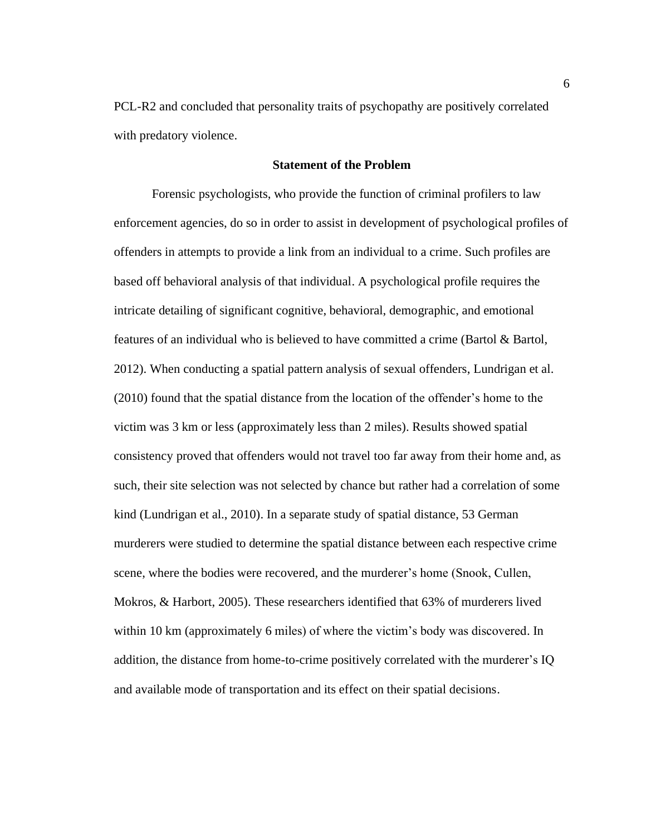PCL-R2 and concluded that personality traits of psychopathy are positively correlated with predatory violence.

### **Statement of the Problem**

<span id="page-18-0"></span>Forensic psychologists, who provide the function of criminal profilers to law enforcement agencies, do so in order to assist in development of psychological profiles of offenders in attempts to provide a link from an individual to a crime. Such profiles are based off behavioral analysis of that individual. A psychological profile requires the intricate detailing of significant cognitive, behavioral, demographic, and emotional features of an individual who is believed to have committed a crime (Bartol & Bartol, 2012). When conducting a spatial pattern analysis of sexual offenders, Lundrigan et al. (2010) found that the spatial distance from the location of the offender's home to the victim was 3 km or less (approximately less than 2 miles). Results showed spatial consistency proved that offenders would not travel too far away from their home and, as such, their site selection was not selected by chance but rather had a correlation of some kind (Lundrigan et al., 2010). In a separate study of spatial distance, 53 German murderers were studied to determine the spatial distance between each respective crime scene, where the bodies were recovered, and the murderer's home (Snook, Cullen, Mokros, & Harbort, 2005). These researchers identified that 63% of murderers lived within 10 km (approximately 6 miles) of where the victim's body was discovered. In addition, the distance from home-to-crime positively correlated with the murderer's IQ and available mode of transportation and its effect on their spatial decisions.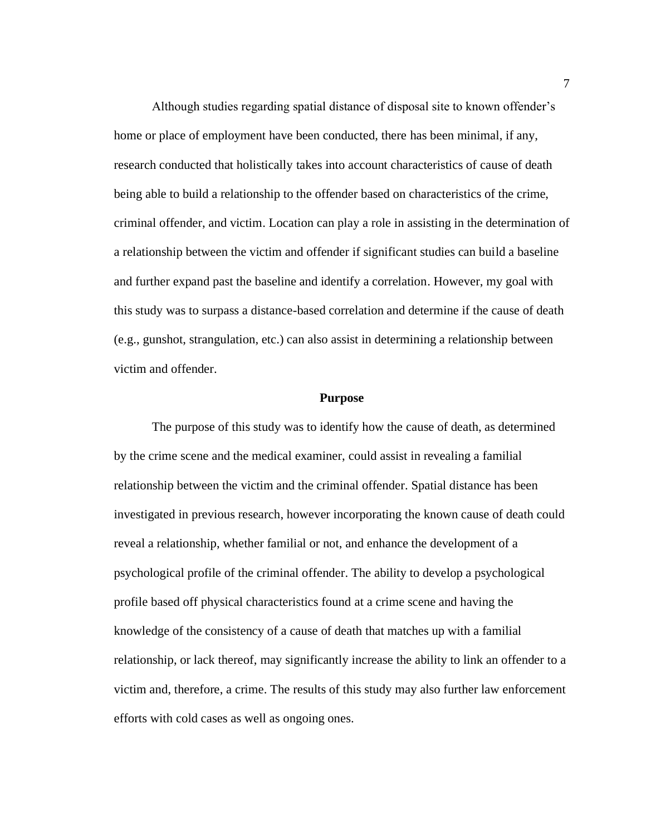Although studies regarding spatial distance of disposal site to known offender's home or place of employment have been conducted, there has been minimal, if any, research conducted that holistically takes into account characteristics of cause of death being able to build a relationship to the offender based on characteristics of the crime, criminal offender, and victim. Location can play a role in assisting in the determination of a relationship between the victim and offender if significant studies can build a baseline and further expand past the baseline and identify a correlation. However, my goal with this study was to surpass a distance-based correlation and determine if the cause of death (e.g., gunshot, strangulation, etc.) can also assist in determining a relationship between victim and offender.

#### **Purpose**

<span id="page-19-0"></span>The purpose of this study was to identify how the cause of death, as determined by the crime scene and the medical examiner, could assist in revealing a familial relationship between the victim and the criminal offender. Spatial distance has been investigated in previous research, however incorporating the known cause of death could reveal a relationship, whether familial or not, and enhance the development of a psychological profile of the criminal offender. The ability to develop a psychological profile based off physical characteristics found at a crime scene and having the knowledge of the consistency of a cause of death that matches up with a familial relationship, or lack thereof, may significantly increase the ability to link an offender to a victim and, therefore, a crime. The results of this study may also further law enforcement efforts with cold cases as well as ongoing ones.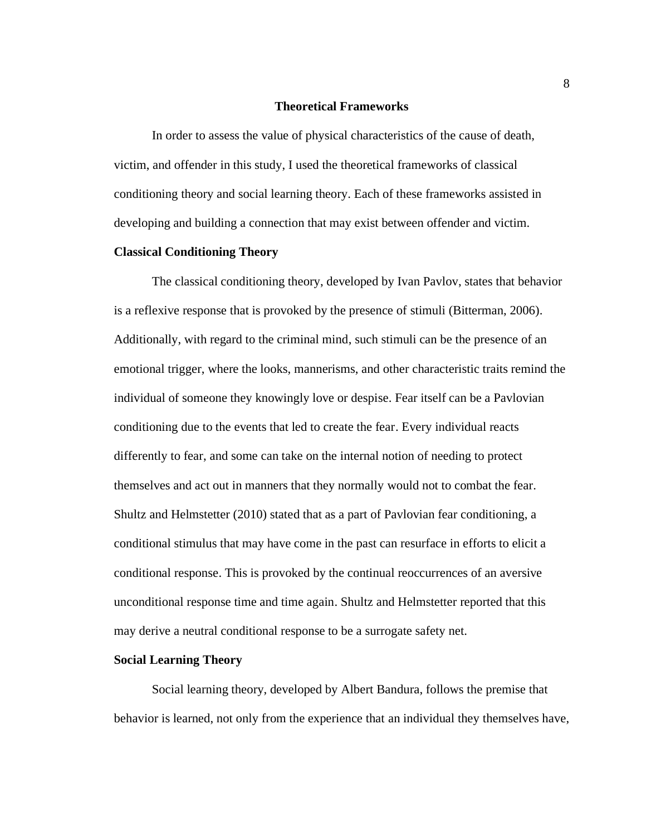#### **Theoretical Frameworks**

<span id="page-20-0"></span>In order to assess the value of physical characteristics of the cause of death, victim, and offender in this study, I used the theoretical frameworks of classical conditioning theory and social learning theory. Each of these frameworks assisted in developing and building a connection that may exist between offender and victim.

## <span id="page-20-1"></span>**Classical Conditioning Theory**

The classical conditioning theory, developed by Ivan Pavlov, states that behavior is a reflexive response that is provoked by the presence of stimuli (Bitterman, 2006). Additionally, with regard to the criminal mind, such stimuli can be the presence of an emotional trigger, where the looks, mannerisms, and other characteristic traits remind the individual of someone they knowingly love or despise. Fear itself can be a Pavlovian conditioning due to the events that led to create the fear. Every individual reacts differently to fear, and some can take on the internal notion of needing to protect themselves and act out in manners that they normally would not to combat the fear. Shultz and Helmstetter (2010) stated that as a part of Pavlovian fear conditioning, a conditional stimulus that may have come in the past can resurface in efforts to elicit a conditional response. This is provoked by the continual reoccurrences of an aversive unconditional response time and time again. Shultz and Helmstetter reported that this may derive a neutral conditional response to be a surrogate safety net.

#### <span id="page-20-2"></span>**Social Learning Theory**

Social learning theory, developed by Albert Bandura, follows the premise that behavior is learned, not only from the experience that an individual they themselves have,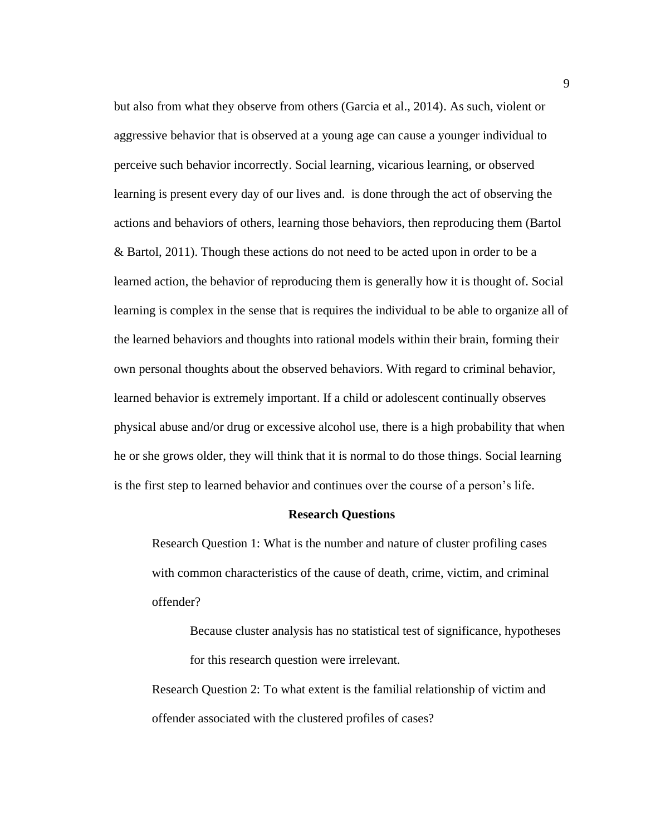but also from what they observe from others (Garcia et al., 2014). As such, violent or aggressive behavior that is observed at a young age can cause a younger individual to perceive such behavior incorrectly. Social learning, vicarious learning, or observed learning is present every day of our lives and. is done through the act of observing the actions and behaviors of others, learning those behaviors, then reproducing them (Bartol & Bartol, 2011). Though these actions do not need to be acted upon in order to be a learned action, the behavior of reproducing them is generally how it is thought of. Social learning is complex in the sense that is requires the individual to be able to organize all of the learned behaviors and thoughts into rational models within their brain, forming their own personal thoughts about the observed behaviors. With regard to criminal behavior, learned behavior is extremely important. If a child or adolescent continually observes physical abuse and/or drug or excessive alcohol use, there is a high probability that when he or she grows older, they will think that it is normal to do those things. Social learning is the first step to learned behavior and continues over the course of a person's life.

#### **Research Questions**

<span id="page-21-0"></span>Research Question 1: What is the number and nature of cluster profiling cases with common characteristics of the cause of death, crime, victim, and criminal offender?

Because cluster analysis has no statistical test of significance, hypotheses for this research question were irrelevant.

Research Question 2: To what extent is the familial relationship of victim and offender associated with the clustered profiles of cases?

9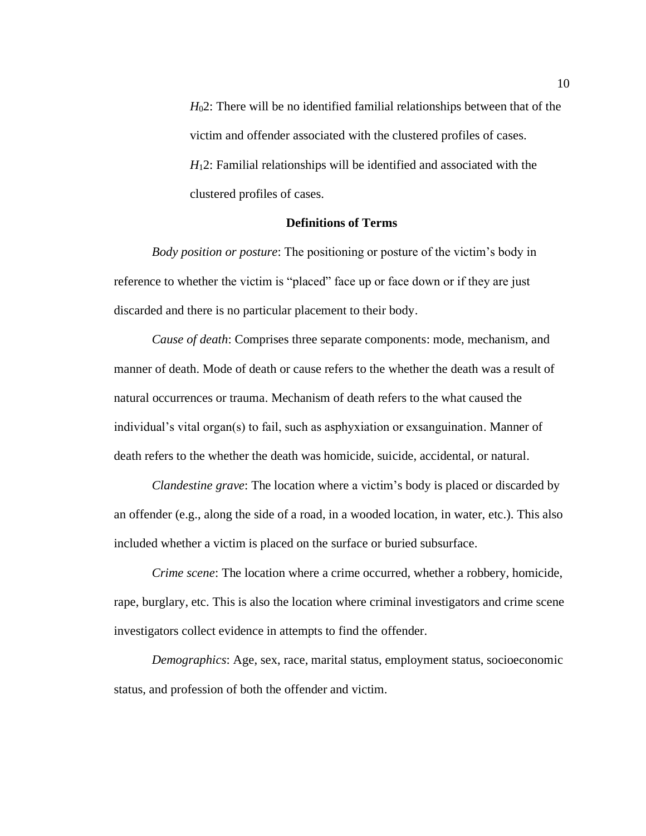*H*02: There will be no identified familial relationships between that of the victim and offender associated with the clustered profiles of cases. *H*12: Familial relationships will be identified and associated with the clustered profiles of cases.

## **Definitions of Terms**

<span id="page-22-0"></span>*Body position or posture*: The positioning or posture of the victim's body in reference to whether the victim is "placed" face up or face down or if they are just discarded and there is no particular placement to their body.

*Cause of death*: Comprises three separate components: mode, mechanism, and manner of death. Mode of death or cause refers to the whether the death was a result of natural occurrences or trauma. Mechanism of death refers to the what caused the individual's vital organ(s) to fail, such as asphyxiation or exsanguination. Manner of death refers to the whether the death was homicide, suicide, accidental, or natural.

*Clandestine grave*: The location where a victim's body is placed or discarded by an offender (e.g., along the side of a road, in a wooded location, in water, etc.). This also included whether a victim is placed on the surface or buried subsurface.

*Crime scene*: The location where a crime occurred, whether a robbery, homicide, rape, burglary, etc. This is also the location where criminal investigators and crime scene investigators collect evidence in attempts to find the offender.

*Demographics*: Age, sex, race, marital status, employment status, socioeconomic status, and profession of both the offender and victim.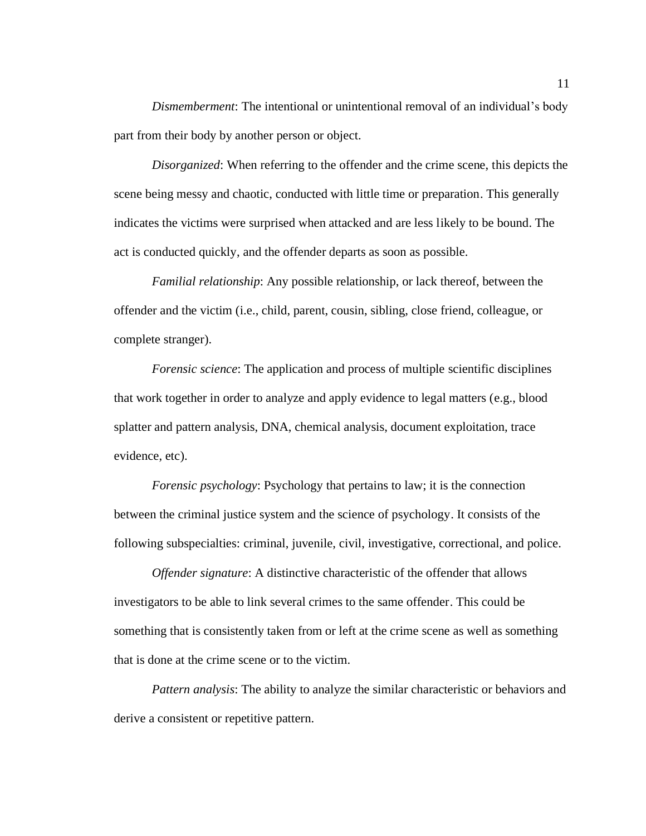*Dismemberment*: The intentional or unintentional removal of an individual's body part from their body by another person or object.

*Disorganized*: When referring to the offender and the crime scene, this depicts the scene being messy and chaotic, conducted with little time or preparation. This generally indicates the victims were surprised when attacked and are less likely to be bound. The act is conducted quickly, and the offender departs as soon as possible.

*Familial relationship*: Any possible relationship, or lack thereof, between the offender and the victim (i.e., child, parent, cousin, sibling, close friend, colleague, or complete stranger).

*Forensic science*: The application and process of multiple scientific disciplines that work together in order to analyze and apply evidence to legal matters (e.g., blood splatter and pattern analysis, DNA, chemical analysis, document exploitation, trace evidence, etc).

*Forensic psychology*: Psychology that pertains to law; it is the connection between the criminal justice system and the science of psychology. It consists of the following subspecialties: criminal, juvenile, civil, investigative, correctional, and police.

*Offender signature*: A distinctive characteristic of the offender that allows investigators to be able to link several crimes to the same offender. This could be something that is consistently taken from or left at the crime scene as well as something that is done at the crime scene or to the victim.

*Pattern analysis*: The ability to analyze the similar characteristic or behaviors and derive a consistent or repetitive pattern.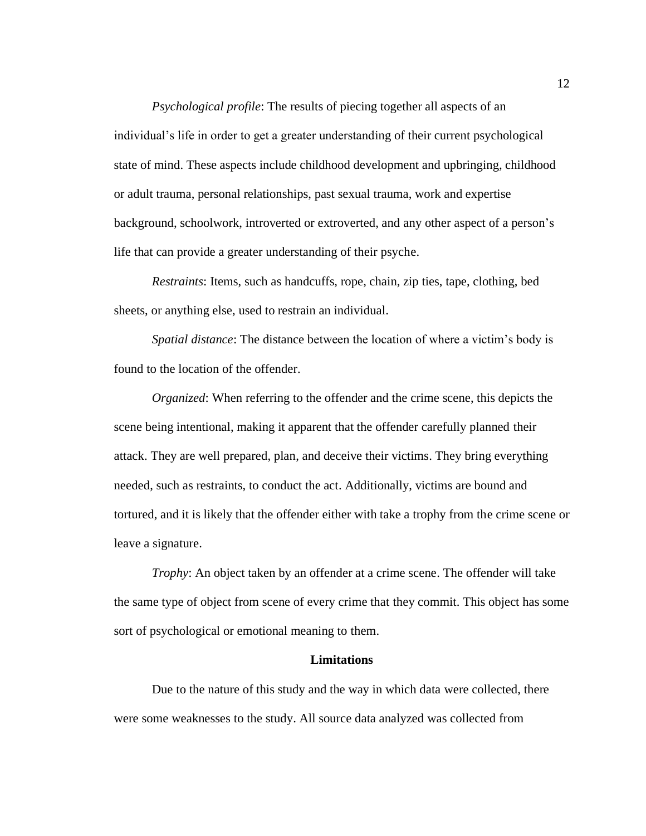*Psychological profile*: The results of piecing together all aspects of an individual's life in order to get a greater understanding of their current psychological state of mind. These aspects include childhood development and upbringing, childhood or adult trauma, personal relationships, past sexual trauma, work and expertise background, schoolwork, introverted or extroverted, and any other aspect of a person's life that can provide a greater understanding of their psyche.

*Restraints*: Items, such as handcuffs, rope, chain, zip ties, tape, clothing, bed sheets, or anything else, used to restrain an individual.

*Spatial distance*: The distance between the location of where a victim's body is found to the location of the offender.

*Organized*: When referring to the offender and the crime scene, this depicts the scene being intentional, making it apparent that the offender carefully planned their attack. They are well prepared, plan, and deceive their victims. They bring everything needed, such as restraints, to conduct the act. Additionally, victims are bound and tortured, and it is likely that the offender either with take a trophy from the crime scene or leave a signature.

*Trophy*: An object taken by an offender at a crime scene. The offender will take the same type of object from scene of every crime that they commit. This object has some sort of psychological or emotional meaning to them.

### **Limitations**

<span id="page-24-0"></span>Due to the nature of this study and the way in which data were collected, there were some weaknesses to the study. All source data analyzed was collected from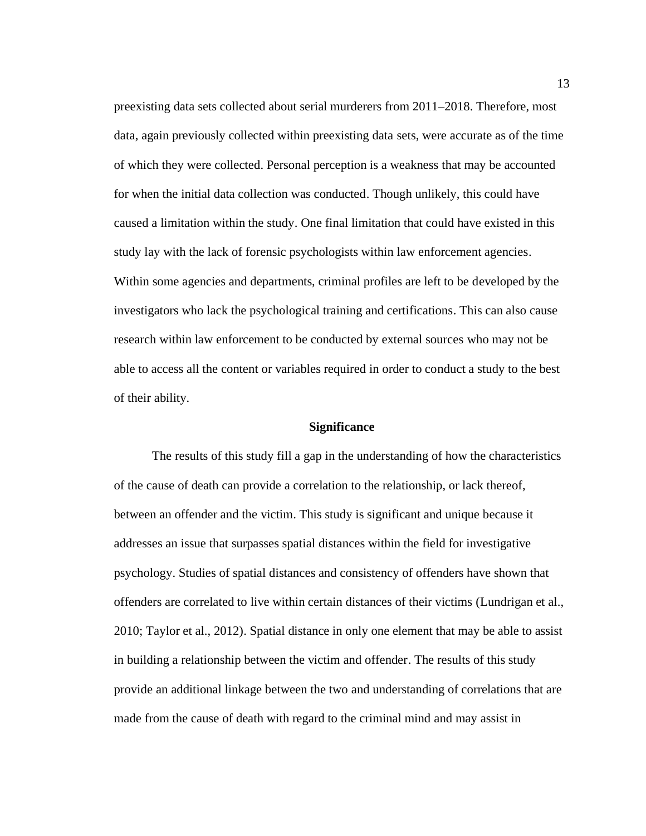preexisting data sets collected about serial murderers from 2011–2018. Therefore, most data, again previously collected within preexisting data sets, were accurate as of the time of which they were collected. Personal perception is a weakness that may be accounted for when the initial data collection was conducted. Though unlikely, this could have caused a limitation within the study. One final limitation that could have existed in this study lay with the lack of forensic psychologists within law enforcement agencies. Within some agencies and departments, criminal profiles are left to be developed by the investigators who lack the psychological training and certifications. This can also cause research within law enforcement to be conducted by external sources who may not be able to access all the content or variables required in order to conduct a study to the best of their ability.

### **Significance**

<span id="page-25-0"></span>The results of this study fill a gap in the understanding of how the characteristics of the cause of death can provide a correlation to the relationship, or lack thereof, between an offender and the victim. This study is significant and unique because it addresses an issue that surpasses spatial distances within the field for investigative psychology. Studies of spatial distances and consistency of offenders have shown that offenders are correlated to live within certain distances of their victims (Lundrigan et al., 2010; Taylor et al., 2012). Spatial distance in only one element that may be able to assist in building a relationship between the victim and offender. The results of this study provide an additional linkage between the two and understanding of correlations that are made from the cause of death with regard to the criminal mind and may assist in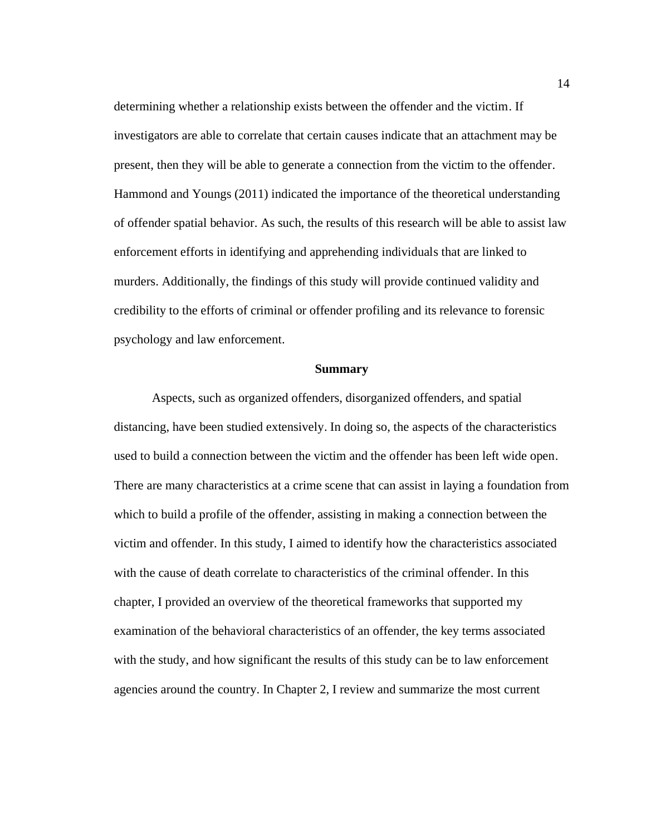determining whether a relationship exists between the offender and the victim. If investigators are able to correlate that certain causes indicate that an attachment may be present, then they will be able to generate a connection from the victim to the offender. Hammond and Youngs (2011) indicated the importance of the theoretical understanding of offender spatial behavior. As such, the results of this research will be able to assist law enforcement efforts in identifying and apprehending individuals that are linked to murders. Additionally, the findings of this study will provide continued validity and credibility to the efforts of criminal or offender profiling and its relevance to forensic psychology and law enforcement.

#### **Summary**

<span id="page-26-0"></span>Aspects, such as organized offenders, disorganized offenders, and spatial distancing, have been studied extensively. In doing so, the aspects of the characteristics used to build a connection between the victim and the offender has been left wide open. There are many characteristics at a crime scene that can assist in laying a foundation from which to build a profile of the offender, assisting in making a connection between the victim and offender. In this study, I aimed to identify how the characteristics associated with the cause of death correlate to characteristics of the criminal offender. In this chapter, I provided an overview of the theoretical frameworks that supported my examination of the behavioral characteristics of an offender, the key terms associated with the study, and how significant the results of this study can be to law enforcement agencies around the country. In Chapter 2, I review and summarize the most current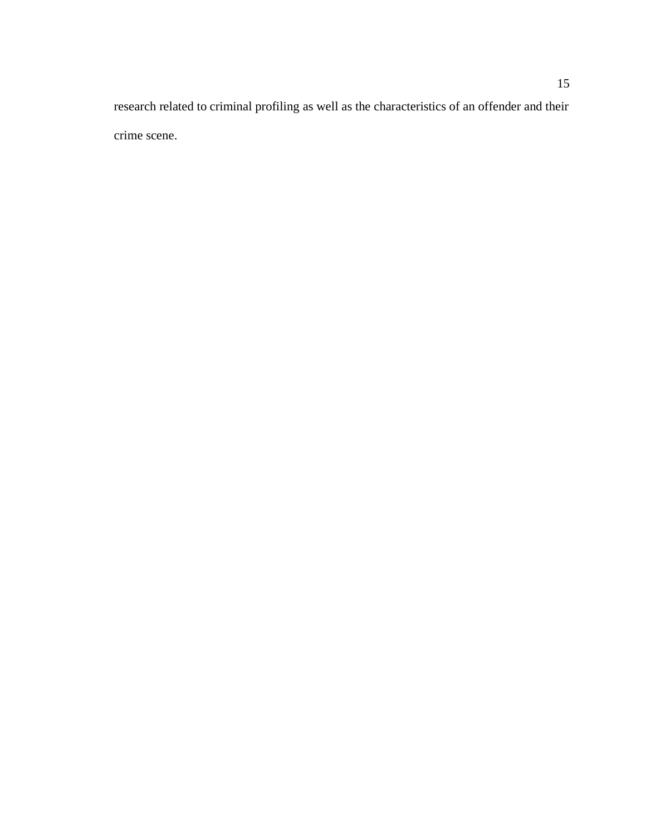research related to criminal profiling as well as the characteristics of an offender and their crime scene.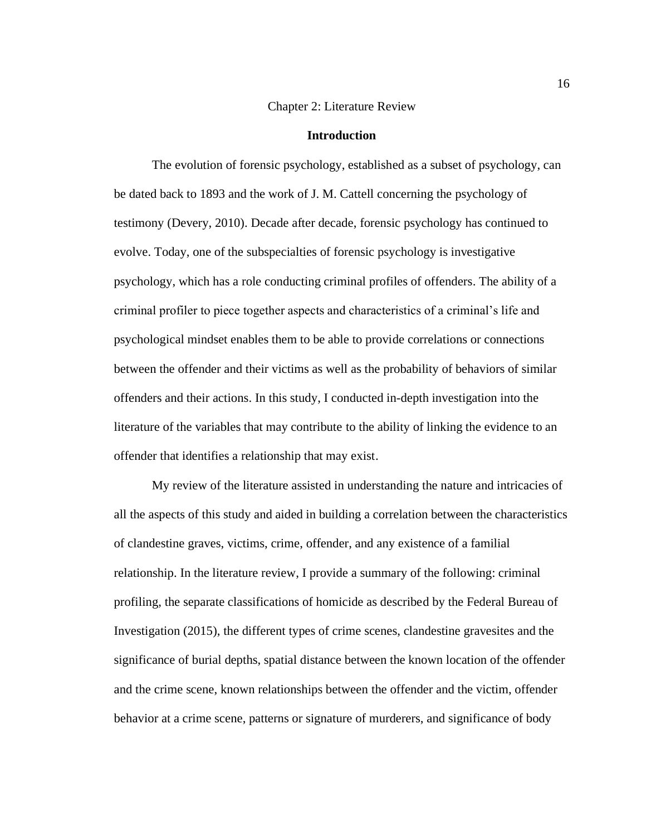#### Chapter 2: Literature Review

#### **Introduction**

<span id="page-28-1"></span><span id="page-28-0"></span>The evolution of forensic psychology, established as a subset of psychology, can be dated back to 1893 and the work of J. M. Cattell concerning the psychology of testimony (Devery, 2010). Decade after decade, forensic psychology has continued to evolve. Today, one of the subspecialties of forensic psychology is investigative psychology, which has a role conducting criminal profiles of offenders. The ability of a criminal profiler to piece together aspects and characteristics of a criminal's life and psychological mindset enables them to be able to provide correlations or connections between the offender and their victims as well as the probability of behaviors of similar offenders and their actions. In this study, I conducted in-depth investigation into the literature of the variables that may contribute to the ability of linking the evidence to an offender that identifies a relationship that may exist.

My review of the literature assisted in understanding the nature and intricacies of all the aspects of this study and aided in building a correlation between the characteristics of clandestine graves, victims, crime, offender, and any existence of a familial relationship. In the literature review, I provide a summary of the following: criminal profiling, the separate classifications of homicide as described by the Federal Bureau of Investigation (2015), the different types of crime scenes, clandestine gravesites and the significance of burial depths, spatial distance between the known location of the offender and the crime scene, known relationships between the offender and the victim, offender behavior at a crime scene, patterns or signature of murderers, and significance of body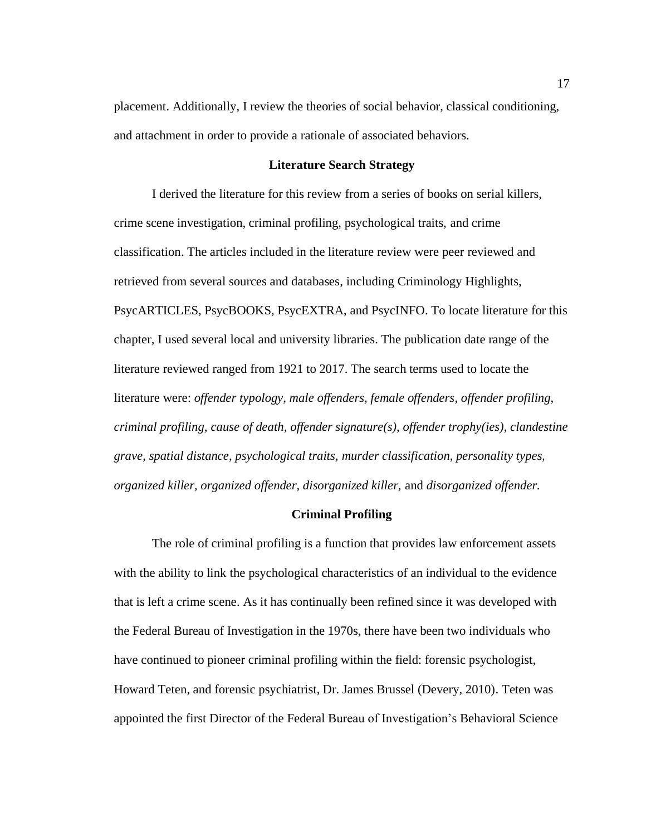placement. Additionally, I review the theories of social behavior, classical conditioning, and attachment in order to provide a rationale of associated behaviors.

#### **Literature Search Strategy**

<span id="page-29-0"></span>I derived the literature for this review from a series of books on serial killers, crime scene investigation, criminal profiling, psychological traits, and crime classification. The articles included in the literature review were peer reviewed and retrieved from several sources and databases, including Criminology Highlights, PsycARTICLES, PsycBOOKS, PsycEXTRA, and PsycINFO. To locate literature for this chapter, I used several local and university libraries. The publication date range of the literature reviewed ranged from 1921 to 2017. The search terms used to locate the literature were: *offender typology, male offenders, female offenders, offender profiling, criminal profiling, cause of death, offender signature(s), offender trophy(ies), clandestine grave, spatial distance, psychological traits, murder classification, personality types, organized killer, organized offender, disorganized killer,* and *disorganized offender.*

#### **Criminal Profiling**

<span id="page-29-1"></span>The role of criminal profiling is a function that provides law enforcement assets with the ability to link the psychological characteristics of an individual to the evidence that is left a crime scene. As it has continually been refined since it was developed with the Federal Bureau of Investigation in the 1970s, there have been two individuals who have continued to pioneer criminal profiling within the field: forensic psychologist, Howard Teten, and forensic psychiatrist, Dr. James Brussel (Devery, 2010). Teten was appointed the first Director of the Federal Bureau of Investigation's Behavioral Science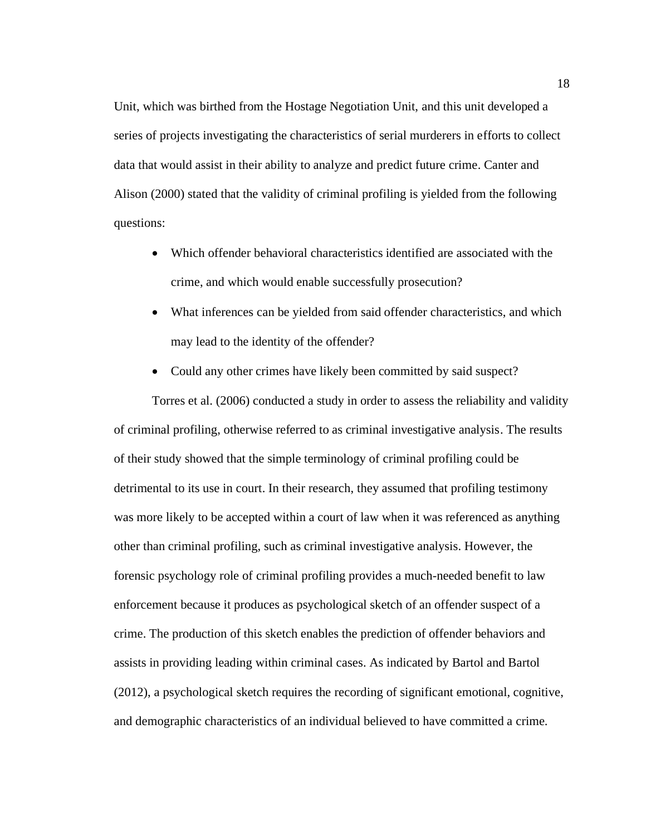Unit, which was birthed from the Hostage Negotiation Unit, and this unit developed a series of projects investigating the characteristics of serial murderers in efforts to collect data that would assist in their ability to analyze and predict future crime. Canter and Alison (2000) stated that the validity of criminal profiling is yielded from the following questions:

- Which offender behavioral characteristics identified are associated with the crime, and which would enable successfully prosecution?
- What inferences can be yielded from said offender characteristics, and which may lead to the identity of the offender?
- Could any other crimes have likely been committed by said suspect?

Torres et al. (2006) conducted a study in order to assess the reliability and validity of criminal profiling, otherwise referred to as criminal investigative analysis. The results of their study showed that the simple terminology of criminal profiling could be detrimental to its use in court. In their research, they assumed that profiling testimony was more likely to be accepted within a court of law when it was referenced as anything other than criminal profiling, such as criminal investigative analysis. However, the forensic psychology role of criminal profiling provides a much-needed benefit to law enforcement because it produces as psychological sketch of an offender suspect of a crime. The production of this sketch enables the prediction of offender behaviors and assists in providing leading within criminal cases. As indicated by Bartol and Bartol (2012), a psychological sketch requires the recording of significant emotional, cognitive, and demographic characteristics of an individual believed to have committed a crime.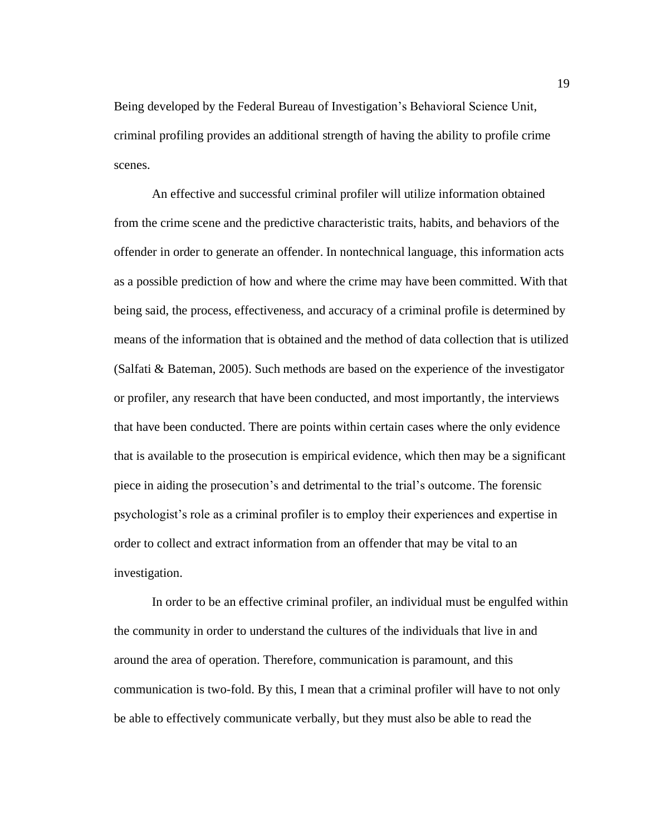Being developed by the Federal Bureau of Investigation's Behavioral Science Unit, criminal profiling provides an additional strength of having the ability to profile crime scenes.

An effective and successful criminal profiler will utilize information obtained from the crime scene and the predictive characteristic traits, habits, and behaviors of the offender in order to generate an offender. In nontechnical language, this information acts as a possible prediction of how and where the crime may have been committed. With that being said, the process, effectiveness, and accuracy of a criminal profile is determined by means of the information that is obtained and the method of data collection that is utilized (Salfati & Bateman, 2005). Such methods are based on the experience of the investigator or profiler, any research that have been conducted, and most importantly, the interviews that have been conducted. There are points within certain cases where the only evidence that is available to the prosecution is empirical evidence, which then may be a significant piece in aiding the prosecution's and detrimental to the trial's outcome. The forensic psychologist's role as a criminal profiler is to employ their experiences and expertise in order to collect and extract information from an offender that may be vital to an investigation.

In order to be an effective criminal profiler, an individual must be engulfed within the community in order to understand the cultures of the individuals that live in and around the area of operation. Therefore, communication is paramount, and this communication is two-fold. By this, I mean that a criminal profiler will have to not only be able to effectively communicate verbally, but they must also be able to read the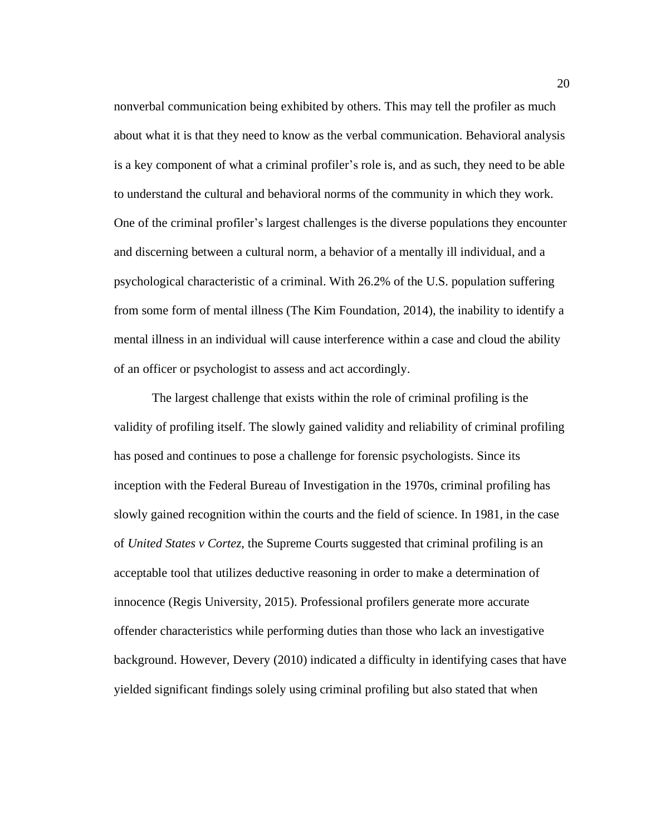nonverbal communication being exhibited by others. This may tell the profiler as much about what it is that they need to know as the verbal communication. Behavioral analysis is a key component of what a criminal profiler's role is, and as such, they need to be able to understand the cultural and behavioral norms of the community in which they work. One of the criminal profiler's largest challenges is the diverse populations they encounter and discerning between a cultural norm, a behavior of a mentally ill individual, and a psychological characteristic of a criminal. With 26.2% of the U.S. population suffering from some form of mental illness (The Kim Foundation, 2014), the inability to identify a mental illness in an individual will cause interference within a case and cloud the ability of an officer or psychologist to assess and act accordingly.

The largest challenge that exists within the role of criminal profiling is the validity of profiling itself. The slowly gained validity and reliability of criminal profiling has posed and continues to pose a challenge for forensic psychologists. Since its inception with the Federal Bureau of Investigation in the 1970s, criminal profiling has slowly gained recognition within the courts and the field of science. In 1981, in the case of *United States v Cortez*, the Supreme Courts suggested that criminal profiling is an acceptable tool that utilizes deductive reasoning in order to make a determination of innocence (Regis University, 2015). Professional profilers generate more accurate offender characteristics while performing duties than those who lack an investigative background. However, Devery (2010) indicated a difficulty in identifying cases that have yielded significant findings solely using criminal profiling but also stated that when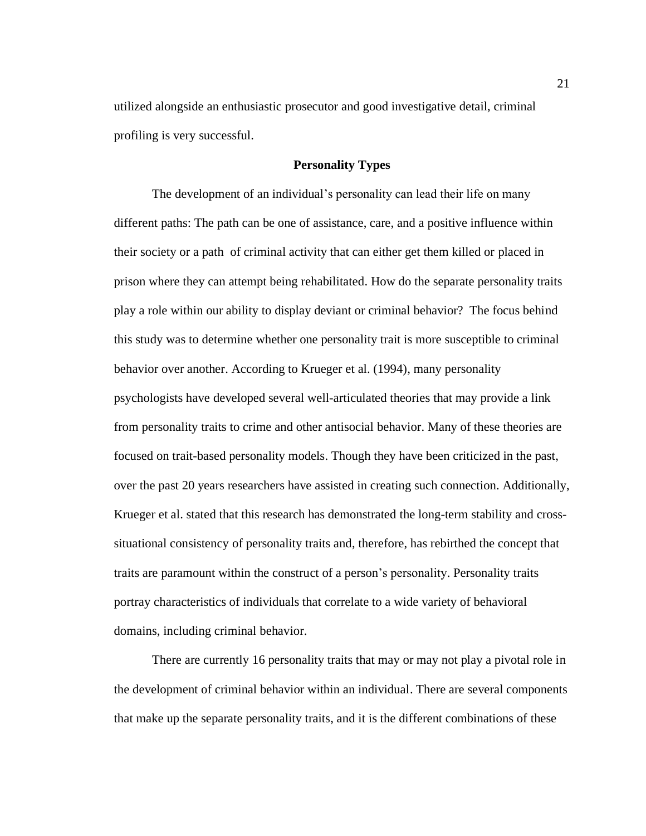utilized alongside an enthusiastic prosecutor and good investigative detail, criminal profiling is very successful.

## **Personality Types**

<span id="page-33-0"></span>The development of an individual's personality can lead their life on many different paths: The path can be one of assistance, care, and a positive influence within their society or a path of criminal activity that can either get them killed or placed in prison where they can attempt being rehabilitated. How do the separate personality traits play a role within our ability to display deviant or criminal behavior? The focus behind this study was to determine whether one personality trait is more susceptible to criminal behavior over another. According to Krueger et al. (1994), many personality psychologists have developed several well-articulated theories that may provide a link from personality traits to crime and other antisocial behavior. Many of these theories are focused on trait-based personality models. Though they have been criticized in the past, over the past 20 years researchers have assisted in creating such connection. Additionally, Krueger et al. stated that this research has demonstrated the long-term stability and crosssituational consistency of personality traits and, therefore, has rebirthed the concept that traits are paramount within the construct of a person's personality. Personality traits portray characteristics of individuals that correlate to a wide variety of behavioral domains, including criminal behavior.

There are currently 16 personality traits that may or may not play a pivotal role in the development of criminal behavior within an individual. There are several components that make up the separate personality traits, and it is the different combinations of these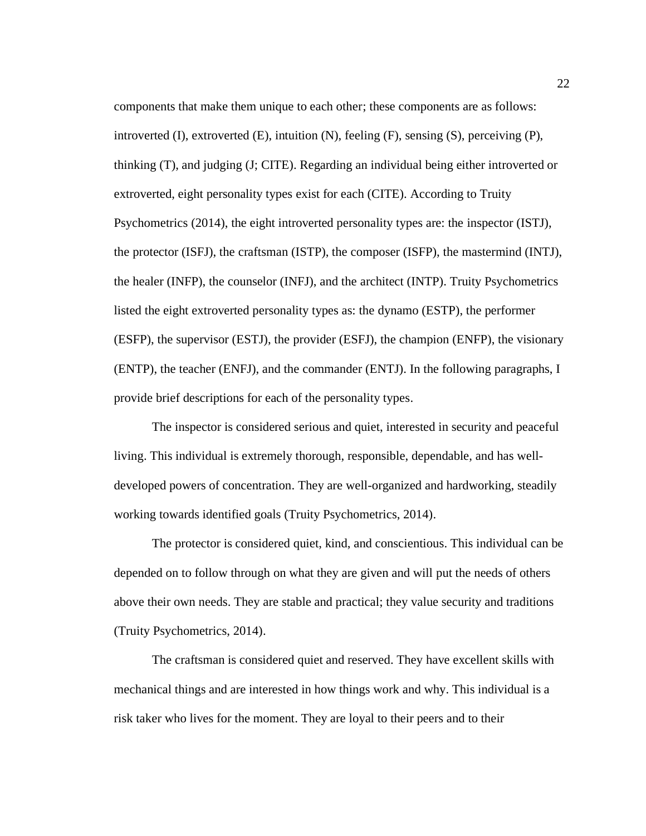components that make them unique to each other; these components are as follows: introverted  $(I)$ , extroverted  $(E)$ , intuition  $(N)$ , feeling  $(F)$ , sensing  $(S)$ , perceiving  $(P)$ , thinking (T), and judging (J; CITE). Regarding an individual being either introverted or extroverted, eight personality types exist for each (CITE). According to Truity Psychometrics (2014), the eight introverted personality types are: the inspector (ISTJ), the protector (ISFJ), the craftsman (ISTP), the composer (ISFP), the mastermind (INTJ), the healer (INFP), the counselor (INFJ), and the architect (INTP). Truity Psychometrics listed the eight extroverted personality types as: the dynamo (ESTP), the performer (ESFP), the supervisor (ESTJ), the provider (ESFJ), the champion (ENFP), the visionary (ENTP), the teacher (ENFJ), and the commander (ENTJ). In the following paragraphs, I provide brief descriptions for each of the personality types.

The inspector is considered serious and quiet, interested in security and peaceful living. This individual is extremely thorough, responsible, dependable, and has welldeveloped powers of concentration. They are well-organized and hardworking, steadily working towards identified goals (Truity Psychometrics, 2014).

The protector is considered quiet, kind, and conscientious. This individual can be depended on to follow through on what they are given and will put the needs of others above their own needs. They are stable and practical; they value security and traditions (Truity Psychometrics, 2014).

The craftsman is considered quiet and reserved. They have excellent skills with mechanical things and are interested in how things work and why. This individual is a risk taker who lives for the moment. They are loyal to their peers and to their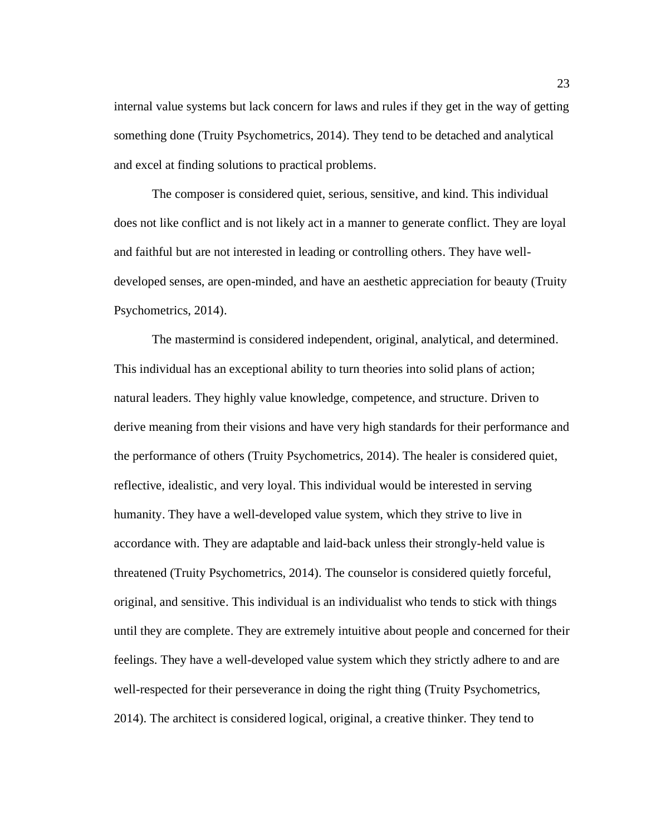internal value systems but lack concern for laws and rules if they get in the way of getting something done (Truity Psychometrics, 2014). They tend to be detached and analytical and excel at finding solutions to practical problems.

The composer is considered quiet, serious, sensitive, and kind. This individual does not like conflict and is not likely act in a manner to generate conflict. They are loyal and faithful but are not interested in leading or controlling others. They have welldeveloped senses, are open-minded, and have an aesthetic appreciation for beauty (Truity Psychometrics, 2014).

The mastermind is considered independent, original, analytical, and determined. This individual has an exceptional ability to turn theories into solid plans of action; natural leaders. They highly value knowledge, competence, and structure. Driven to derive meaning from their visions and have very high standards for their performance and the performance of others (Truity Psychometrics, 2014). The healer is considered quiet, reflective, idealistic, and very loyal. This individual would be interested in serving humanity. They have a well-developed value system, which they strive to live in accordance with. They are adaptable and laid-back unless their strongly-held value is threatened (Truity Psychometrics, 2014). The counselor is considered quietly forceful, original, and sensitive. This individual is an individualist who tends to stick with things until they are complete. They are extremely intuitive about people and concerned for their feelings. They have a well-developed value system which they strictly adhere to and are well-respected for their perseverance in doing the right thing (Truity Psychometrics, 2014). The architect is considered logical, original, a creative thinker. They tend to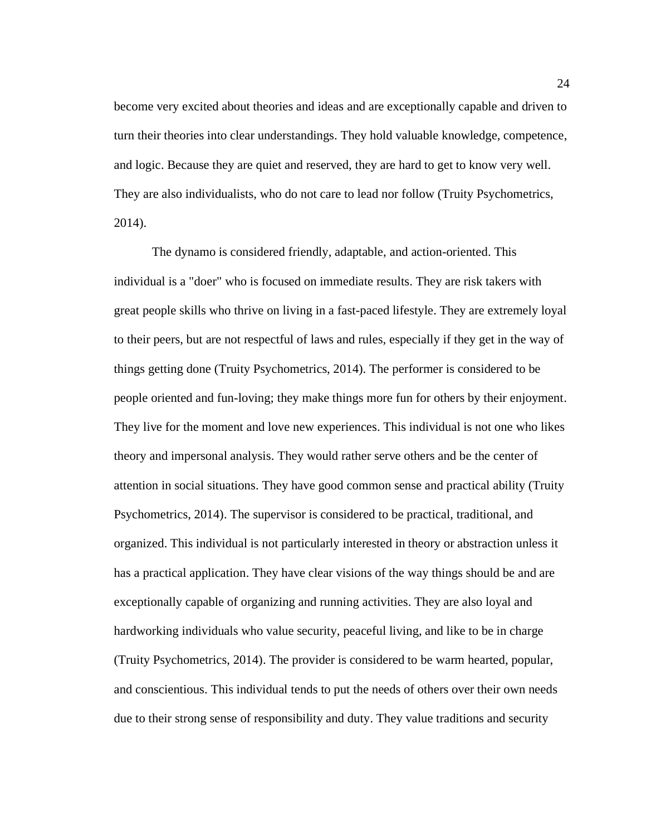become very excited about theories and ideas and are exceptionally capable and driven to turn their theories into clear understandings. They hold valuable knowledge, competence, and logic. Because they are quiet and reserved, they are hard to get to know very well. They are also individualists, who do not care to lead nor follow (Truity Psychometrics, 2014).

The dynamo is considered friendly, adaptable, and action-oriented. This individual is a "doer" who is focused on immediate results. They are risk takers with great people skills who thrive on living in a fast-paced lifestyle. They are extremely loyal to their peers, but are not respectful of laws and rules, especially if they get in the way of things getting done (Truity Psychometrics, 2014). The performer is considered to be people oriented and fun-loving; they make things more fun for others by their enjoyment. They live for the moment and love new experiences. This individual is not one who likes theory and impersonal analysis. They would rather serve others and be the center of attention in social situations. They have good common sense and practical ability (Truity Psychometrics, 2014). The supervisor is considered to be practical, traditional, and organized. This individual is not particularly interested in theory or abstraction unless it has a practical application. They have clear visions of the way things should be and are exceptionally capable of organizing and running activities. They are also loyal and hardworking individuals who value security, peaceful living, and like to be in charge (Truity Psychometrics, 2014). The provider is considered to be warm hearted, popular, and conscientious. This individual tends to put the needs of others over their own needs due to their strong sense of responsibility and duty. They value traditions and security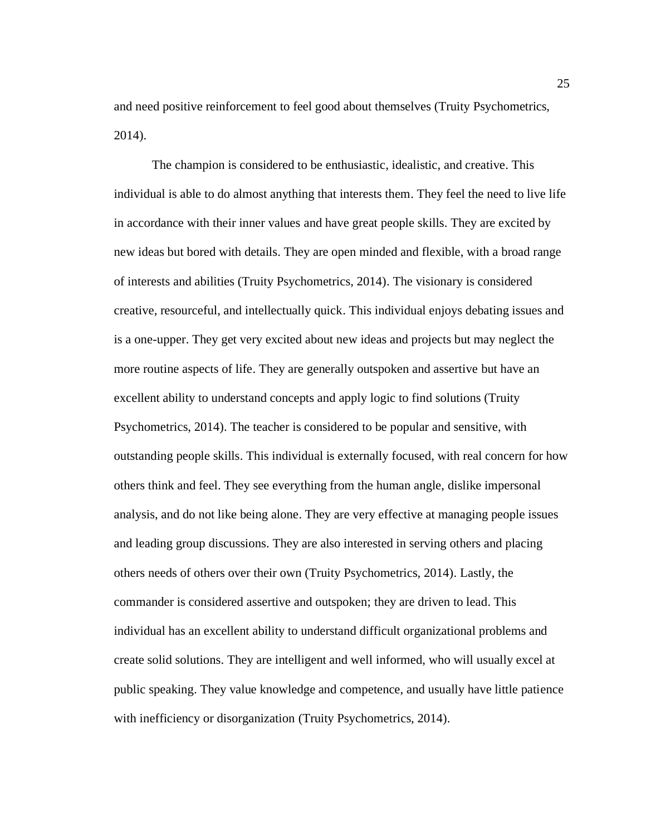and need positive reinforcement to feel good about themselves (Truity Psychometrics, 2014).

The champion is considered to be enthusiastic, idealistic, and creative. This individual is able to do almost anything that interests them. They feel the need to live life in accordance with their inner values and have great people skills. They are excited by new ideas but bored with details. They are open minded and flexible, with a broad range of interests and abilities (Truity Psychometrics, 2014). The visionary is considered creative, resourceful, and intellectually quick. This individual enjoys debating issues and is a one-upper. They get very excited about new ideas and projects but may neglect the more routine aspects of life. They are generally outspoken and assertive but have an excellent ability to understand concepts and apply logic to find solutions (Truity Psychometrics, 2014). The teacher is considered to be popular and sensitive, with outstanding people skills. This individual is externally focused, with real concern for how others think and feel. They see everything from the human angle, dislike impersonal analysis, and do not like being alone. They are very effective at managing people issues and leading group discussions. They are also interested in serving others and placing others needs of others over their own (Truity Psychometrics, 2014). Lastly, the commander is considered assertive and outspoken; they are driven to lead. This individual has an excellent ability to understand difficult organizational problems and create solid solutions. They are intelligent and well informed, who will usually excel at public speaking. They value knowledge and competence, and usually have little patience with inefficiency or disorganization (Truity Psychometrics, 2014).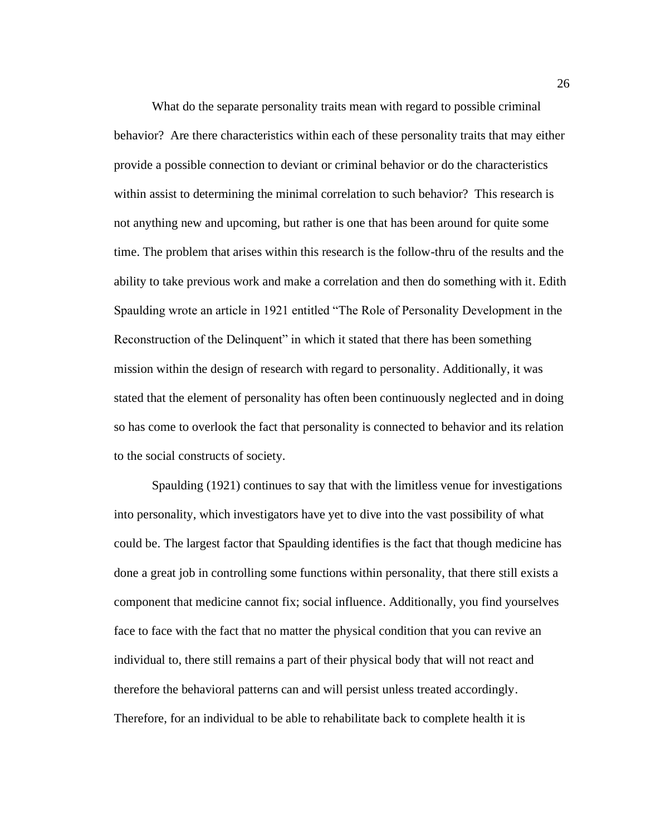What do the separate personality traits mean with regard to possible criminal behavior? Are there characteristics within each of these personality traits that may either provide a possible connection to deviant or criminal behavior or do the characteristics within assist to determining the minimal correlation to such behavior? This research is not anything new and upcoming, but rather is one that has been around for quite some time. The problem that arises within this research is the follow-thru of the results and the ability to take previous work and make a correlation and then do something with it. Edith Spaulding wrote an article in 1921 entitled "The Role of Personality Development in the Reconstruction of the Delinquent" in which it stated that there has been something mission within the design of research with regard to personality. Additionally, it was stated that the element of personality has often been continuously neglected and in doing so has come to overlook the fact that personality is connected to behavior and its relation to the social constructs of society.

Spaulding (1921) continues to say that with the limitless venue for investigations into personality, which investigators have yet to dive into the vast possibility of what could be. The largest factor that Spaulding identifies is the fact that though medicine has done a great job in controlling some functions within personality, that there still exists a component that medicine cannot fix; social influence. Additionally, you find yourselves face to face with the fact that no matter the physical condition that you can revive an individual to, there still remains a part of their physical body that will not react and therefore the behavioral patterns can and will persist unless treated accordingly. Therefore, for an individual to be able to rehabilitate back to complete health it is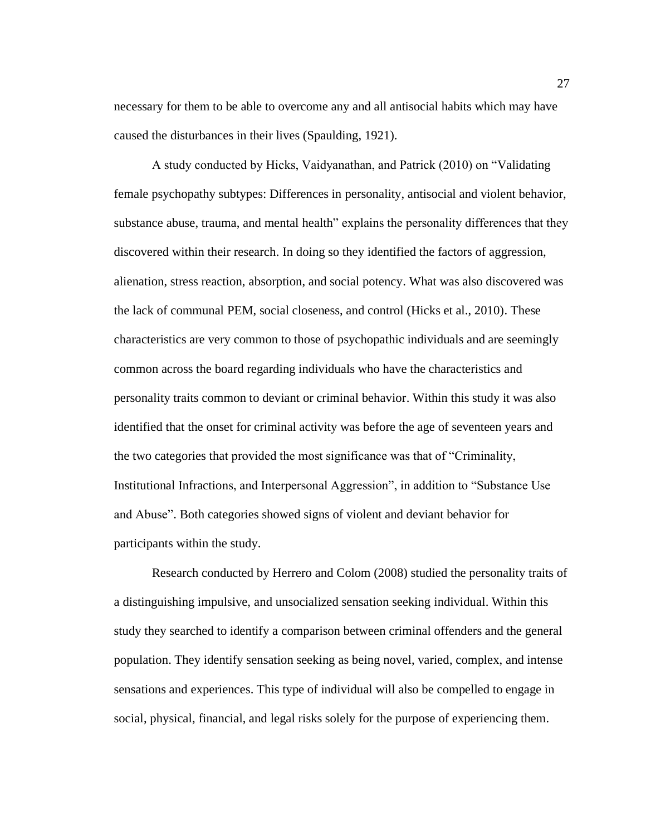necessary for them to be able to overcome any and all antisocial habits which may have caused the disturbances in their lives (Spaulding, 1921).

A study conducted by Hicks, Vaidyanathan, and Patrick (2010) on "Validating female psychopathy subtypes: Differences in personality, antisocial and violent behavior, substance abuse, trauma, and mental health" explains the personality differences that they discovered within their research. In doing so they identified the factors of aggression, alienation, stress reaction, absorption, and social potency. What was also discovered was the lack of communal PEM, social closeness, and control (Hicks et al., 2010). These characteristics are very common to those of psychopathic individuals and are seemingly common across the board regarding individuals who have the characteristics and personality traits common to deviant or criminal behavior. Within this study it was also identified that the onset for criminal activity was before the age of seventeen years and the two categories that provided the most significance was that of "Criminality, Institutional Infractions, and Interpersonal Aggression", in addition to "Substance Use and Abuse". Both categories showed signs of violent and deviant behavior for participants within the study.

Research conducted by Herrero and Colom (2008) studied the personality traits of a distinguishing impulsive, and unsocialized sensation seeking individual. Within this study they searched to identify a comparison between criminal offenders and the general population. They identify sensation seeking as being novel, varied, complex, and intense sensations and experiences. This type of individual will also be compelled to engage in social, physical, financial, and legal risks solely for the purpose of experiencing them.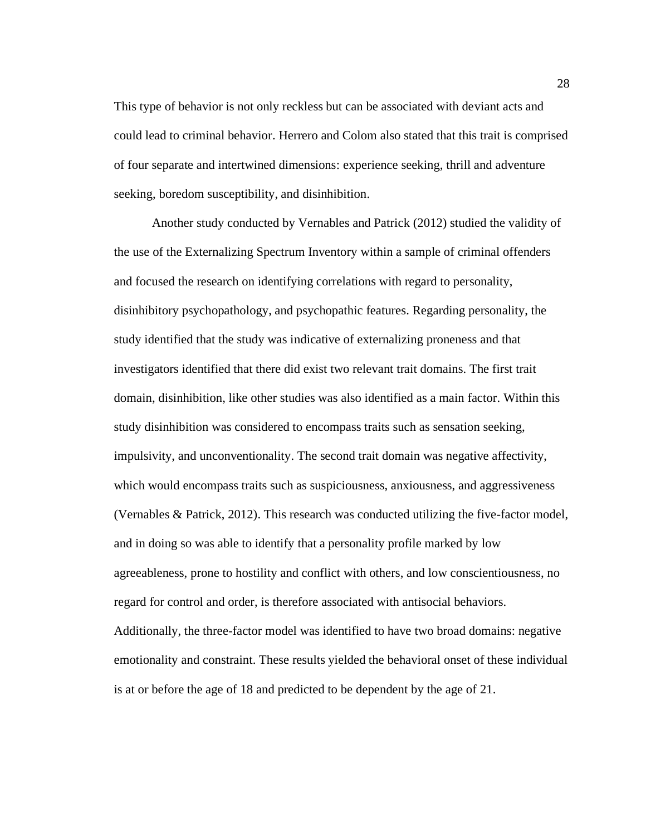This type of behavior is not only reckless but can be associated with deviant acts and could lead to criminal behavior. Herrero and Colom also stated that this trait is comprised of four separate and intertwined dimensions: experience seeking, thrill and adventure seeking, boredom susceptibility, and disinhibition.

Another study conducted by Vernables and Patrick (2012) studied the validity of the use of the Externalizing Spectrum Inventory within a sample of criminal offenders and focused the research on identifying correlations with regard to personality, disinhibitory psychopathology, and psychopathic features. Regarding personality, the study identified that the study was indicative of externalizing proneness and that investigators identified that there did exist two relevant trait domains. The first trait domain, disinhibition, like other studies was also identified as a main factor. Within this study disinhibition was considered to encompass traits such as sensation seeking, impulsivity, and unconventionality. The second trait domain was negative affectivity, which would encompass traits such as suspiciousness, anxiousness, and aggressiveness (Vernables & Patrick, 2012). This research was conducted utilizing the five-factor model, and in doing so was able to identify that a personality profile marked by low agreeableness, prone to hostility and conflict with others, and low conscientiousness, no regard for control and order, is therefore associated with antisocial behaviors. Additionally, the three-factor model was identified to have two broad domains: negative emotionality and constraint. These results yielded the behavioral onset of these individual is at or before the age of 18 and predicted to be dependent by the age of 21.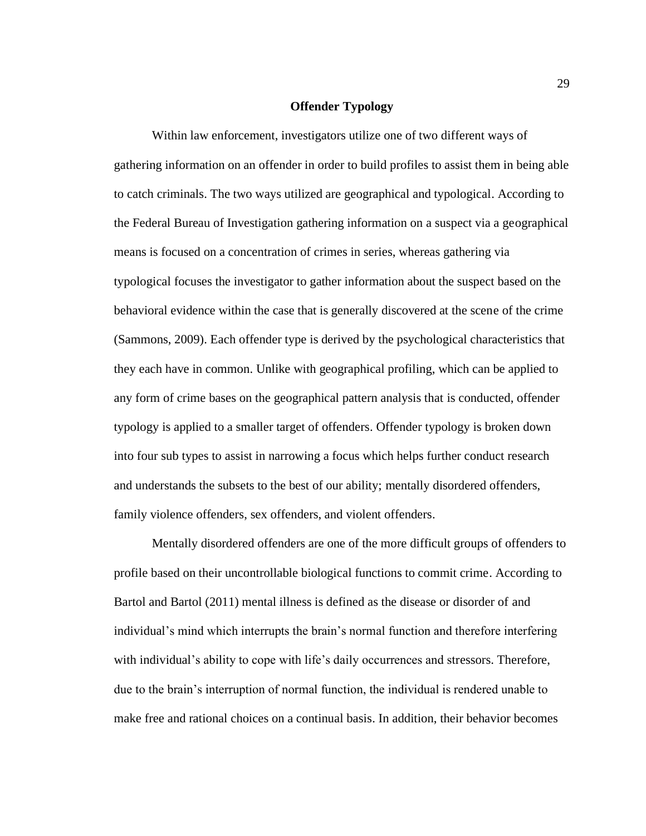## **Offender Typology**

Within law enforcement, investigators utilize one of two different ways of gathering information on an offender in order to build profiles to assist them in being able to catch criminals. The two ways utilized are geographical and typological. According to the Federal Bureau of Investigation gathering information on a suspect via a geographical means is focused on a concentration of crimes in series, whereas gathering via typological focuses the investigator to gather information about the suspect based on the behavioral evidence within the case that is generally discovered at the scene of the crime (Sammons, 2009). Each offender type is derived by the psychological characteristics that they each have in common. Unlike with geographical profiling, which can be applied to any form of crime bases on the geographical pattern analysis that is conducted, offender typology is applied to a smaller target of offenders. Offender typology is broken down into four sub types to assist in narrowing a focus which helps further conduct research and understands the subsets to the best of our ability; mentally disordered offenders, family violence offenders, sex offenders, and violent offenders.

Mentally disordered offenders are one of the more difficult groups of offenders to profile based on their uncontrollable biological functions to commit crime. According to Bartol and Bartol (2011) mental illness is defined as the disease or disorder of and individual's mind which interrupts the brain's normal function and therefore interfering with individual's ability to cope with life's daily occurrences and stressors. Therefore, due to the brain's interruption of normal function, the individual is rendered unable to make free and rational choices on a continual basis. In addition, their behavior becomes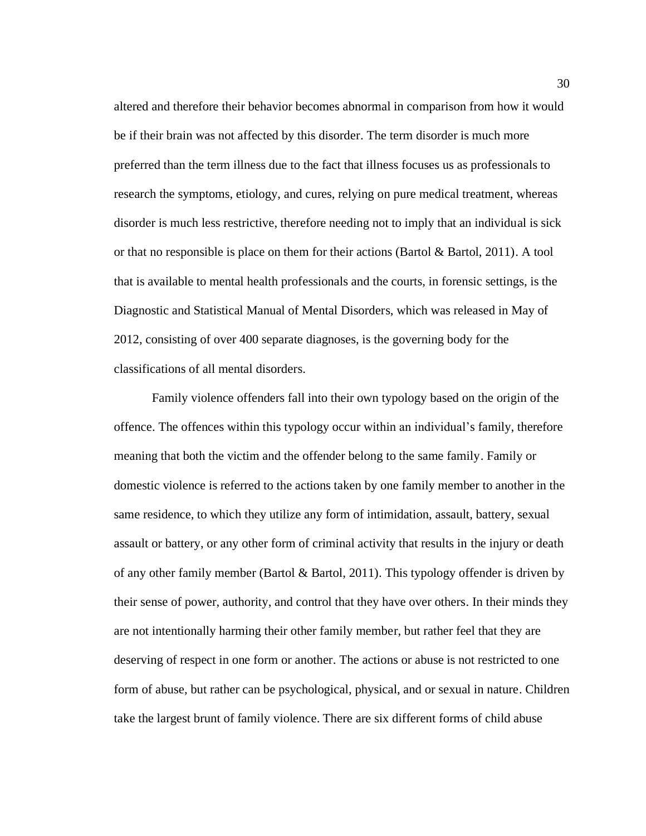altered and therefore their behavior becomes abnormal in comparison from how it would be if their brain was not affected by this disorder. The term disorder is much more preferred than the term illness due to the fact that illness focuses us as professionals to research the symptoms, etiology, and cures, relying on pure medical treatment, whereas disorder is much less restrictive, therefore needing not to imply that an individual is sick or that no responsible is place on them for their actions (Bartol & Bartol, 2011). A tool that is available to mental health professionals and the courts, in forensic settings, is the Diagnostic and Statistical Manual of Mental Disorders, which was released in May of 2012, consisting of over 400 separate diagnoses, is the governing body for the classifications of all mental disorders.

Family violence offenders fall into their own typology based on the origin of the offence. The offences within this typology occur within an individual's family, therefore meaning that both the victim and the offender belong to the same family. Family or domestic violence is referred to the actions taken by one family member to another in the same residence, to which they utilize any form of intimidation, assault, battery, sexual assault or battery, or any other form of criminal activity that results in the injury or death of any other family member (Bartol & Bartol, 2011). This typology offender is driven by their sense of power, authority, and control that they have over others. In their minds they are not intentionally harming their other family member, but rather feel that they are deserving of respect in one form or another. The actions or abuse is not restricted to one form of abuse, but rather can be psychological, physical, and or sexual in nature. Children take the largest brunt of family violence. There are six different forms of child abuse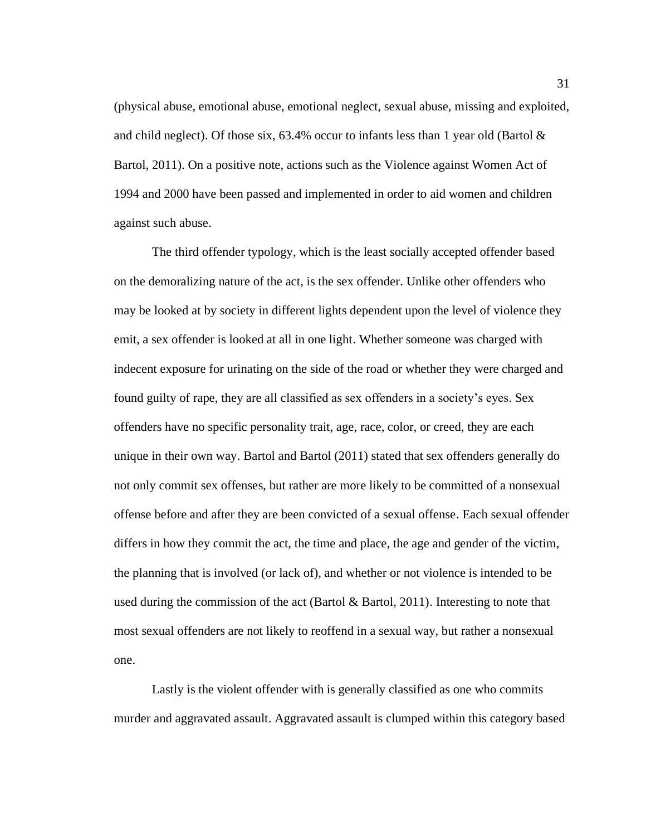(physical abuse, emotional abuse, emotional neglect, sexual abuse, missing and exploited, and child neglect). Of those six,  $63.4\%$  occur to infants less than 1 year old (Bartol  $\&$ Bartol, 2011). On a positive note, actions such as the Violence against Women Act of 1994 and 2000 have been passed and implemented in order to aid women and children against such abuse.

The third offender typology, which is the least socially accepted offender based on the demoralizing nature of the act, is the sex offender. Unlike other offenders who may be looked at by society in different lights dependent upon the level of violence they emit, a sex offender is looked at all in one light. Whether someone was charged with indecent exposure for urinating on the side of the road or whether they were charged and found guilty of rape, they are all classified as sex offenders in a society's eyes. Sex offenders have no specific personality trait, age, race, color, or creed, they are each unique in their own way. Bartol and Bartol (2011) stated that sex offenders generally do not only commit sex offenses, but rather are more likely to be committed of a nonsexual offense before and after they are been convicted of a sexual offense. Each sexual offender differs in how they commit the act, the time and place, the age and gender of the victim, the planning that is involved (or lack of), and whether or not violence is intended to be used during the commission of the act (Bartol & Bartol, 2011). Interesting to note that most sexual offenders are not likely to reoffend in a sexual way, but rather a nonsexual one.

Lastly is the violent offender with is generally classified as one who commits murder and aggravated assault. Aggravated assault is clumped within this category based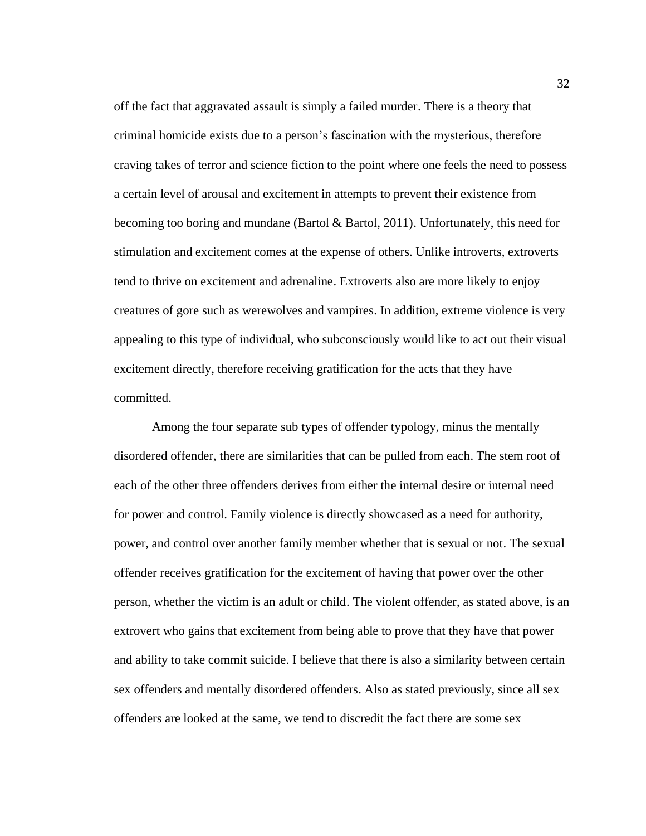off the fact that aggravated assault is simply a failed murder. There is a theory that criminal homicide exists due to a person's fascination with the mysterious, therefore craving takes of terror and science fiction to the point where one feels the need to possess a certain level of arousal and excitement in attempts to prevent their existence from becoming too boring and mundane (Bartol & Bartol, 2011). Unfortunately, this need for stimulation and excitement comes at the expense of others. Unlike introverts, extroverts tend to thrive on excitement and adrenaline. Extroverts also are more likely to enjoy creatures of gore such as werewolves and vampires. In addition, extreme violence is very appealing to this type of individual, who subconsciously would like to act out their visual excitement directly, therefore receiving gratification for the acts that they have committed.

Among the four separate sub types of offender typology, minus the mentally disordered offender, there are similarities that can be pulled from each. The stem root of each of the other three offenders derives from either the internal desire or internal need for power and control. Family violence is directly showcased as a need for authority, power, and control over another family member whether that is sexual or not. The sexual offender receives gratification for the excitement of having that power over the other person, whether the victim is an adult or child. The violent offender, as stated above, is an extrovert who gains that excitement from being able to prove that they have that power and ability to take commit suicide. I believe that there is also a similarity between certain sex offenders and mentally disordered offenders. Also as stated previously, since all sex offenders are looked at the same, we tend to discredit the fact there are some sex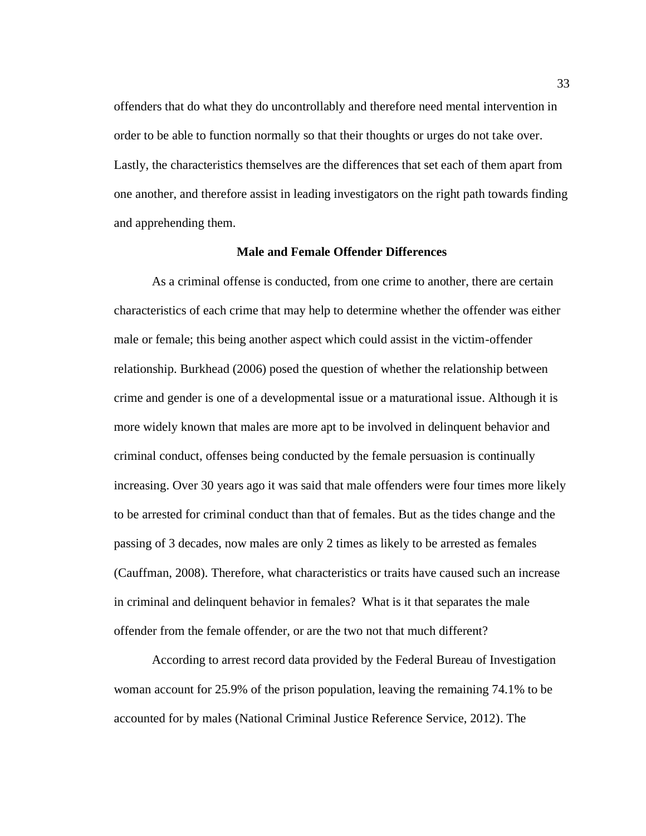offenders that do what they do uncontrollably and therefore need mental intervention in order to be able to function normally so that their thoughts or urges do not take over. Lastly, the characteristics themselves are the differences that set each of them apart from one another, and therefore assist in leading investigators on the right path towards finding and apprehending them.

# **Male and Female Offender Differences**

As a criminal offense is conducted, from one crime to another, there are certain characteristics of each crime that may help to determine whether the offender was either male or female; this being another aspect which could assist in the victim-offender relationship. Burkhead (2006) posed the question of whether the relationship between crime and gender is one of a developmental issue or a maturational issue. Although it is more widely known that males are more apt to be involved in delinquent behavior and criminal conduct, offenses being conducted by the female persuasion is continually increasing. Over 30 years ago it was said that male offenders were four times more likely to be arrested for criminal conduct than that of females. But as the tides change and the passing of 3 decades, now males are only 2 times as likely to be arrested as females (Cauffman, 2008). Therefore, what characteristics or traits have caused such an increase in criminal and delinquent behavior in females? What is it that separates the male offender from the female offender, or are the two not that much different?

According to arrest record data provided by the Federal Bureau of Investigation woman account for 25.9% of the prison population, leaving the remaining 74.1% to be accounted for by males (National Criminal Justice Reference Service, 2012). The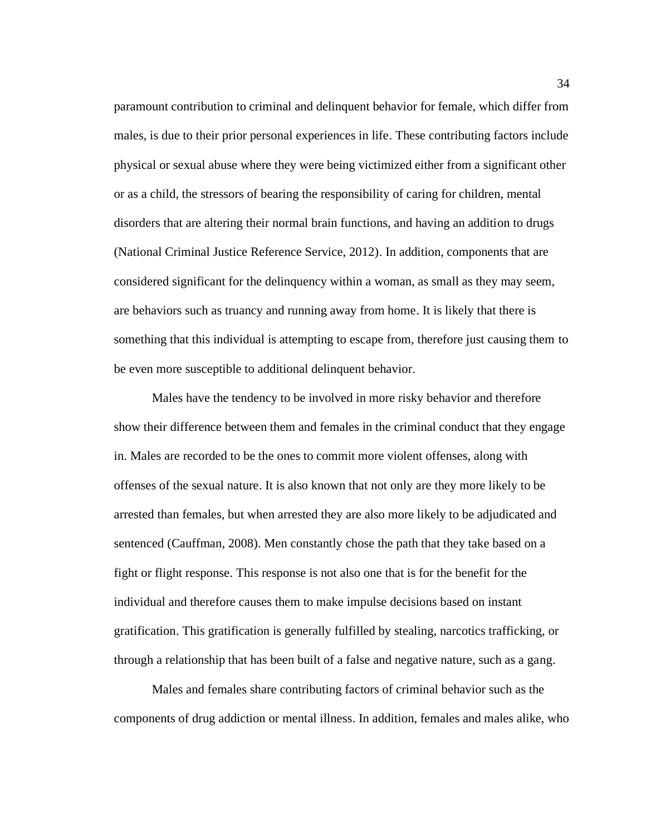paramount contribution to criminal and delinquent behavior for female, which differ from males, is due to their prior personal experiences in life. These contributing factors include physical or sexual abuse where they were being victimized either from a significant other or as a child, the stressors of bearing the responsibility of caring for children, mental disorders that are altering their normal brain functions, and having an addition to drugs (National Criminal Justice Reference Service, 2012). In addition, components that are considered significant for the delinquency within a woman, as small as they may seem, are behaviors such as truancy and running away from home. It is likely that there is something that this individual is attempting to escape from, therefore just causing them to be even more susceptible to additional delinquent behavior.

Males have the tendency to be involved in more risky behavior and therefore show their difference between them and females in the criminal conduct that they engage in. Males are recorded to be the ones to commit more violent offenses, along with offenses of the sexual nature. It is also known that not only are they more likely to be arrested than females, but when arrested they are also more likely to be adjudicated and sentenced (Cauffman, 2008). Men constantly chose the path that they take based on a fight or flight response. This response is not also one that is for the benefit for the individual and therefore causes them to make impulse decisions based on instant gratification. This gratification is generally fulfilled by stealing, narcotics trafficking, or through a relationship that has been built of a false and negative nature, such as a gang.

Males and females share contributing factors of criminal behavior such as the components of drug addiction or mental illness. In addition, females and males alike, who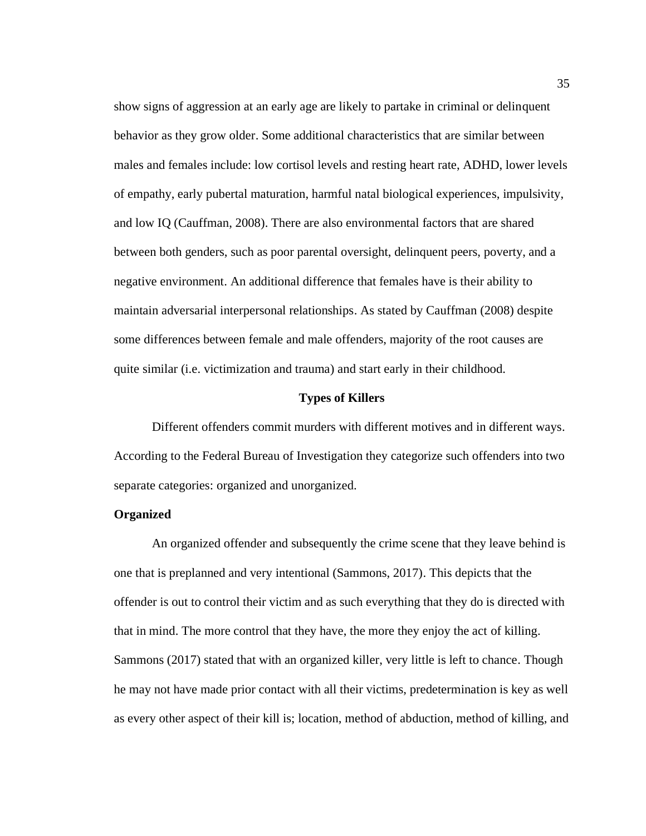show signs of aggression at an early age are likely to partake in criminal or delinquent behavior as they grow older. Some additional characteristics that are similar between males and females include: low cortisol levels and resting heart rate, ADHD, lower levels of empathy, early pubertal maturation, harmful natal biological experiences, impulsivity, and low IQ (Cauffman, 2008). There are also environmental factors that are shared between both genders, such as poor parental oversight, delinquent peers, poverty, and a negative environment. An additional difference that females have is their ability to maintain adversarial interpersonal relationships. As stated by Cauffman (2008) despite some differences between female and male offenders, majority of the root causes are quite similar (i.e. victimization and trauma) and start early in their childhood.

#### **Types of Killers**

Different offenders commit murders with different motives and in different ways. According to the Federal Bureau of Investigation they categorize such offenders into two separate categories: organized and unorganized.

## **Organized**

An organized offender and subsequently the crime scene that they leave behind is one that is preplanned and very intentional (Sammons, 2017). This depicts that the offender is out to control their victim and as such everything that they do is directed with that in mind. The more control that they have, the more they enjoy the act of killing. Sammons (2017) stated that with an organized killer, very little is left to chance. Though he may not have made prior contact with all their victims, predetermination is key as well as every other aspect of their kill is; location, method of abduction, method of killing, and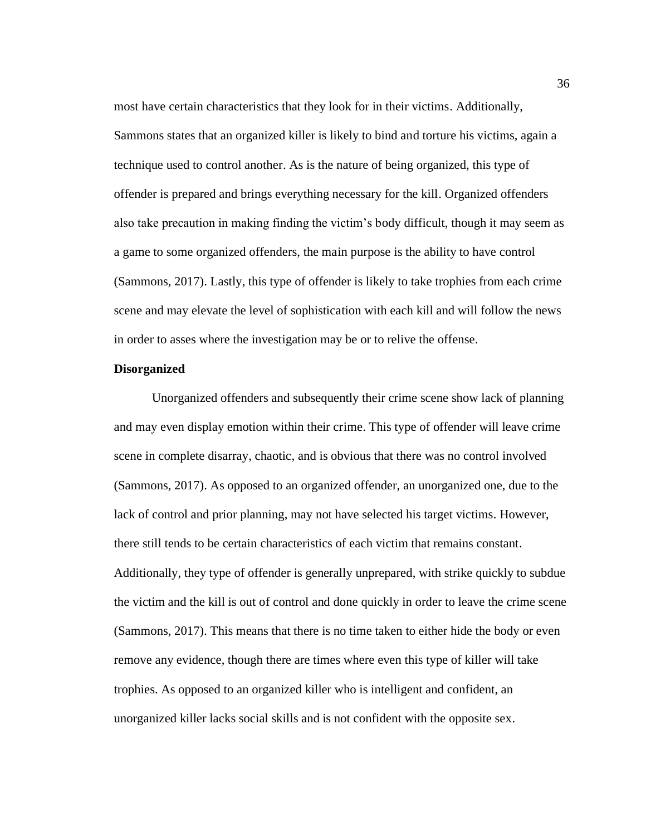most have certain characteristics that they look for in their victims. Additionally, Sammons states that an organized killer is likely to bind and torture his victims, again a technique used to control another. As is the nature of being organized, this type of offender is prepared and brings everything necessary for the kill. Organized offenders also take precaution in making finding the victim's body difficult, though it may seem as a game to some organized offenders, the main purpose is the ability to have control (Sammons, 2017). Lastly, this type of offender is likely to take trophies from each crime scene and may elevate the level of sophistication with each kill and will follow the news in order to asses where the investigation may be or to relive the offense.

## **Disorganized**

Unorganized offenders and subsequently their crime scene show lack of planning and may even display emotion within their crime. This type of offender will leave crime scene in complete disarray, chaotic, and is obvious that there was no control involved (Sammons, 2017). As opposed to an organized offender, an unorganized one, due to the lack of control and prior planning, may not have selected his target victims. However, there still tends to be certain characteristics of each victim that remains constant. Additionally, they type of offender is generally unprepared, with strike quickly to subdue the victim and the kill is out of control and done quickly in order to leave the crime scene (Sammons, 2017). This means that there is no time taken to either hide the body or even remove any evidence, though there are times where even this type of killer will take trophies. As opposed to an organized killer who is intelligent and confident, an unorganized killer lacks social skills and is not confident with the opposite sex.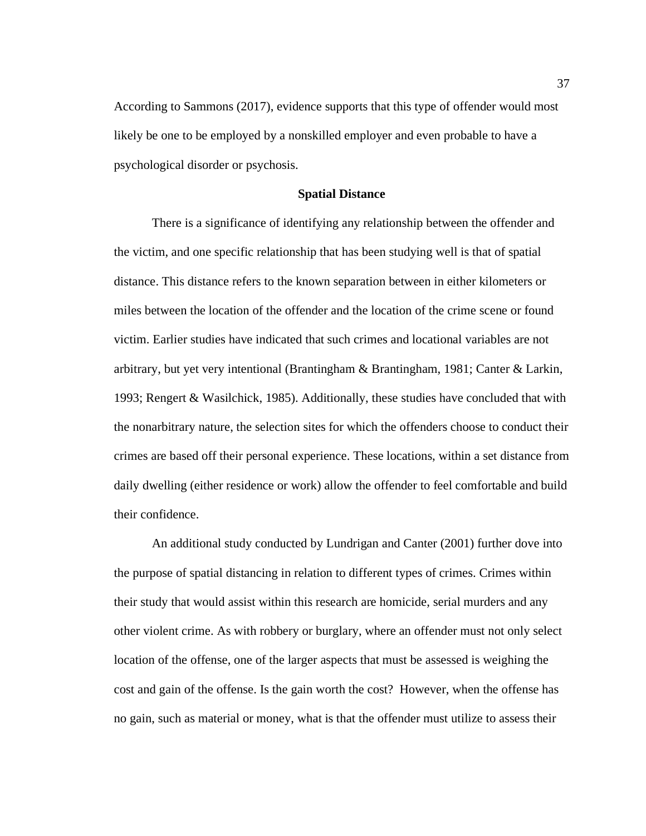According to Sammons (2017), evidence supports that this type of offender would most likely be one to be employed by a nonskilled employer and even probable to have a psychological disorder or psychosis.

# **Spatial Distance**

There is a significance of identifying any relationship between the offender and the victim, and one specific relationship that has been studying well is that of spatial distance. This distance refers to the known separation between in either kilometers or miles between the location of the offender and the location of the crime scene or found victim. Earlier studies have indicated that such crimes and locational variables are not arbitrary, but yet very intentional (Brantingham & Brantingham, 1981; Canter & Larkin, 1993; Rengert & Wasilchick, 1985). Additionally, these studies have concluded that with the nonarbitrary nature, the selection sites for which the offenders choose to conduct their crimes are based off their personal experience. These locations, within a set distance from daily dwelling (either residence or work) allow the offender to feel comfortable and build their confidence.

An additional study conducted by Lundrigan and Canter (2001) further dove into the purpose of spatial distancing in relation to different types of crimes. Crimes within their study that would assist within this research are homicide, serial murders and any other violent crime. As with robbery or burglary, where an offender must not only select location of the offense, one of the larger aspects that must be assessed is weighing the cost and gain of the offense. Is the gain worth the cost? However, when the offense has no gain, such as material or money, what is that the offender must utilize to assess their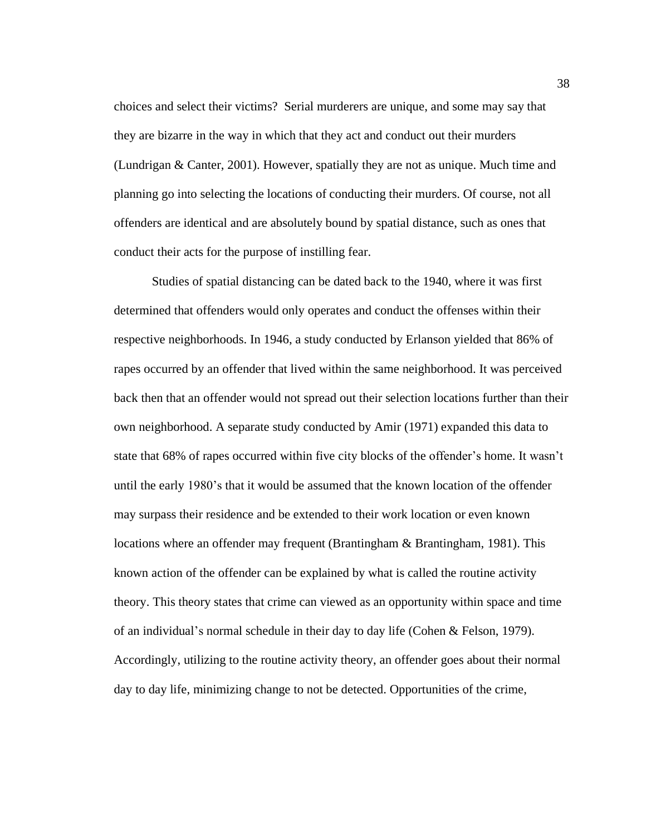choices and select their victims? Serial murderers are unique, and some may say that they are bizarre in the way in which that they act and conduct out their murders (Lundrigan & Canter, 2001). However, spatially they are not as unique. Much time and planning go into selecting the locations of conducting their murders. Of course, not all offenders are identical and are absolutely bound by spatial distance, such as ones that conduct their acts for the purpose of instilling fear.

Studies of spatial distancing can be dated back to the 1940, where it was first determined that offenders would only operates and conduct the offenses within their respective neighborhoods. In 1946, a study conducted by Erlanson yielded that 86% of rapes occurred by an offender that lived within the same neighborhood. It was perceived back then that an offender would not spread out their selection locations further than their own neighborhood. A separate study conducted by Amir (1971) expanded this data to state that 68% of rapes occurred within five city blocks of the offender's home. It wasn't until the early 1980's that it would be assumed that the known location of the offender may surpass their residence and be extended to their work location or even known locations where an offender may frequent (Brantingham & Brantingham, 1981). This known action of the offender can be explained by what is called the routine activity theory. This theory states that crime can viewed as an opportunity within space and time of an individual's normal schedule in their day to day life (Cohen & Felson, 1979). Accordingly, utilizing to the routine activity theory, an offender goes about their normal day to day life, minimizing change to not be detected. Opportunities of the crime,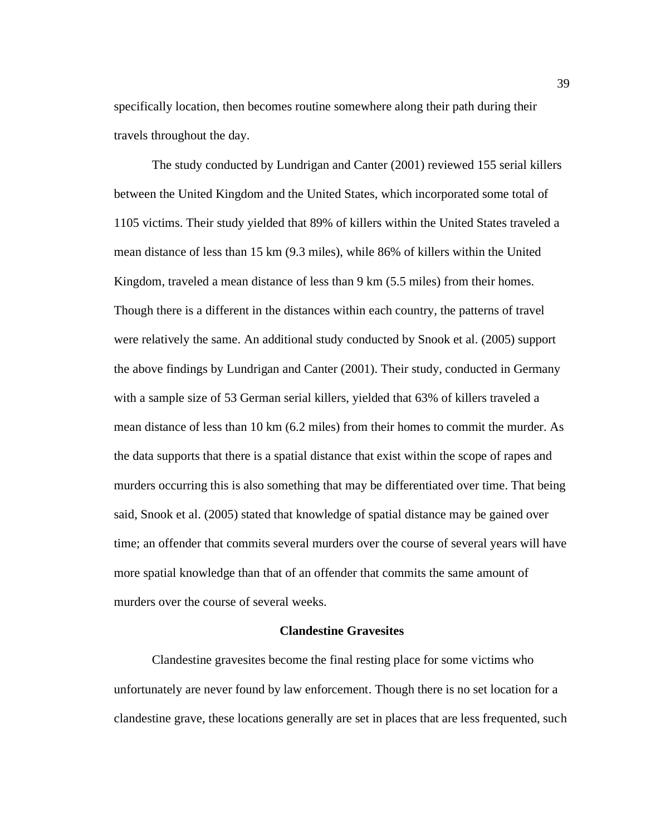specifically location, then becomes routine somewhere along their path during their travels throughout the day.

The study conducted by Lundrigan and Canter (2001) reviewed 155 serial killers between the United Kingdom and the United States, which incorporated some total of 1105 victims. Their study yielded that 89% of killers within the United States traveled a mean distance of less than 15 km (9.3 miles), while 86% of killers within the United Kingdom, traveled a mean distance of less than 9 km (5.5 miles) from their homes. Though there is a different in the distances within each country, the patterns of travel were relatively the same. An additional study conducted by Snook et al. (2005) support the above findings by Lundrigan and Canter (2001). Their study, conducted in Germany with a sample size of 53 German serial killers, yielded that 63% of killers traveled a mean distance of less than 10 km (6.2 miles) from their homes to commit the murder. As the data supports that there is a spatial distance that exist within the scope of rapes and murders occurring this is also something that may be differentiated over time. That being said, Snook et al. (2005) stated that knowledge of spatial distance may be gained over time; an offender that commits several murders over the course of several years will have more spatial knowledge than that of an offender that commits the same amount of murders over the course of several weeks.

#### **Clandestine Gravesites**

Clandestine gravesites become the final resting place for some victims who unfortunately are never found by law enforcement. Though there is no set location for a clandestine grave, these locations generally are set in places that are less frequented, such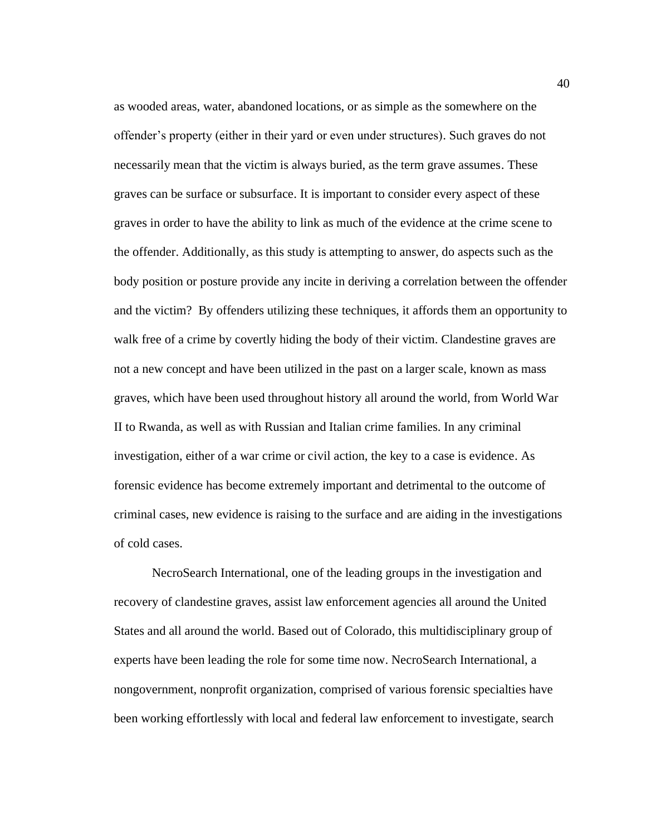as wooded areas, water, abandoned locations, or as simple as the somewhere on the offender's property (either in their yard or even under structures). Such graves do not necessarily mean that the victim is always buried, as the term grave assumes. These graves can be surface or subsurface. It is important to consider every aspect of these graves in order to have the ability to link as much of the evidence at the crime scene to the offender. Additionally, as this study is attempting to answer, do aspects such as the body position or posture provide any incite in deriving a correlation between the offender and the victim? By offenders utilizing these techniques, it affords them an opportunity to walk free of a crime by covertly hiding the body of their victim. Clandestine graves are not a new concept and have been utilized in the past on a larger scale, known as mass graves, which have been used throughout history all around the world, from World War II to Rwanda, as well as with Russian and Italian crime families. In any criminal investigation, either of a war crime or civil action, the key to a case is evidence. As forensic evidence has become extremely important and detrimental to the outcome of criminal cases, new evidence is raising to the surface and are aiding in the investigations of cold cases.

NecroSearch International, one of the leading groups in the investigation and recovery of clandestine graves, assist law enforcement agencies all around the United States and all around the world. Based out of Colorado, this multidisciplinary group of experts have been leading the role for some time now. NecroSearch International, a nongovernment, nonprofit organization, comprised of various forensic specialties have been working effortlessly with local and federal law enforcement to investigate, search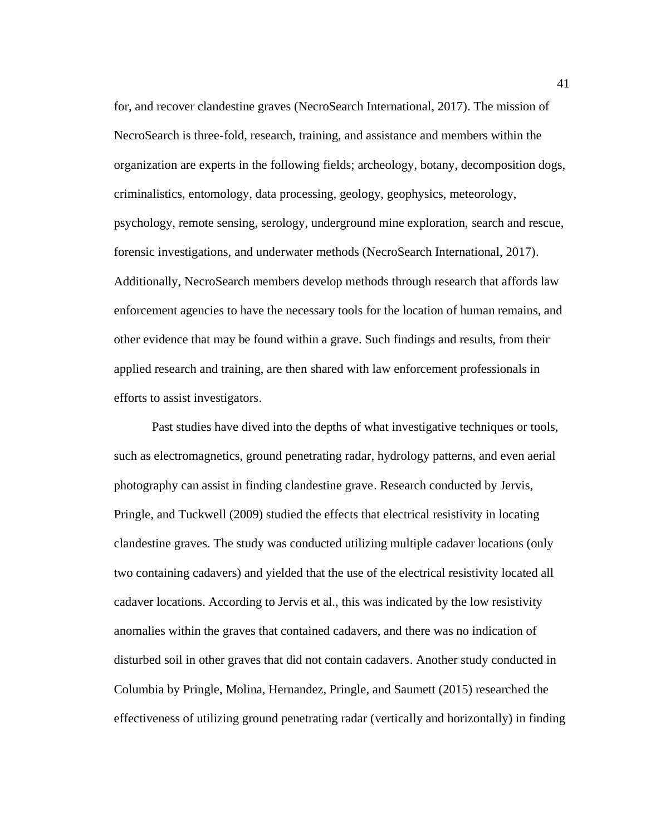for, and recover clandestine graves (NecroSearch International, 2017). The mission of NecroSearch is three-fold, research, training, and assistance and members within the organization are experts in the following fields; archeology, botany, decomposition dogs, criminalistics, entomology, data processing, geology, geophysics, meteorology, psychology, remote sensing, serology, underground mine exploration, search and rescue, forensic investigations, and underwater methods (NecroSearch International, 2017). Additionally, NecroSearch members develop methods through research that affords law enforcement agencies to have the necessary tools for the location of human remains, and other evidence that may be found within a grave. Such findings and results, from their applied research and training, are then shared with law enforcement professionals in efforts to assist investigators.

Past studies have dived into the depths of what investigative techniques or tools, such as electromagnetics, ground penetrating radar, hydrology patterns, and even aerial photography can assist in finding clandestine grave. Research conducted by Jervis, Pringle, and Tuckwell (2009) studied the effects that electrical resistivity in locating clandestine graves. The study was conducted utilizing multiple cadaver locations (only two containing cadavers) and yielded that the use of the electrical resistivity located all cadaver locations. According to Jervis et al., this was indicated by the low resistivity anomalies within the graves that contained cadavers, and there was no indication of disturbed soil in other graves that did not contain cadavers. Another study conducted in Columbia by Pringle, Molina, Hernandez, Pringle, and Saumett (2015) researched the effectiveness of utilizing ground penetrating radar (vertically and horizontally) in finding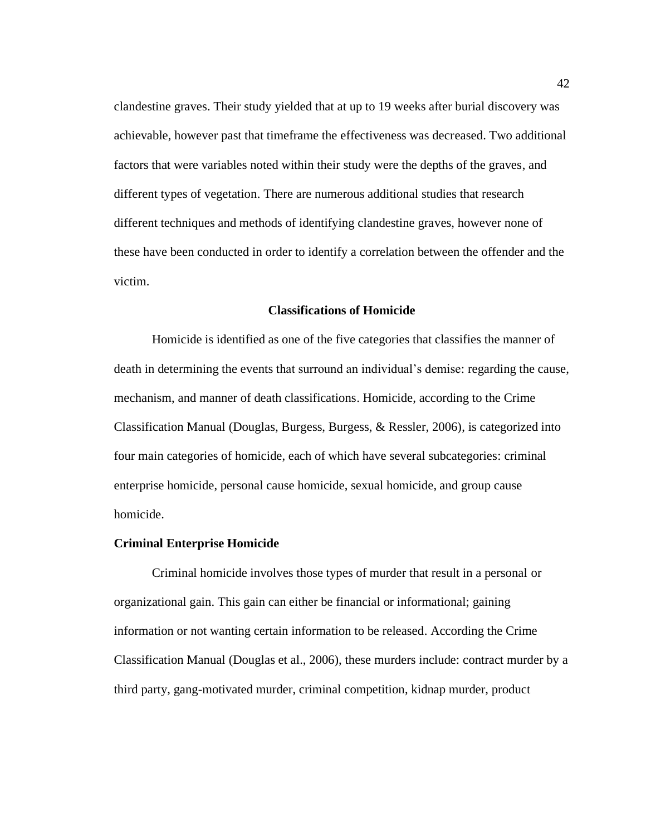clandestine graves. Their study yielded that at up to 19 weeks after burial discovery was achievable, however past that timeframe the effectiveness was decreased. Two additional factors that were variables noted within their study were the depths of the graves, and different types of vegetation. There are numerous additional studies that research different techniques and methods of identifying clandestine graves, however none of these have been conducted in order to identify a correlation between the offender and the victim.

## **Classifications of Homicide**

Homicide is identified as one of the five categories that classifies the manner of death in determining the events that surround an individual's demise: regarding the cause, mechanism, and manner of death classifications. Homicide, according to the Crime Classification Manual (Douglas, Burgess, Burgess, & Ressler, 2006), is categorized into four main categories of homicide, each of which have several subcategories: criminal enterprise homicide, personal cause homicide, sexual homicide, and group cause homicide.

#### **Criminal Enterprise Homicide**

Criminal homicide involves those types of murder that result in a personal or organizational gain. This gain can either be financial or informational; gaining information or not wanting certain information to be released. According the Crime Classification Manual (Douglas et al., 2006), these murders include: contract murder by a third party, gang-motivated murder, criminal competition, kidnap murder, product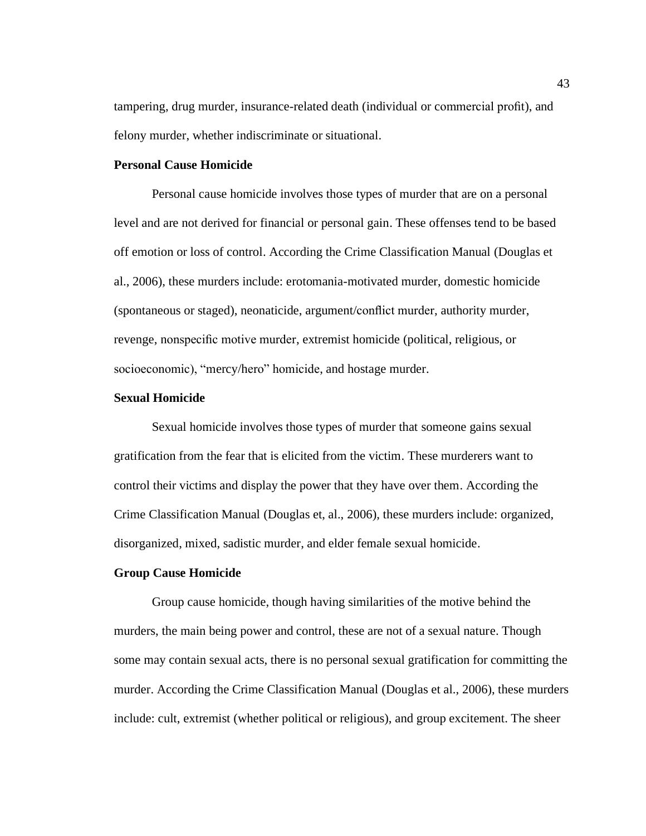tampering, drug murder, insurance-related death (individual or commercial profit), and felony murder, whether indiscriminate or situational.

# **Personal Cause Homicide**

Personal cause homicide involves those types of murder that are on a personal level and are not derived for financial or personal gain. These offenses tend to be based off emotion or loss of control. According the Crime Classification Manual (Douglas et al., 2006), these murders include: erotomania-motivated murder, domestic homicide (spontaneous or staged), neonaticide, argument/conflict murder, authority murder, revenge, nonspecific motive murder, extremist homicide (political, religious, or socioeconomic), "mercy/hero" homicide, and hostage murder.

## **Sexual Homicide**

Sexual homicide involves those types of murder that someone gains sexual gratification from the fear that is elicited from the victim. These murderers want to control their victims and display the power that they have over them. According the Crime Classification Manual (Douglas et, al., 2006), these murders include: organized, disorganized, mixed, sadistic murder, and elder female sexual homicide.

#### **Group Cause Homicide**

Group cause homicide, though having similarities of the motive behind the murders, the main being power and control, these are not of a sexual nature. Though some may contain sexual acts, there is no personal sexual gratification for committing the murder. According the Crime Classification Manual (Douglas et al., 2006), these murders include: cult, extremist (whether political or religious), and group excitement. The sheer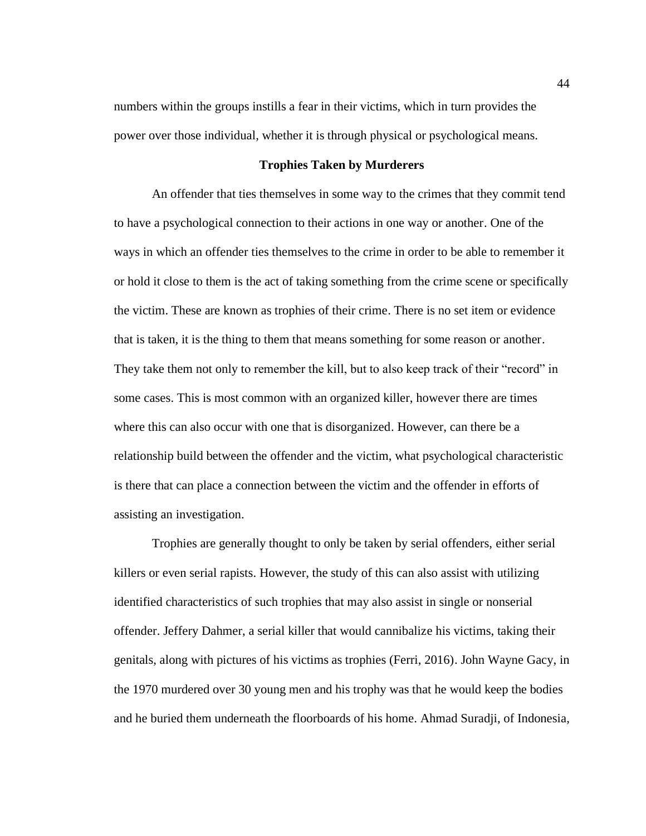numbers within the groups instills a fear in their victims, which in turn provides the power over those individual, whether it is through physical or psychological means.

# **Trophies Taken by Murderers**

An offender that ties themselves in some way to the crimes that they commit tend to have a psychological connection to their actions in one way or another. One of the ways in which an offender ties themselves to the crime in order to be able to remember it or hold it close to them is the act of taking something from the crime scene or specifically the victim. These are known as trophies of their crime. There is no set item or evidence that is taken, it is the thing to them that means something for some reason or another. They take them not only to remember the kill, but to also keep track of their "record" in some cases. This is most common with an organized killer, however there are times where this can also occur with one that is disorganized. However, can there be a relationship build between the offender and the victim, what psychological characteristic is there that can place a connection between the victim and the offender in efforts of assisting an investigation.

Trophies are generally thought to only be taken by serial offenders, either serial killers or even serial rapists. However, the study of this can also assist with utilizing identified characteristics of such trophies that may also assist in single or nonserial offender. Jeffery Dahmer, a serial killer that would cannibalize his victims, taking their genitals, along with pictures of his victims as trophies (Ferri, 2016). John Wayne Gacy, in the 1970 murdered over 30 young men and his trophy was that he would keep the bodies and he buried them underneath the floorboards of his home. Ahmad Suradji, of Indonesia,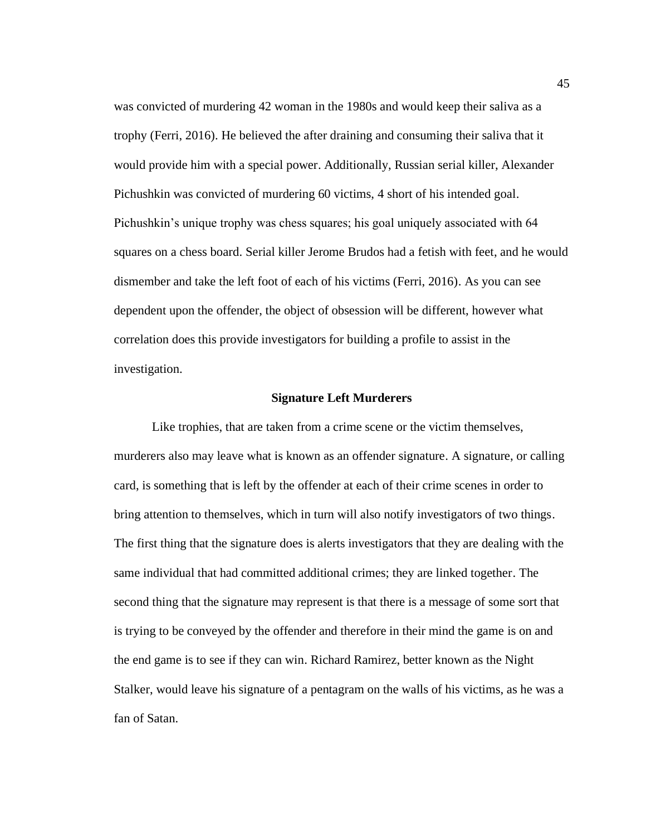was convicted of murdering 42 woman in the 1980s and would keep their saliva as a trophy (Ferri, 2016). He believed the after draining and consuming their saliva that it would provide him with a special power. Additionally, Russian serial killer, Alexander Pichushkin was convicted of murdering 60 victims, 4 short of his intended goal. Pichushkin's unique trophy was chess squares; his goal uniquely associated with 64 squares on a chess board. Serial killer Jerome Brudos had a fetish with feet, and he would dismember and take the left foot of each of his victims (Ferri, 2016). As you can see dependent upon the offender, the object of obsession will be different, however what correlation does this provide investigators for building a profile to assist in the investigation.

## **Signature Left Murderers**

Like trophies, that are taken from a crime scene or the victim themselves, murderers also may leave what is known as an offender signature. A signature, or calling card, is something that is left by the offender at each of their crime scenes in order to bring attention to themselves, which in turn will also notify investigators of two things. The first thing that the signature does is alerts investigators that they are dealing with the same individual that had committed additional crimes; they are linked together. The second thing that the signature may represent is that there is a message of some sort that is trying to be conveyed by the offender and therefore in their mind the game is on and the end game is to see if they can win. Richard Ramirez, better known as the Night Stalker, would leave his signature of a pentagram on the walls of his victims, as he was a fan of Satan.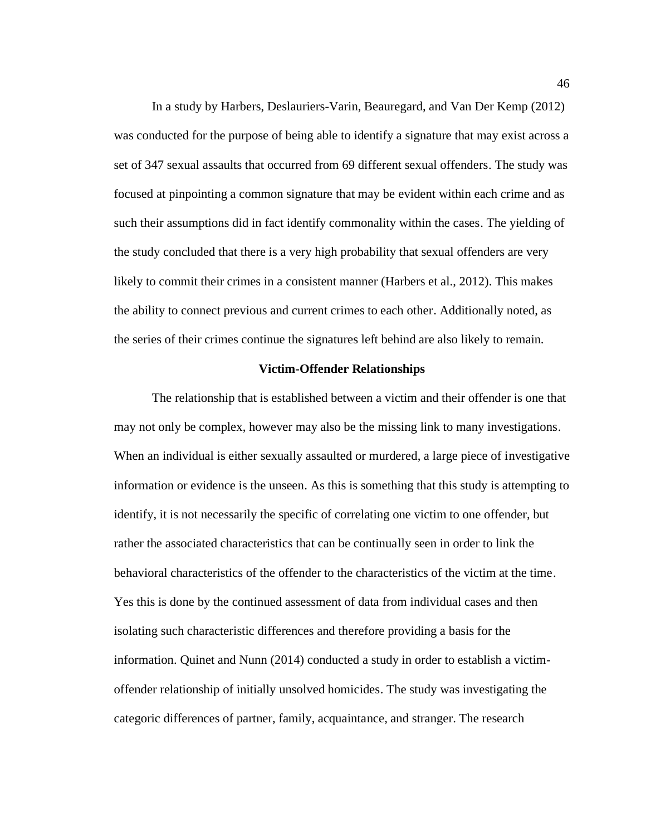In a study by Harbers, Deslauriers-Varin, Beauregard, and Van Der Kemp (2012) was conducted for the purpose of being able to identify a signature that may exist across a set of 347 sexual assaults that occurred from 69 different sexual offenders. The study was focused at pinpointing a common signature that may be evident within each crime and as such their assumptions did in fact identify commonality within the cases. The yielding of the study concluded that there is a very high probability that sexual offenders are very likely to commit their crimes in a consistent manner (Harbers et al., 2012). This makes the ability to connect previous and current crimes to each other. Additionally noted, as the series of their crimes continue the signatures left behind are also likely to remain.

## **Victim-Offender Relationships**

The relationship that is established between a victim and their offender is one that may not only be complex, however may also be the missing link to many investigations. When an individual is either sexually assaulted or murdered, a large piece of investigative information or evidence is the unseen. As this is something that this study is attempting to identify, it is not necessarily the specific of correlating one victim to one offender, but rather the associated characteristics that can be continually seen in order to link the behavioral characteristics of the offender to the characteristics of the victim at the time. Yes this is done by the continued assessment of data from individual cases and then isolating such characteristic differences and therefore providing a basis for the information. Quinet and Nunn (2014) conducted a study in order to establish a victimoffender relationship of initially unsolved homicides. The study was investigating the categoric differences of partner, family, acquaintance, and stranger. The research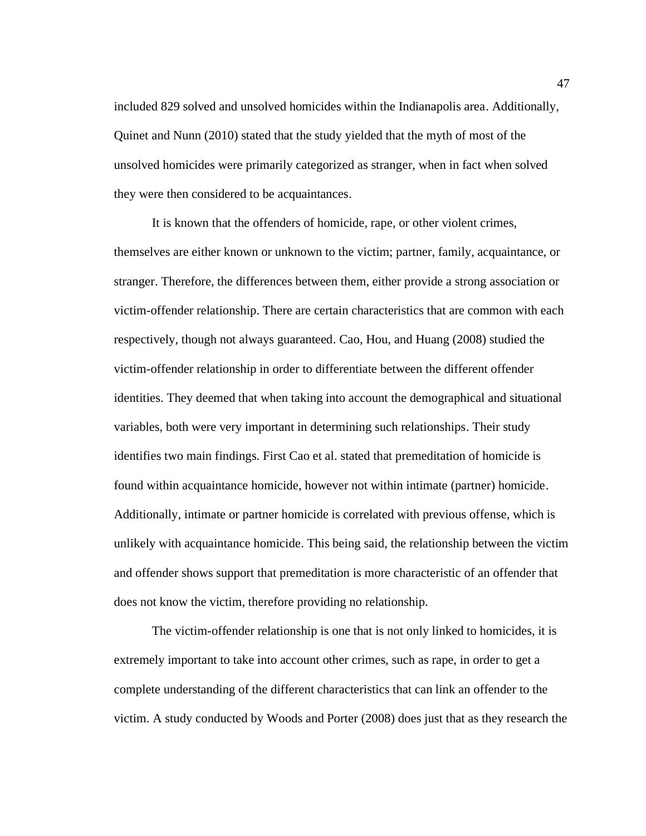included 829 solved and unsolved homicides within the Indianapolis area. Additionally, Quinet and Nunn (2010) stated that the study yielded that the myth of most of the unsolved homicides were primarily categorized as stranger, when in fact when solved they were then considered to be acquaintances.

It is known that the offenders of homicide, rape, or other violent crimes, themselves are either known or unknown to the victim; partner, family, acquaintance, or stranger. Therefore, the differences between them, either provide a strong association or victim-offender relationship. There are certain characteristics that are common with each respectively, though not always guaranteed. Cao, Hou, and Huang (2008) studied the victim-offender relationship in order to differentiate between the different offender identities. They deemed that when taking into account the demographical and situational variables, both were very important in determining such relationships. Their study identifies two main findings. First Cao et al. stated that premeditation of homicide is found within acquaintance homicide, however not within intimate (partner) homicide. Additionally, intimate or partner homicide is correlated with previous offense, which is unlikely with acquaintance homicide. This being said, the relationship between the victim and offender shows support that premeditation is more characteristic of an offender that does not know the victim, therefore providing no relationship.

The victim-offender relationship is one that is not only linked to homicides, it is extremely important to take into account other crimes, such as rape, in order to get a complete understanding of the different characteristics that can link an offender to the victim. A study conducted by Woods and Porter (2008) does just that as they research the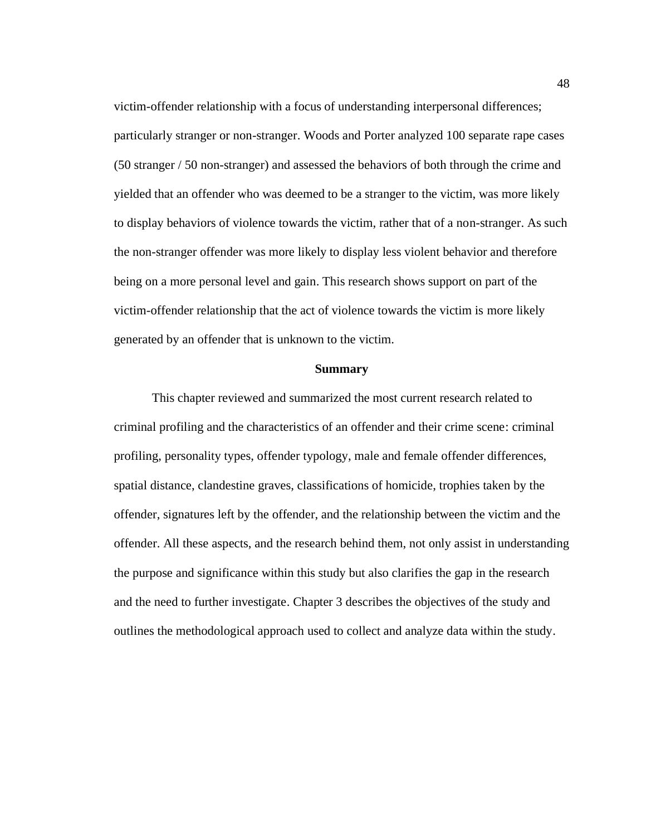victim-offender relationship with a focus of understanding interpersonal differences; particularly stranger or non-stranger. Woods and Porter analyzed 100 separate rape cases (50 stranger / 50 non-stranger) and assessed the behaviors of both through the crime and yielded that an offender who was deemed to be a stranger to the victim, was more likely to display behaviors of violence towards the victim, rather that of a non-stranger. As such the non-stranger offender was more likely to display less violent behavior and therefore being on a more personal level and gain. This research shows support on part of the victim-offender relationship that the act of violence towards the victim is more likely generated by an offender that is unknown to the victim.

# **Summary**

This chapter reviewed and summarized the most current research related to criminal profiling and the characteristics of an offender and their crime scene: criminal profiling, personality types, offender typology, male and female offender differences, spatial distance, clandestine graves, classifications of homicide, trophies taken by the offender, signatures left by the offender, and the relationship between the victim and the offender. All these aspects, and the research behind them, not only assist in understanding the purpose and significance within this study but also clarifies the gap in the research and the need to further investigate. Chapter 3 describes the objectives of the study and outlines the methodological approach used to collect and analyze data within the study.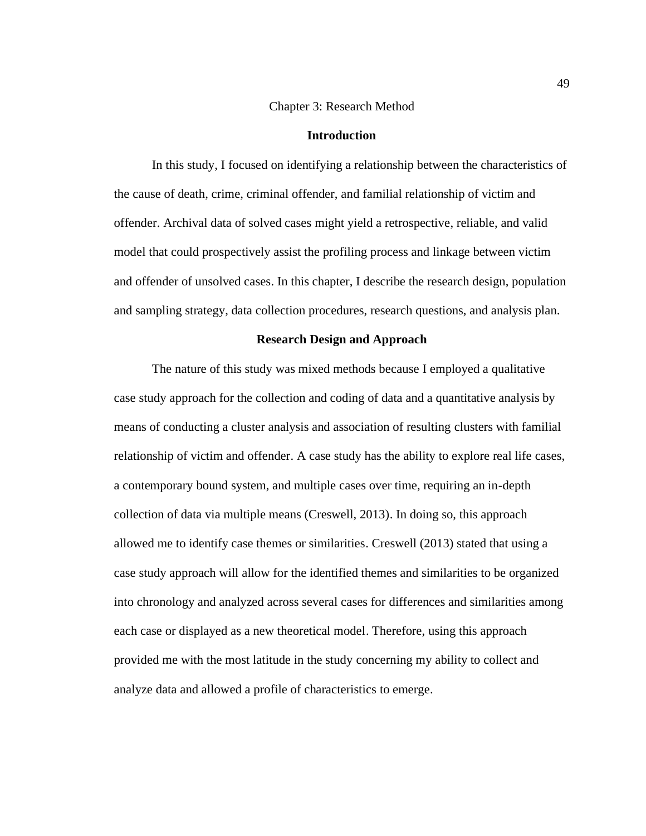## Chapter 3: Research Method

### **Introduction**

In this study, I focused on identifying a relationship between the characteristics of the cause of death, crime, criminal offender, and familial relationship of victim and offender. Archival data of solved cases might yield a retrospective, reliable, and valid model that could prospectively assist the profiling process and linkage between victim and offender of unsolved cases. In this chapter, I describe the research design, population and sampling strategy, data collection procedures, research questions, and analysis plan.

#### **Research Design and Approach**

The nature of this study was mixed methods because I employed a qualitative case study approach for the collection and coding of data and a quantitative analysis by means of conducting a cluster analysis and association of resulting clusters with familial relationship of victim and offender. A case study has the ability to explore real life cases, a contemporary bound system, and multiple cases over time, requiring an in-depth collection of data via multiple means (Creswell, 2013). In doing so, this approach allowed me to identify case themes or similarities. Creswell (2013) stated that using a case study approach will allow for the identified themes and similarities to be organized into chronology and analyzed across several cases for differences and similarities among each case or displayed as a new theoretical model. Therefore, using this approach provided me with the most latitude in the study concerning my ability to collect and analyze data and allowed a profile of characteristics to emerge.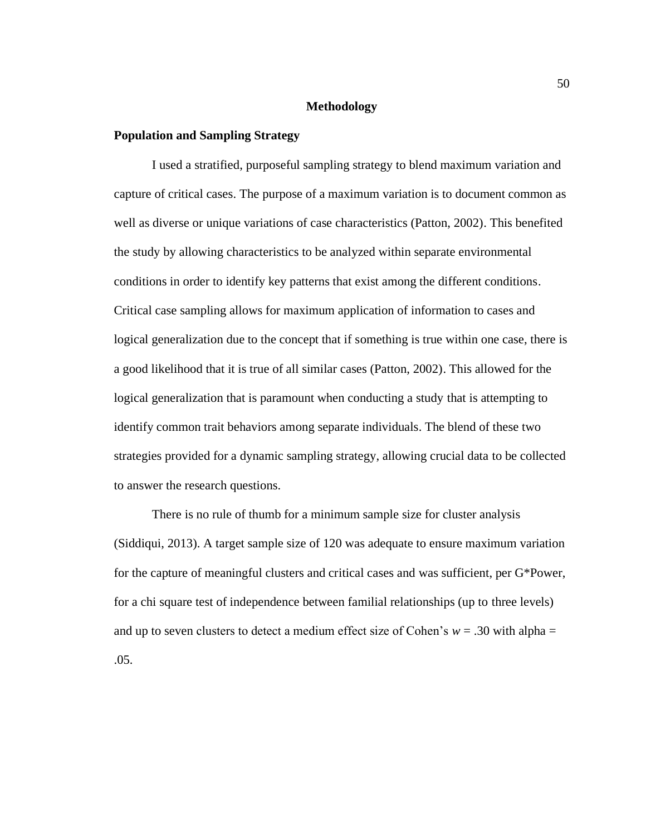### **Methodology**

## **Population and Sampling Strategy**

I used a stratified, purposeful sampling strategy to blend maximum variation and capture of critical cases. The purpose of a maximum variation is to document common as well as diverse or unique variations of case characteristics (Patton, 2002). This benefited the study by allowing characteristics to be analyzed within separate environmental conditions in order to identify key patterns that exist among the different conditions. Critical case sampling allows for maximum application of information to cases and logical generalization due to the concept that if something is true within one case, there is a good likelihood that it is true of all similar cases (Patton, 2002). This allowed for the logical generalization that is paramount when conducting a study that is attempting to identify common trait behaviors among separate individuals. The blend of these two strategies provided for a dynamic sampling strategy, allowing crucial data to be collected to answer the research questions.

There is no rule of thumb for a minimum sample size for cluster analysis (Siddiqui, 2013). A target sample size of 120 was adequate to ensure maximum variation for the capture of meaningful clusters and critical cases and was sufficient, per G\*Power, for a chi square test of independence between familial relationships (up to three levels) and up to seven clusters to detect a medium effect size of Cohen's  $w = .30$  with alpha = .05.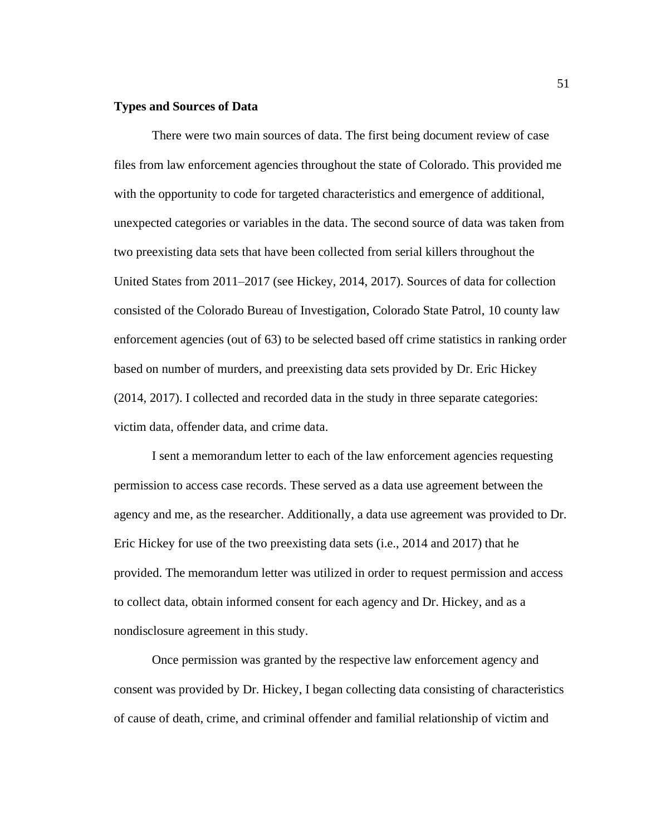## **Types and Sources of Data**

There were two main sources of data. The first being document review of case files from law enforcement agencies throughout the state of Colorado. This provided me with the opportunity to code for targeted characteristics and emergence of additional, unexpected categories or variables in the data. The second source of data was taken from two preexisting data sets that have been collected from serial killers throughout the United States from 2011–2017 (see Hickey, 2014, 2017). Sources of data for collection consisted of the Colorado Bureau of Investigation, Colorado State Patrol, 10 county law enforcement agencies (out of 63) to be selected based off crime statistics in ranking order based on number of murders, and preexisting data sets provided by Dr. Eric Hickey (2014, 2017). I collected and recorded data in the study in three separate categories: victim data, offender data, and crime data.

I sent a memorandum letter to each of the law enforcement agencies requesting permission to access case records. These served as a data use agreement between the agency and me, as the researcher. Additionally, a data use agreement was provided to Dr. Eric Hickey for use of the two preexisting data sets (i.e., 2014 and 2017) that he provided. The memorandum letter was utilized in order to request permission and access to collect data, obtain informed consent for each agency and Dr. Hickey, and as a nondisclosure agreement in this study.

Once permission was granted by the respective law enforcement agency and consent was provided by Dr. Hickey, I began collecting data consisting of characteristics of cause of death, crime, and criminal offender and familial relationship of victim and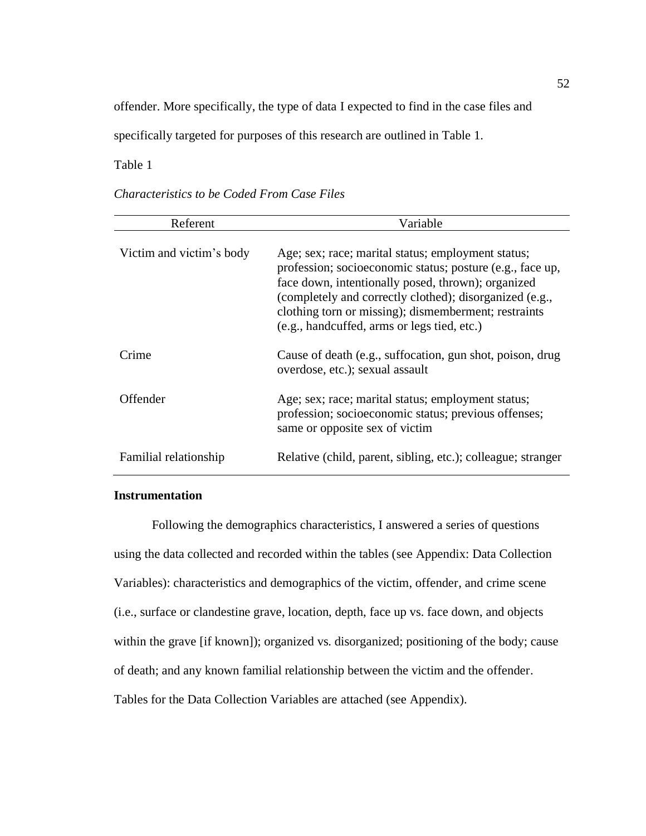offender. More specifically, the type of data I expected to find in the case files and

specifically targeted for purposes of this research are outlined in Table 1.

Table 1

| Referent                 | Variable                                                                                                                                                                                                                                                                                                                                |
|--------------------------|-----------------------------------------------------------------------------------------------------------------------------------------------------------------------------------------------------------------------------------------------------------------------------------------------------------------------------------------|
| Victim and victim's body | Age; sex; race; marital status; employment status;<br>profession; socioeconomic status; posture (e.g., face up,<br>face down, intentionally posed, thrown); organized<br>(completely and correctly clothed); disorganized (e.g.,<br>clothing torn or missing); dismemberment; restraints<br>(e.g., handcuffed, arms or legs tied, etc.) |
| Crime                    | Cause of death (e.g., suffocation, gun shot, poison, drug<br>overdose, etc.); sexual assault                                                                                                                                                                                                                                            |
| Offender                 | Age; sex; race; marital status; employment status;<br>profession; socioeconomic status; previous offenses;<br>same or opposite sex of victim                                                                                                                                                                                            |
| Familial relationship    | Relative (child, parent, sibling, etc.); colleague; stranger                                                                                                                                                                                                                                                                            |

*Characteristics to be Coded From Case Files*

# **Instrumentation**

Following the demographics characteristics, I answered a series of questions using the data collected and recorded within the tables (see Appendix: Data Collection Variables): characteristics and demographics of the victim, offender, and crime scene (i.e., surface or clandestine grave, location, depth, face up vs. face down, and objects within the grave [if known]); organized vs. disorganized; positioning of the body; cause of death; and any known familial relationship between the victim and the offender. Tables for the Data Collection Variables are attached (see Appendix).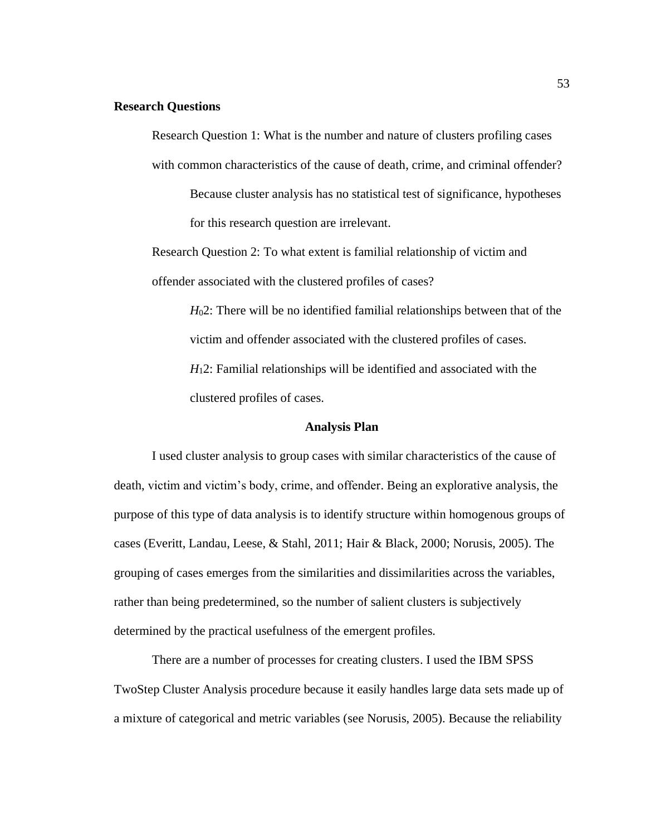## **Research Questions**

Research Question 1: What is the number and nature of clusters profiling cases with common characteristics of the cause of death, crime, and criminal offender?

Because cluster analysis has no statistical test of significance, hypotheses for this research question are irrelevant.

Research Question 2: To what extent is familial relationship of victim and offender associated with the clustered profiles of cases?

> *H*02: There will be no identified familial relationships between that of the victim and offender associated with the clustered profiles of cases. *H*12: Familial relationships will be identified and associated with the

clustered profiles of cases.

#### **Analysis Plan**

I used cluster analysis to group cases with similar characteristics of the cause of death, victim and victim's body, crime, and offender. Being an explorative analysis, the purpose of this type of data analysis is to identify structure within homogenous groups of cases (Everitt, Landau, Leese, & Stahl, 2011; Hair & Black, 2000; Norusis, 2005). The grouping of cases emerges from the similarities and dissimilarities across the variables, rather than being predetermined, so the number of salient clusters is subjectively determined by the practical usefulness of the emergent profiles.

There are a number of processes for creating clusters. I used the IBM SPSS TwoStep Cluster Analysis procedure because it easily handles large data sets made up of a mixture of categorical and metric variables (see Norusis, 2005). Because the reliability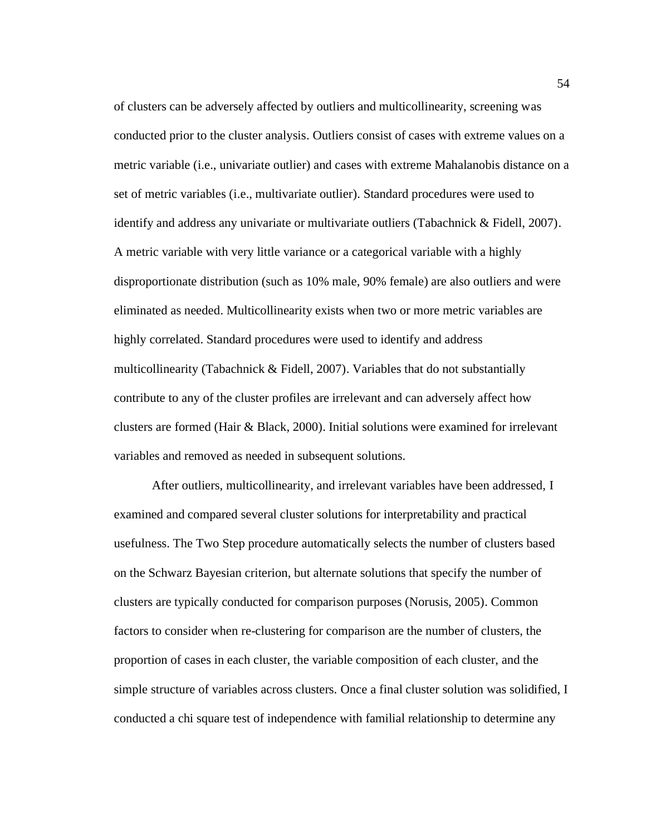of clusters can be adversely affected by outliers and multicollinearity, screening was conducted prior to the cluster analysis. Outliers consist of cases with extreme values on a metric variable (i.e., univariate outlier) and cases with extreme Mahalanobis distance on a set of metric variables (i.e., multivariate outlier). Standard procedures were used to identify and address any univariate or multivariate outliers (Tabachnick & Fidell, 2007). A metric variable with very little variance or a categorical variable with a highly disproportionate distribution (such as 10% male, 90% female) are also outliers and were eliminated as needed. Multicollinearity exists when two or more metric variables are highly correlated. Standard procedures were used to identify and address multicollinearity (Tabachnick & Fidell, 2007). Variables that do not substantially contribute to any of the cluster profiles are irrelevant and can adversely affect how clusters are formed (Hair & Black, 2000). Initial solutions were examined for irrelevant variables and removed as needed in subsequent solutions.

After outliers, multicollinearity, and irrelevant variables have been addressed, I examined and compared several cluster solutions for interpretability and practical usefulness. The Two Step procedure automatically selects the number of clusters based on the Schwarz Bayesian criterion, but alternate solutions that specify the number of clusters are typically conducted for comparison purposes (Norusis, 2005). Common factors to consider when re-clustering for comparison are the number of clusters, the proportion of cases in each cluster, the variable composition of each cluster, and the simple structure of variables across clusters. Once a final cluster solution was solidified, I conducted a chi square test of independence with familial relationship to determine any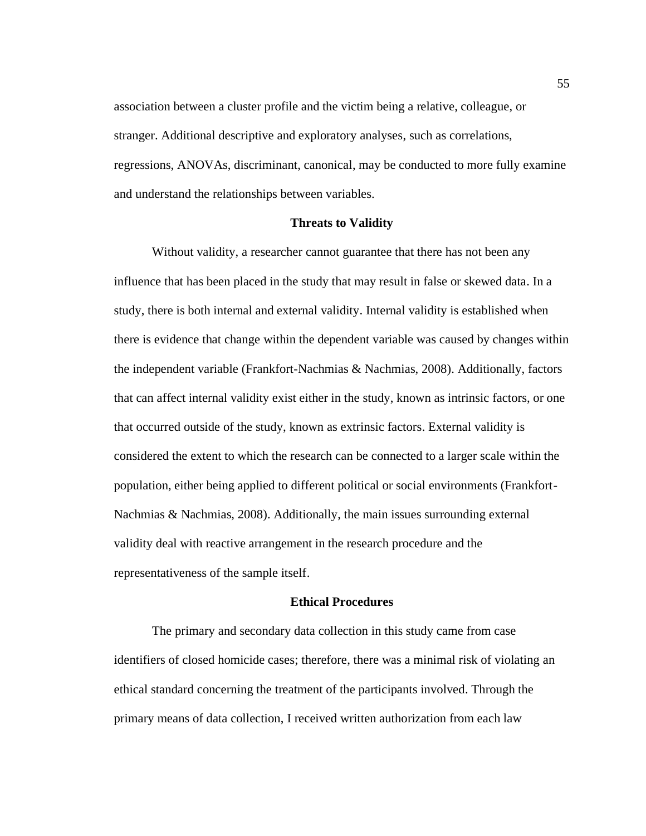association between a cluster profile and the victim being a relative, colleague, or stranger. Additional descriptive and exploratory analyses, such as correlations, regressions, ANOVAs, discriminant, canonical, may be conducted to more fully examine and understand the relationships between variables.

#### **Threats to Validity**

Without validity, a researcher cannot guarantee that there has not been any influence that has been placed in the study that may result in false or skewed data. In a study, there is both internal and external validity. Internal validity is established when there is evidence that change within the dependent variable was caused by changes within the independent variable (Frankfort-Nachmias & Nachmias, 2008). Additionally, factors that can affect internal validity exist either in the study, known as intrinsic factors, or one that occurred outside of the study, known as extrinsic factors. External validity is considered the extent to which the research can be connected to a larger scale within the population, either being applied to different political or social environments (Frankfort-Nachmias & Nachmias, 2008). Additionally, the main issues surrounding external validity deal with reactive arrangement in the research procedure and the representativeness of the sample itself.

# **Ethical Procedures**

The primary and secondary data collection in this study came from case identifiers of closed homicide cases; therefore, there was a minimal risk of violating an ethical standard concerning the treatment of the participants involved. Through the primary means of data collection, I received written authorization from each law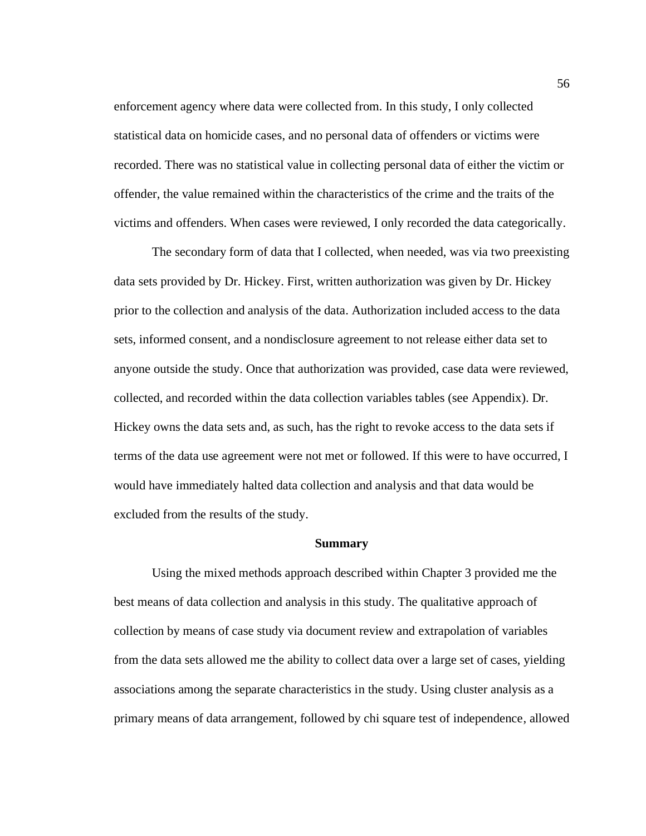enforcement agency where data were collected from. In this study, I only collected statistical data on homicide cases, and no personal data of offenders or victims were recorded. There was no statistical value in collecting personal data of either the victim or offender, the value remained within the characteristics of the crime and the traits of the victims and offenders. When cases were reviewed, I only recorded the data categorically.

The secondary form of data that I collected, when needed, was via two preexisting data sets provided by Dr. Hickey. First, written authorization was given by Dr. Hickey prior to the collection and analysis of the data. Authorization included access to the data sets, informed consent, and a nondisclosure agreement to not release either data set to anyone outside the study. Once that authorization was provided, case data were reviewed, collected, and recorded within the data collection variables tables (see Appendix). Dr. Hickey owns the data sets and, as such, has the right to revoke access to the data sets if terms of the data use agreement were not met or followed. If this were to have occurred, I would have immediately halted data collection and analysis and that data would be excluded from the results of the study.

### **Summary**

Using the mixed methods approach described within Chapter 3 provided me the best means of data collection and analysis in this study. The qualitative approach of collection by means of case study via document review and extrapolation of variables from the data sets allowed me the ability to collect data over a large set of cases, yielding associations among the separate characteristics in the study. Using cluster analysis as a primary means of data arrangement, followed by chi square test of independence, allowed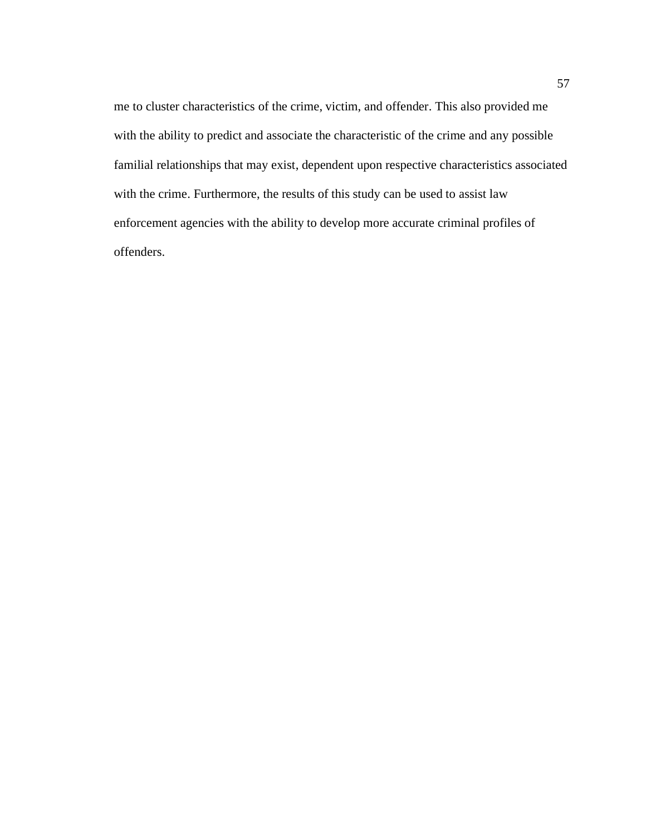me to cluster characteristics of the crime, victim, and offender. This also provided me with the ability to predict and associate the characteristic of the crime and any possible familial relationships that may exist, dependent upon respective characteristics associated with the crime. Furthermore, the results of this study can be used to assist law enforcement agencies with the ability to develop more accurate criminal profiles of offenders.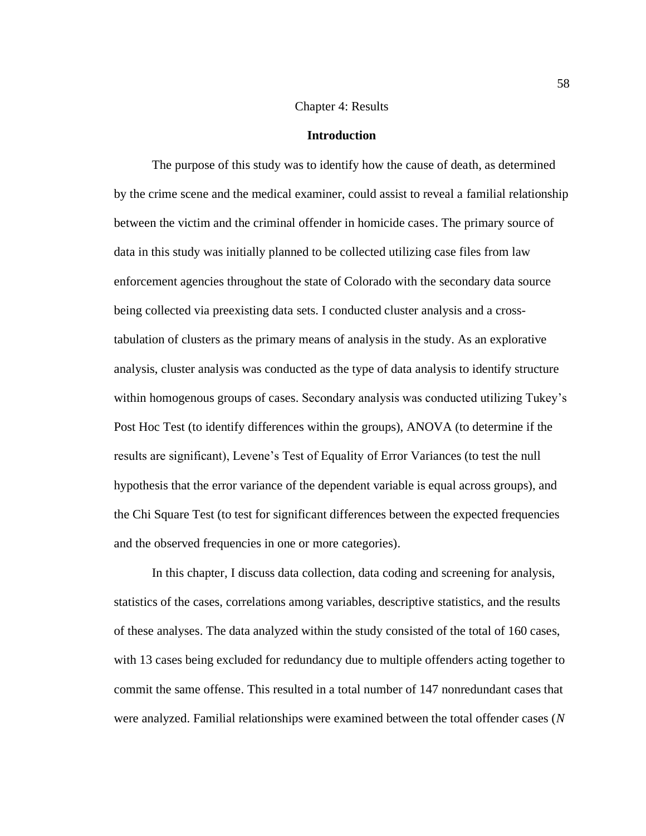# Chapter 4: Results

### **Introduction**

The purpose of this study was to identify how the cause of death, as determined by the crime scene and the medical examiner, could assist to reveal a familial relationship between the victim and the criminal offender in homicide cases. The primary source of data in this study was initially planned to be collected utilizing case files from law enforcement agencies throughout the state of Colorado with the secondary data source being collected via preexisting data sets. I conducted cluster analysis and a crosstabulation of clusters as the primary means of analysis in the study. As an explorative analysis, cluster analysis was conducted as the type of data analysis to identify structure within homogenous groups of cases. Secondary analysis was conducted utilizing Tukey's Post Hoc Test (to identify differences within the groups), ANOVA (to determine if the results are significant), Levene's Test of Equality of Error Variances (to test the null hypothesis that the error variance of the dependent variable is equal across groups), and the Chi Square Test (to test for significant differences between the expected frequencies and the observed frequencies in one or more categories).

In this chapter, I discuss data collection, data coding and screening for analysis, statistics of the cases, correlations among variables, descriptive statistics, and the results of these analyses. The data analyzed within the study consisted of the total of 160 cases, with 13 cases being excluded for redundancy due to multiple offenders acting together to commit the same offense. This resulted in a total number of 147 nonredundant cases that were analyzed. Familial relationships were examined between the total offender cases (*N*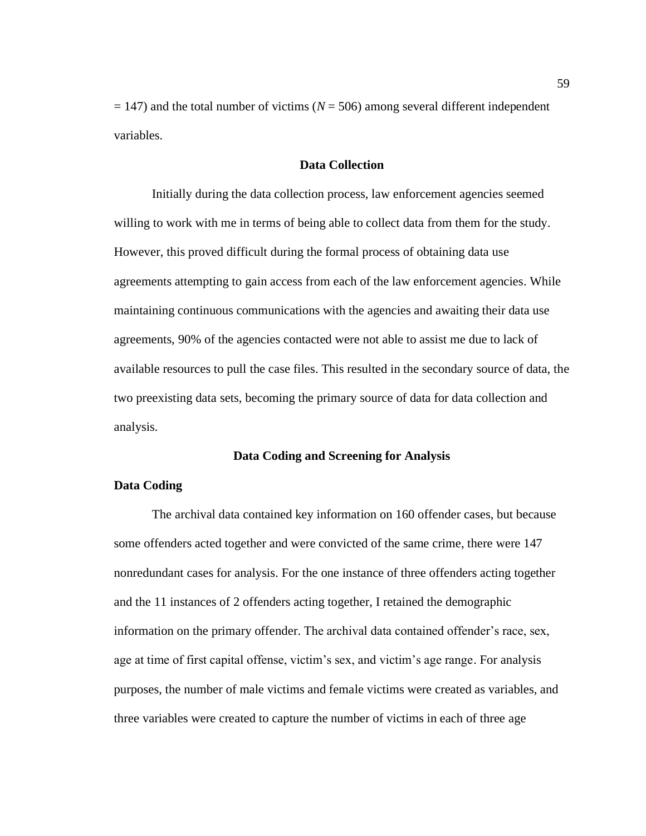$= 147$ ) and the total number of victims ( $N = 506$ ) among several different independent variables.

# **Data Collection**

Initially during the data collection process, law enforcement agencies seemed willing to work with me in terms of being able to collect data from them for the study. However, this proved difficult during the formal process of obtaining data use agreements attempting to gain access from each of the law enforcement agencies. While maintaining continuous communications with the agencies and awaiting their data use agreements, 90% of the agencies contacted were not able to assist me due to lack of available resources to pull the case files. This resulted in the secondary source of data, the two preexisting data sets, becoming the primary source of data for data collection and analysis.

# **Data Coding and Screening for Analysis**

# **Data Coding**

The archival data contained key information on 160 offender cases, but because some offenders acted together and were convicted of the same crime, there were 147 nonredundant cases for analysis. For the one instance of three offenders acting together and the 11 instances of 2 offenders acting together, I retained the demographic information on the primary offender. The archival data contained offender's race, sex, age at time of first capital offense, victim's sex, and victim's age range. For analysis purposes, the number of male victims and female victims were created as variables, and three variables were created to capture the number of victims in each of three age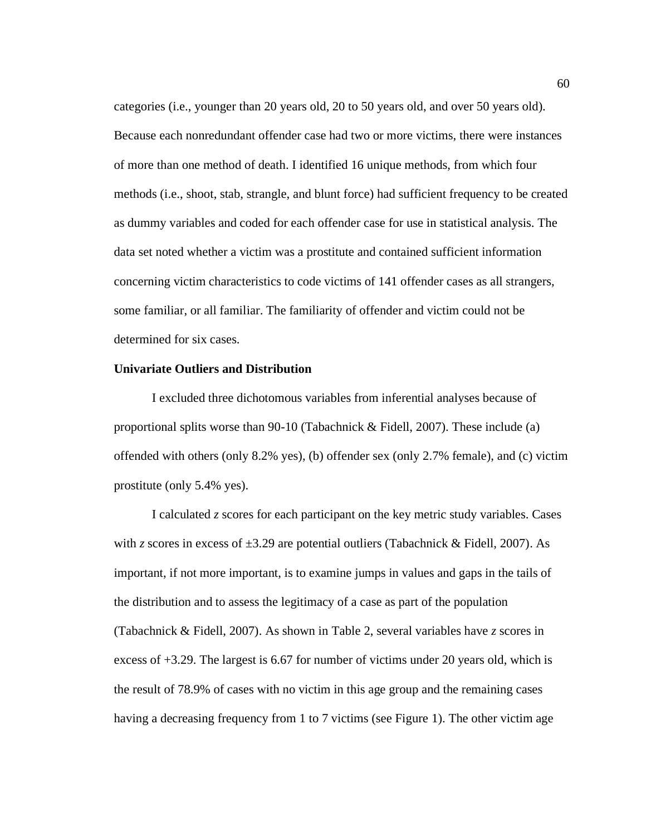categories (i.e., younger than 20 years old, 20 to 50 years old, and over 50 years old). Because each nonredundant offender case had two or more victims, there were instances of more than one method of death. I identified 16 unique methods, from which four methods (i.e., shoot, stab, strangle, and blunt force) had sufficient frequency to be created as dummy variables and coded for each offender case for use in statistical analysis. The data set noted whether a victim was a prostitute and contained sufficient information concerning victim characteristics to code victims of 141 offender cases as all strangers, some familiar, or all familiar. The familiarity of offender and victim could not be determined for six cases.

# **Univariate Outliers and Distribution**

I excluded three dichotomous variables from inferential analyses because of proportional splits worse than 90-10 (Tabachnick & Fidell, 2007). These include (a) offended with others (only 8.2% yes), (b) offender sex (only 2.7% female), and (c) victim prostitute (only 5.4% yes).

I calculated *z* scores for each participant on the key metric study variables. Cases with *z* scores in excess of  $\pm 3.29$  are potential outliers (Tabachnick & Fidell, 2007). As important, if not more important, is to examine jumps in values and gaps in the tails of the distribution and to assess the legitimacy of a case as part of the population (Tabachnick & Fidell, 2007). As shown in Table 2, several variables have *z* scores in excess of +3.29. The largest is 6.67 for number of victims under 20 years old, which is the result of 78.9% of cases with no victim in this age group and the remaining cases having a decreasing frequency from 1 to 7 victims (see Figure 1). The other victim age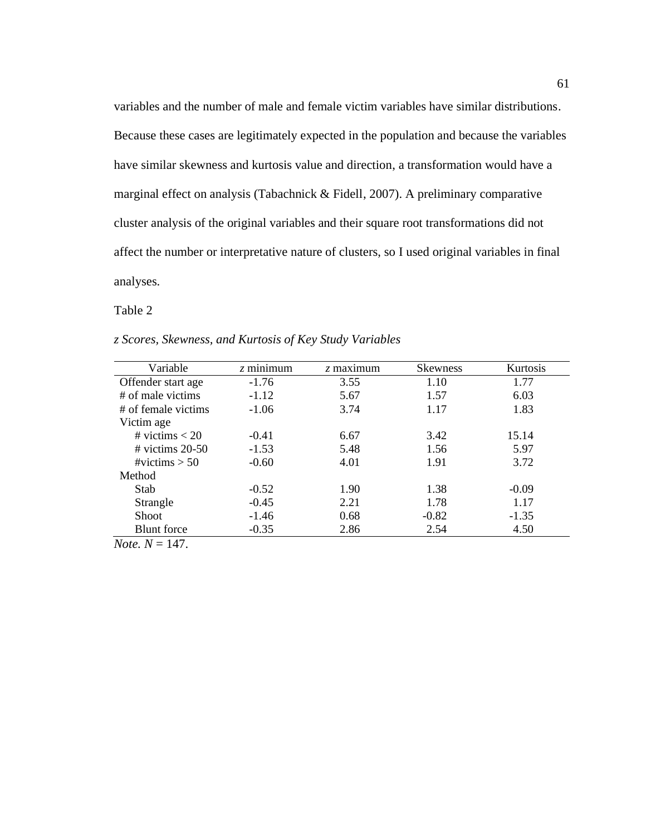variables and the number of male and female victim variables have similar distributions. Because these cases are legitimately expected in the population and because the variables have similar skewness and kurtosis value and direction, a transformation would have a marginal effect on analysis (Tabachnick & Fidell, 2007). A preliminary comparative cluster analysis of the original variables and their square root transformations did not affect the number or interpretative nature of clusters, so I used original variables in final analyses.

# Table 2

| z Scores, Skewness, and Kurtosis of Key Study Variables |  |  |  |
|---------------------------------------------------------|--|--|--|
|---------------------------------------------------------|--|--|--|

| Variable                  | $z$ minimum | $\zeta$ maximum | <b>Skewness</b> | Kurtosis |
|---------------------------|-------------|-----------------|-----------------|----------|
| Offender start age        | $-1.76$     | 3.55            | 1.10            | 1.77     |
| # of male victims         | $-1.12$     | 5.67            | 1.57            | 6.03     |
| # of female victims       | $-1.06$     | 3.74            | 1.17            | 1.83     |
| Victim age                |             |                 |                 |          |
| # victims $< 20$          | $-0.41$     | 6.67            | 3.42            | 15.14    |
| $\#$ victims 20-50        | $-1.53$     | 5.48            | 1.56            | 5.97     |
| #victims $> 50$           | $-0.60$     | 4.01            | 1.91            | 3.72     |
| Method                    |             |                 |                 |          |
| Stab                      | $-0.52$     | 1.90            | 1.38            | $-0.09$  |
| Strangle                  | $-0.45$     | 2.21            | 1.78            | 1.17     |
| Shoot                     | $-1.46$     | 0.68            | $-0.82$         | $-1.35$  |
| <b>Blunt</b> force        | $-0.35$     | 2.86            | 2.54            | 4.50     |
| <i>Note</i> . $N = 147$ . |             |                 |                 |          |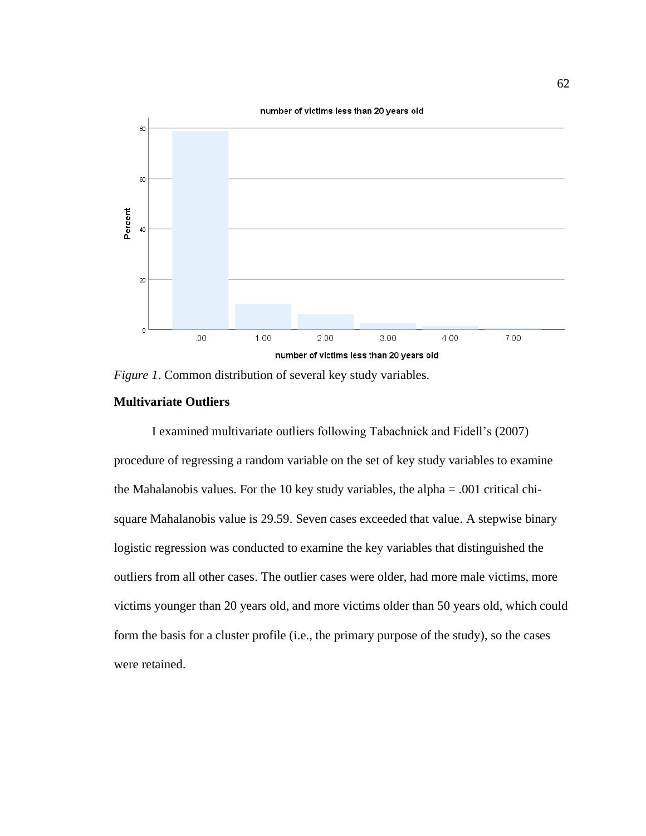

*Figure 1*. Common distribution of several key study variables.

# **Multivariate Outliers**

I examined multivariate outliers following Tabachnick and Fidell's (2007) procedure of regressing a random variable on the set of key study variables to examine the Mahalanobis values. For the 10 key study variables, the alpha = .001 critical chisquare Mahalanobis value is 29.59. Seven cases exceeded that value. A stepwise binary logistic regression was conducted to examine the key variables that distinguished the outliers from all other cases. The outlier cases were older, had more male victims, more victims younger than 20 years old, and more victims older than 50 years old, which could form the basis for a cluster profile (i.e., the primary purpose of the study), so the cases were retained.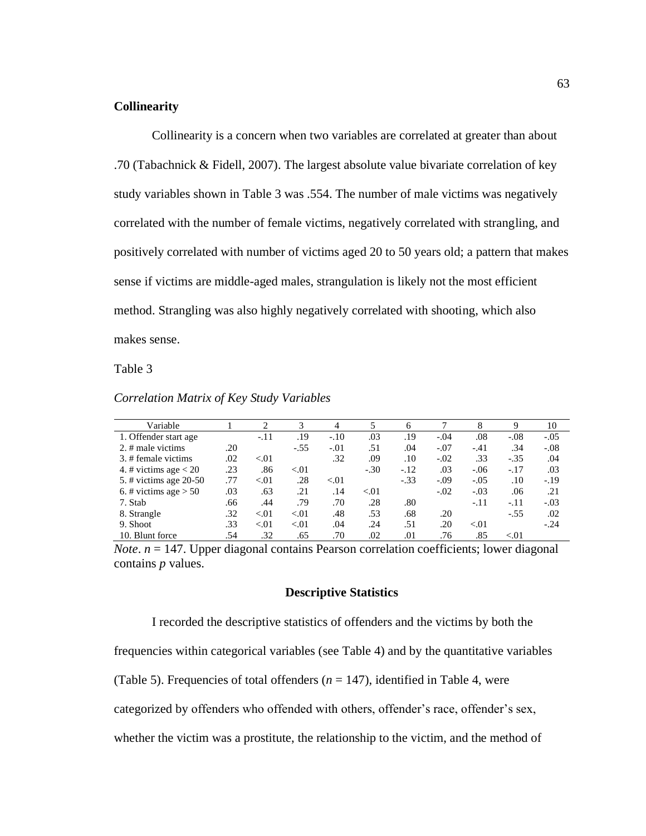# **Collinearity**

Collinearity is a concern when two variables are correlated at greater than about .70 (Tabachnick & Fidell, 2007). The largest absolute value bivariate correlation of key study variables shown in Table 3 was .554. The number of male victims was negatively correlated with the number of female victims, negatively correlated with strangling, and positively correlated with number of victims aged 20 to 50 years old; a pattern that makes sense if victims are middle-aged males, strangulation is likely not the most efficient method. Strangling was also highly negatively correlated with shooting, which also makes sense.

Table 3

*Correlation Matrix of Key Study Variables*

| Variable                |     | $\mathfrak{D}_{\mathfrak{p}}$ | 3      | 4      | 5      | 6      |        | 8      | 9      | 10     |
|-------------------------|-----|-------------------------------|--------|--------|--------|--------|--------|--------|--------|--------|
| 1. Offender start age   |     | $-.11$                        | .19    | $-.10$ | .03    | .19    | $-.04$ | .08    | $-.08$ | $-.05$ |
| 2. $#$ male victims     | .20 |                               | $-.55$ | $-.01$ | .51    | .04    | $-.07$ | $-.41$ | .34    | $-.08$ |
| 3. # female victims     | .02 | < 0.01                        |        | .32    | .09    | .10    | $-.02$ | .33    | $-.35$ | .04    |
| 4. # victims age $< 20$ | .23 | .86                           | < 01   |        | $-.30$ | $-.12$ | .03    | $-.06$ | $-.17$ | .03    |
| 5. # victims age 20-50  | .77 | < 0.01                        | .28    | < 01   |        | $-.33$ | $-.09$ | $-.05$ | .10    | $-.19$ |
| 6. # victims age $> 50$ | .03 | .63                           | .21    | .14    | < 01   |        | $-.02$ | $-.03$ | .06    | .21    |
| 7. Stab                 | .66 | .44                           | .79    | .70    | .28    | .80    |        | $-.11$ | $-.11$ | $-.03$ |
| 8. Strangle             | .32 | < 0.01                        | < 01   | .48    | .53    | .68    | .20    |        | $-.55$ | .02    |
| 9. Shoot                | .33 | < 0.01                        | < 01   | .04    | .24    | .51    | .20    | < 0.01 |        | $-.24$ |
| 10. Blunt force         | .54 | .32                           | .65    | .70    | .02    | .01    | .76    | .85    | < 01   |        |

*Note*. *n* = 147. Upper diagonal contains Pearson correlation coefficients; lower diagonal contains *p* values.

# **Descriptive Statistics**

I recorded the descriptive statistics of offenders and the victims by both the

frequencies within categorical variables (see Table 4) and by the quantitative variables

(Table 5). Frequencies of total offenders  $(n = 147)$ , identified in Table 4, were

categorized by offenders who offended with others, offender's race, offender's sex,

whether the victim was a prostitute, the relationship to the victim, and the method of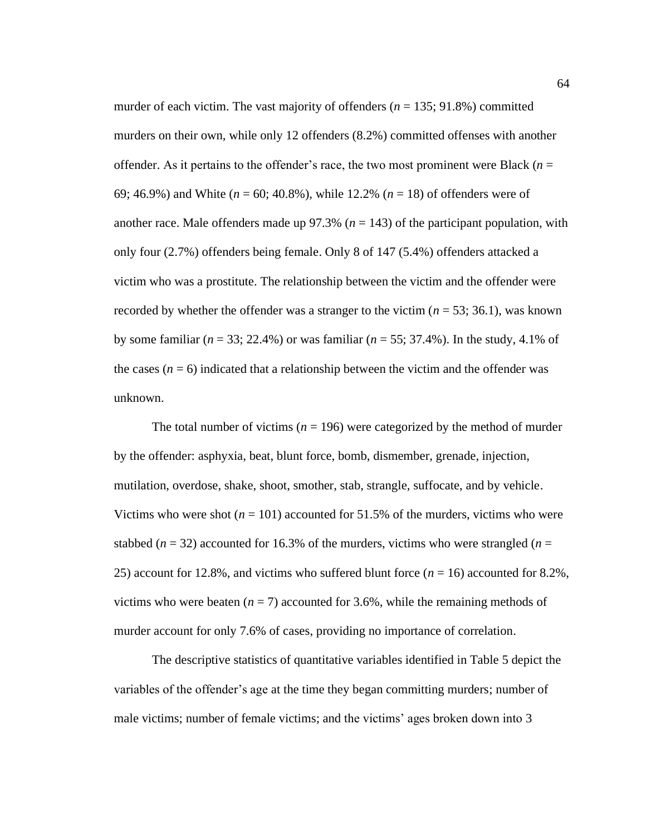murder of each victim. The vast majority of offenders  $(n = 135; 91.8\%)$  committed murders on their own, while only 12 offenders (8.2%) committed offenses with another offender. As it pertains to the offender's race, the two most prominent were Black ( $n =$ 69; 46.9%) and White (*n* = 60; 40.8%), while 12.2% (*n* = 18) of offenders were of another race. Male offenders made up  $97.3\%$  ( $n = 143$ ) of the participant population, with only four (2.7%) offenders being female. Only 8 of 147 (5.4%) offenders attacked a victim who was a prostitute. The relationship between the victim and the offender were recorded by whether the offender was a stranger to the victim  $(n = 53; 36.1)$ , was known by some familiar (*n* = 33; 22.4%) or was familiar (*n* = 55; 37.4%). In the study, 4.1% of the cases  $(n = 6)$  indicated that a relationship between the victim and the offender was unknown.

The total number of victims ( $n = 196$ ) were categorized by the method of murder by the offender: asphyxia, beat, blunt force, bomb, dismember, grenade, injection, mutilation, overdose, shake, shoot, smother, stab, strangle, suffocate, and by vehicle. Victims who were shot  $(n = 101)$  accounted for 51.5% of the murders, victims who were stabbed ( $n = 32$ ) accounted for 16.3% of the murders, victims who were strangled ( $n =$ 25) account for 12.8%, and victims who suffered blunt force  $(n = 16)$  accounted for 8.2%, victims who were beaten  $(n = 7)$  accounted for 3.6%, while the remaining methods of murder account for only 7.6% of cases, providing no importance of correlation.

The descriptive statistics of quantitative variables identified in Table 5 depict the variables of the offender's age at the time they began committing murders; number of male victims; number of female victims; and the victims' ages broken down into 3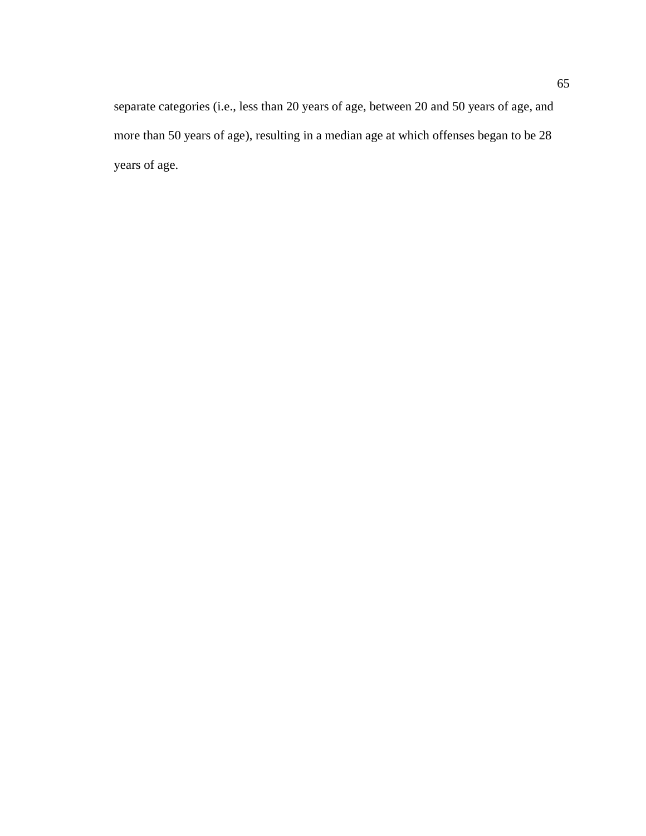separate categories (i.e., less than 20 years of age, between 20 and 50 years of age, and more than 50 years of age), resulting in a median age at which offenses began to be 28 years of age.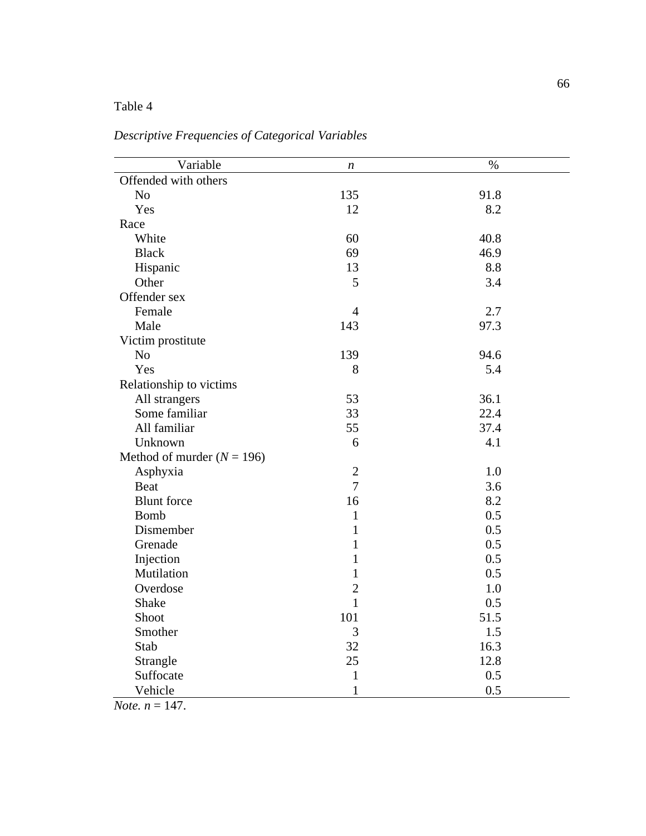# Table 4

| Variable                     | $\boldsymbol{n}$ | $\%$ |
|------------------------------|------------------|------|
| Offended with others         |                  |      |
| N <sub>o</sub>               | 135              | 91.8 |
| Yes                          | 12               | 8.2  |
| Race                         |                  |      |
| White                        | 60               | 40.8 |
| <b>Black</b>                 | 69               | 46.9 |
| Hispanic                     | 13               | 8.8  |
| Other                        | 5                | 3.4  |
| Offender sex                 |                  |      |
| Female                       | $\overline{4}$   | 2.7  |
| Male                         | 143              | 97.3 |
| Victim prostitute            |                  |      |
| N <sub>o</sub>               | 139              | 94.6 |
| Yes                          | 8                | 5.4  |
| Relationship to victims      |                  |      |
| All strangers                | 53               | 36.1 |
| Some familiar                | 33               | 22.4 |
| All familiar                 | 55               | 37.4 |
| Unknown                      | 6                | 4.1  |
| Method of murder $(N = 196)$ |                  |      |
| Asphyxia                     | $\overline{2}$   | 1.0  |
| <b>Beat</b>                  | $\overline{7}$   | 3.6  |
| <b>Blunt</b> force           | 16               | 8.2  |
| <b>Bomb</b>                  | $\mathbf{1}$     | 0.5  |
| Dismember                    | $\mathbf{1}$     | 0.5  |
| Grenade                      | $\mathbf{1}$     | 0.5  |
| Injection                    | $\mathbf{1}$     | 0.5  |
| Mutilation                   | $\mathbf{1}$     | 0.5  |
| Overdose                     | $\overline{c}$   | 1.0  |
| Shake                        | $\mathbf{1}$     | 0.5  |
| Shoot                        | 101              | 51.5 |
| Smother                      | 3                | 1.5  |
| Stab                         | 32               | 16.3 |
| Strangle                     | 25               | 12.8 |
| Suffocate                    | $\mathbf{1}$     | 0.5  |
| Vehicle                      | $\mathbf{1}$     | 0.5  |

*Descriptive Frequencies of Categorical Variables*

*Note.*  $n = 147$ .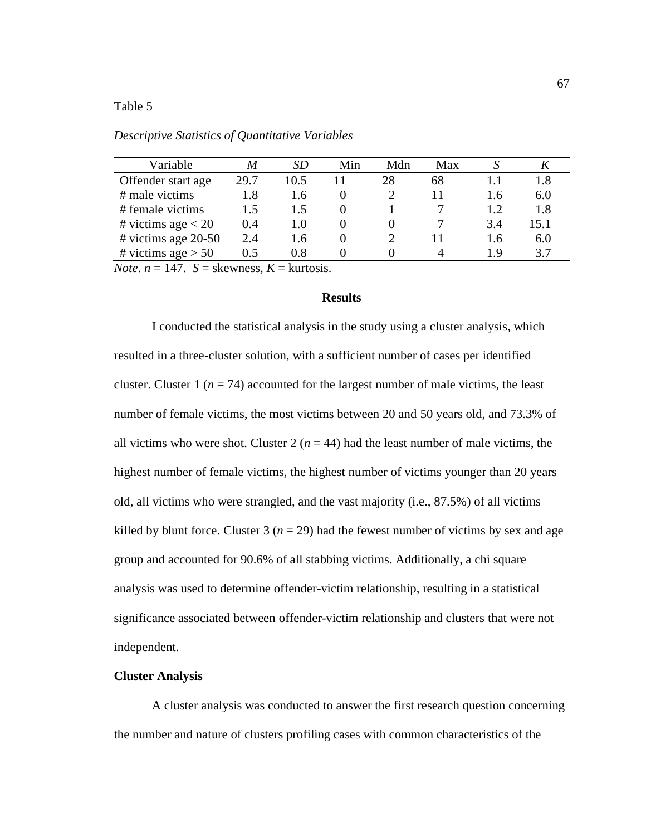# Table 5

| Variable               | M    | SD.  | Min | Mdn | Max |     |      |
|------------------------|------|------|-----|-----|-----|-----|------|
| Offender start age     | 29.7 | 10.5 |     | 28  | 68  |     | 1.8  |
| # male victims         | 1.8  | 1.6  |     |     |     | 1.6 | 6.0  |
| # female victims       | 1.5  | 1.5  |     |     |     | 1.2 | 1.8  |
| # victims age $< 20$   | 0.4  | 1.0  |     |     |     | 3.4 | 15.1 |
| $\#$ victims age 20-50 | 2.4  | 1.6  |     |     |     | 1.6 | 6.0  |
| # victims age $> 50$   | 0.5  | 0.8  |     |     |     | 19  | 3.7  |

*Descriptive Statistics of Quantitative Variables*

*Note*.  $n = 147$ .  $S =$  skewness,  $K =$  kurtosis.

# **Results**

I conducted the statistical analysis in the study using a cluster analysis, which resulted in a three-cluster solution, with a sufficient number of cases per identified cluster. Cluster 1 ( $n = 74$ ) accounted for the largest number of male victims, the least number of female victims, the most victims between 20 and 50 years old, and 73.3% of all victims who were shot. Cluster  $2(n = 44)$  had the least number of male victims, the highest number of female victims, the highest number of victims younger than 20 years old, all victims who were strangled, and the vast majority (i.e., 87.5%) of all victims killed by blunt force. Cluster 3 ( $n = 29$ ) had the fewest number of victims by sex and age group and accounted for 90.6% of all stabbing victims. Additionally, a chi square analysis was used to determine offender-victim relationship, resulting in a statistical significance associated between offender-victim relationship and clusters that were not independent.

# **Cluster Analysis**

A cluster analysis was conducted to answer the first research question concerning the number and nature of clusters profiling cases with common characteristics of the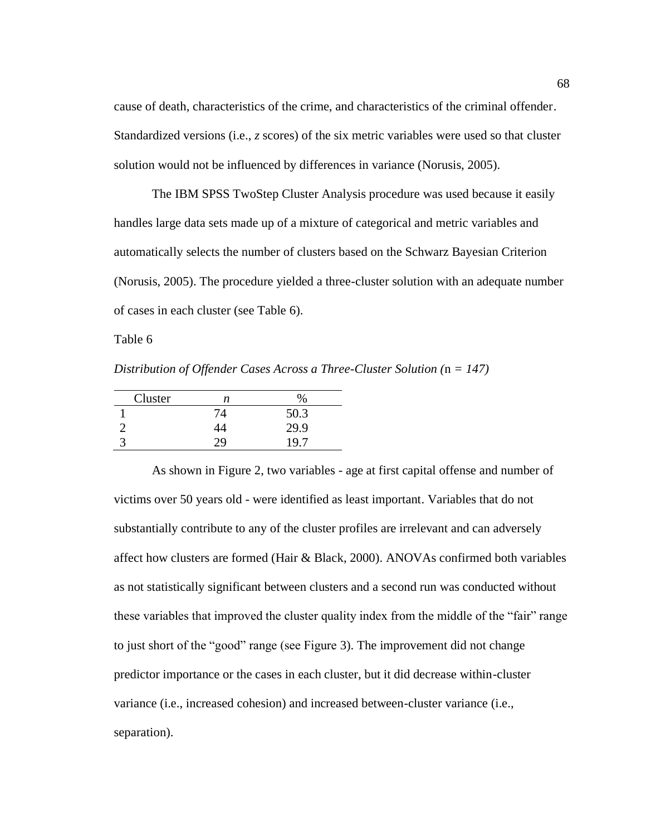cause of death, characteristics of the crime, and characteristics of the criminal offender. Standardized versions (i.e., *z* scores) of the six metric variables were used so that cluster solution would not be influenced by differences in variance (Norusis, 2005).

The IBM SPSS TwoStep Cluster Analysis procedure was used because it easily handles large data sets made up of a mixture of categorical and metric variables and automatically selects the number of clusters based on the Schwarz Bayesian Criterion (Norusis, 2005). The procedure yielded a three-cluster solution with an adequate number of cases in each cluster (see Table 6).

Table 6

*Distribution of Offender Cases Across a Three-Cluster Solution (*n *= 147)*

| Cluster | n  |      |
|---------|----|------|
|         | 74 | 50.3 |
|         | 44 | 29.9 |
|         |    | 19.7 |
|         |    |      |

As shown in Figure 2, two variables - age at first capital offense and number of victims over 50 years old - were identified as least important. Variables that do not substantially contribute to any of the cluster profiles are irrelevant and can adversely affect how clusters are formed (Hair & Black, 2000). ANOVAs confirmed both variables as not statistically significant between clusters and a second run was conducted without these variables that improved the cluster quality index from the middle of the "fair" range to just short of the "good" range (see Figure 3). The improvement did not change predictor importance or the cases in each cluster, but it did decrease within-cluster variance (i.e., increased cohesion) and increased between-cluster variance (i.e., separation).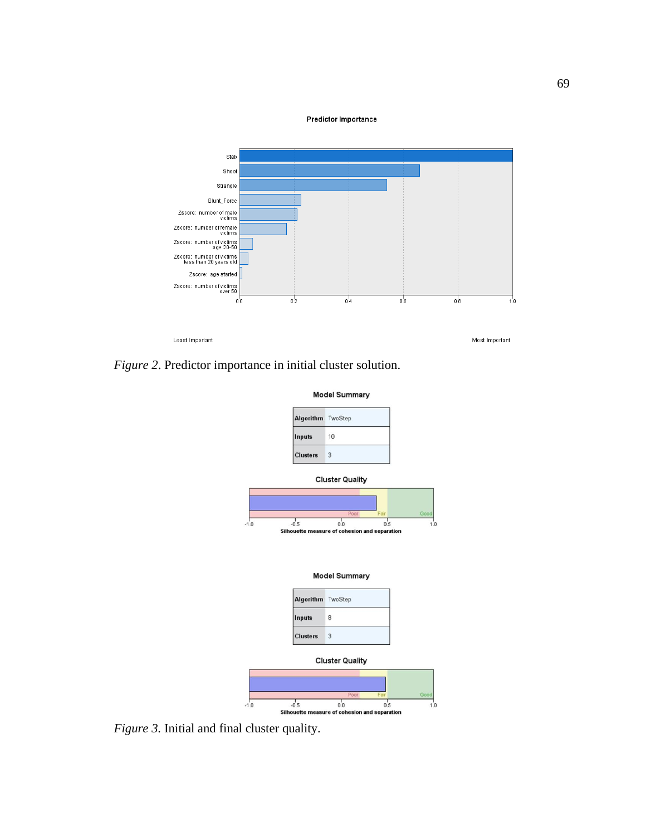



*Figure 2*. Predictor importance in initial cluster solution.



*Figure 3.* Initial and final cluster quality.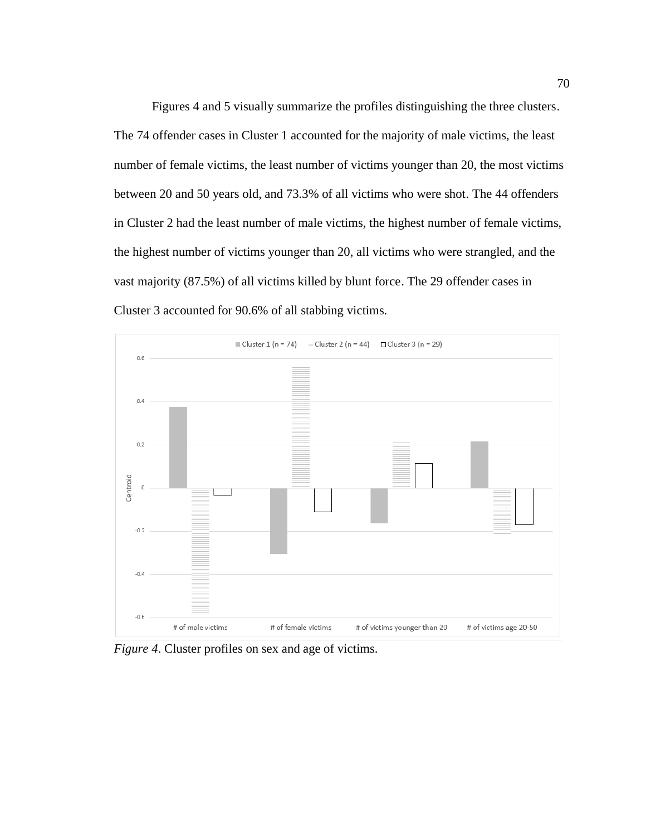Figures 4 and 5 visually summarize the profiles distinguishing the three clusters. The 74 offender cases in Cluster 1 accounted for the majority of male victims, the least number of female victims, the least number of victims younger than 20, the most victims between 20 and 50 years old, and 73.3% of all victims who were shot. The 44 offenders in Cluster 2 had the least number of male victims, the highest number of female victims, the highest number of victims younger than 20, all victims who were strangled, and the vast majority (87.5%) of all victims killed by blunt force. The 29 offender cases in Cluster 3 accounted for 90.6% of all stabbing victims.



*Figure 4*. Cluster profiles on sex and age of victims.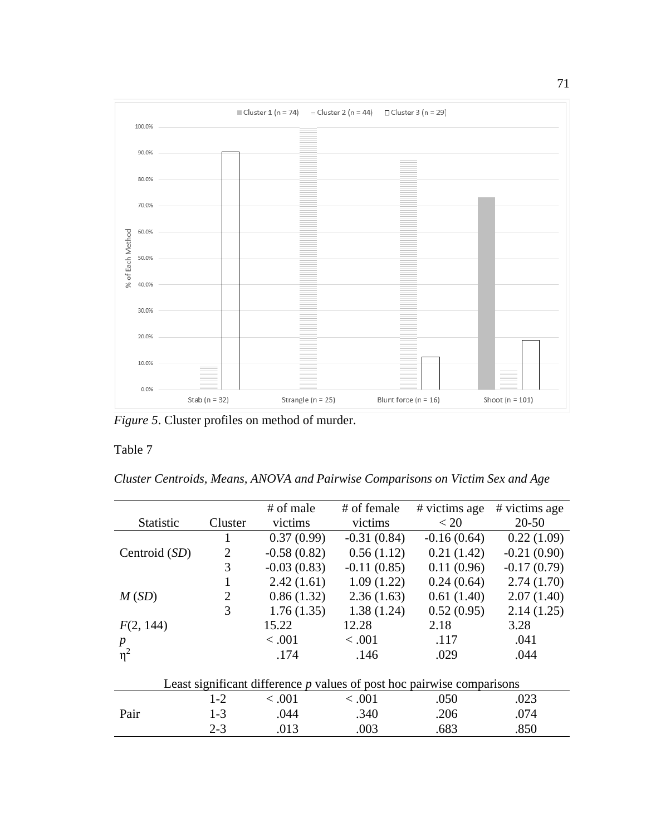

*Figure 5*. Cluster profiles on method of murder.

# Table 7

*Cluster Centroids, Means, ANOVA and Pairwise Comparisons on Victim Sex and Age*

|                  |                | # of male     | # of female   | # victims age                                                            | # victims age |
|------------------|----------------|---------------|---------------|--------------------------------------------------------------------------|---------------|
| <b>Statistic</b> | Cluster        | victims       | victims       | < 20                                                                     | $20 - 50$     |
|                  | 1              | 0.37(0.99)    | $-0.31(0.84)$ | $-0.16(0.64)$                                                            | 0.22(1.09)    |
| Centroid (SD)    | $\overline{2}$ | $-0.58(0.82)$ | 0.56(1.12)    | 0.21(1.42)                                                               | $-0.21(0.90)$ |
|                  | 3              | $-0.03(0.83)$ | $-0.11(0.85)$ | 0.11(0.96)                                                               | $-0.17(0.79)$ |
|                  | 1              | 2.42(1.61)    | 1.09(1.22)    | 0.24(0.64)                                                               | 2.74(1.70)    |
| M(SD)            | $\overline{2}$ | 0.86(1.32)    | 2.36(1.63)    | 0.61(1.40)                                                               | 2.07(1.40)    |
|                  | 3              | 1.76(1.35)    | 1.38(1.24)    | 0.52(0.95)                                                               | 2.14(1.25)    |
| F(2, 144)        |                | 15.22         | 12.28         | 2.18                                                                     | 3.28          |
| $\boldsymbol{p}$ |                | < .001        | < .001        | .117                                                                     | .041          |
| $\eta^2$         |                | .174          | .146          | .029                                                                     | .044          |
|                  |                |               |               |                                                                          |               |
|                  |                |               |               | Least significant difference $p$ values of post hoc pairwise comparisons |               |
|                  | $1 - 2$        | < .001        | < .001        | .050                                                                     | .023          |
| Pair             | $1-3$          | .044          | .340          | .206                                                                     | .074          |
|                  | $2 - 3$        | .013          | .003          | .683                                                                     | .850          |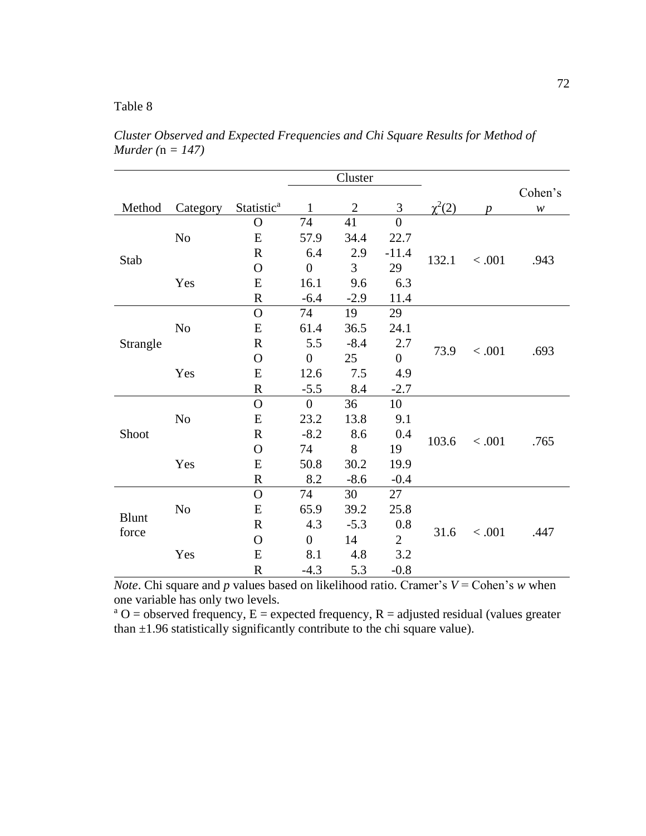# Table 8

|              |                |                        |                  | Cluster        |                |             |                  |                            |  |
|--------------|----------------|------------------------|------------------|----------------|----------------|-------------|------------------|----------------------------|--|
|              |                |                        |                  |                |                |             |                  | Cohen's                    |  |
| Method       | Category       | Statistic <sup>a</sup> | $\mathbf{1}$     | $\overline{2}$ | 3              | $\chi^2(2)$ | $\boldsymbol{p}$ | $\boldsymbol{\mathcal{W}}$ |  |
|              |                | $\mathbf O$            | 74               | 41             | $\overline{0}$ |             |                  |                            |  |
|              | No             | E                      | 57.9             | 34.4           | 22.7           |             |                  |                            |  |
| Stab         |                | $\mathbf R$            | 6.4              | 2.9            | $-11.4$        | 132.1       | < .001           | .943                       |  |
|              |                | $\mathbf O$            | $\overline{0}$   | 3              | 29             |             |                  |                            |  |
|              | Yes            | E                      | 16.1             | 9.6            | 6.3            |             |                  |                            |  |
|              |                | ${\bf R}$              | $-6.4$           | $-2.9$         | 11.4           |             |                  |                            |  |
|              |                | $\Omega$               | 74               | 19             | 29             |             |                  |                            |  |
|              | No             | E                      | 61.4             | 36.5           | 24.1           |             |                  |                            |  |
| Strangle     |                | $\mathbf R$            | 5.5              | $-8.4$         | 2.7            |             | < .001           | .693                       |  |
|              | Yes            | $\mathbf O$            | $\overline{0}$   | 25             | $\overline{0}$ | 73.9        |                  |                            |  |
|              |                | E                      | 12.6             | 7.5            | 4.9            |             |                  |                            |  |
|              |                | ${\bf R}$              | $-5.5$           | 8.4            | $-2.7$         |             |                  |                            |  |
|              |                | $\mathbf O$            | $\overline{0}$   | 36             | 10             |             |                  |                            |  |
|              | No             | ${\bf E}$              | 23.2             | 13.8           | 9.1            |             |                  |                            |  |
| Shoot        |                | $\mathbf R$            | $-8.2$           | 8.6            | 0.4            |             |                  |                            |  |
|              |                | $\Omega$               | 74               | 8              | 19             | 103.6       | < .001           | .765                       |  |
|              | Yes            | ${\bf E}$              | 50.8             | 30.2           | 19.9           |             |                  |                            |  |
|              |                | $\mathbf R$            | 8.2              | $-8.6$         | $-0.4$         |             |                  |                            |  |
|              |                | $\mathbf O$            | 74               | 30             | 27             |             |                  |                            |  |
|              | N <sub>0</sub> | E                      | 65.9             | 39.2           | 25.8           |             |                  |                            |  |
| <b>Blunt</b> |                | $\mathbf R$            | 4.3              | $-5.3$         | 0.8            |             |                  |                            |  |
| force        |                | $\mathbf O$            | $\boldsymbol{0}$ | 14             | $\overline{2}$ | 31.6        | < .001           | .447                       |  |
|              | Yes            | ${\bf E}$              | 8.1              | 4.8            | 3.2            |             |                  |                            |  |
|              |                | ${\bf R}$              | $-4.3$           | 5.3            | $-0.8$         |             |                  |                            |  |

*Cluster Observed and Expected Frequencies and Chi Square Results for Method of Murder (*n *= 147)*

*Note*. Chi square and *p* values based on likelihood ratio. Cramer's  $V =$  Cohen's *w* when one variable has only two levels.

<sup>a</sup> O = observed frequency, E = expected frequency, R = adjusted residual (values greater than  $\pm$ 1.96 statistically significantly contribute to the chi square value).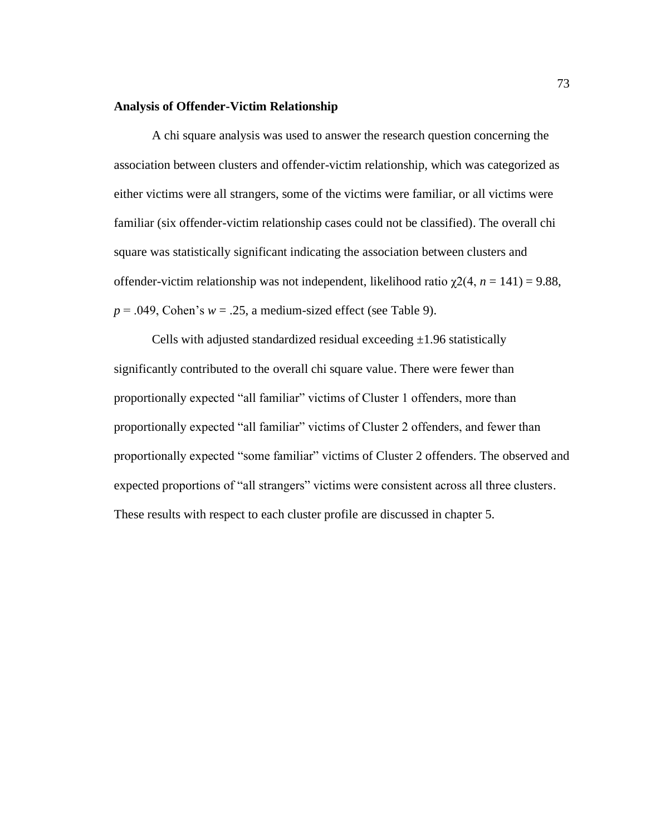#### **Analysis of Offender-Victim Relationship**

A chi square analysis was used to answer the research question concerning the association between clusters and offender-victim relationship, which was categorized as either victims were all strangers, some of the victims were familiar, or all victims were familiar (six offender-victim relationship cases could not be classified). The overall chi square was statistically significant indicating the association between clusters and offender-victim relationship was not independent, likelihood ratio χ2(4, *n* = 141) = 9.88,  $p = .049$ , Cohen's  $w = .25$ , a medium-sized effect (see Table 9).

Cells with adjusted standardized residual exceeding  $\pm 1.96$  statistically significantly contributed to the overall chi square value. There were fewer than proportionally expected "all familiar" victims of Cluster 1 offenders, more than proportionally expected "all familiar" victims of Cluster 2 offenders, and fewer than proportionally expected "some familiar" victims of Cluster 2 offenders. The observed and expected proportions of "all strangers" victims were consistent across all three clusters. These results with respect to each cluster profile are discussed in chapter 5.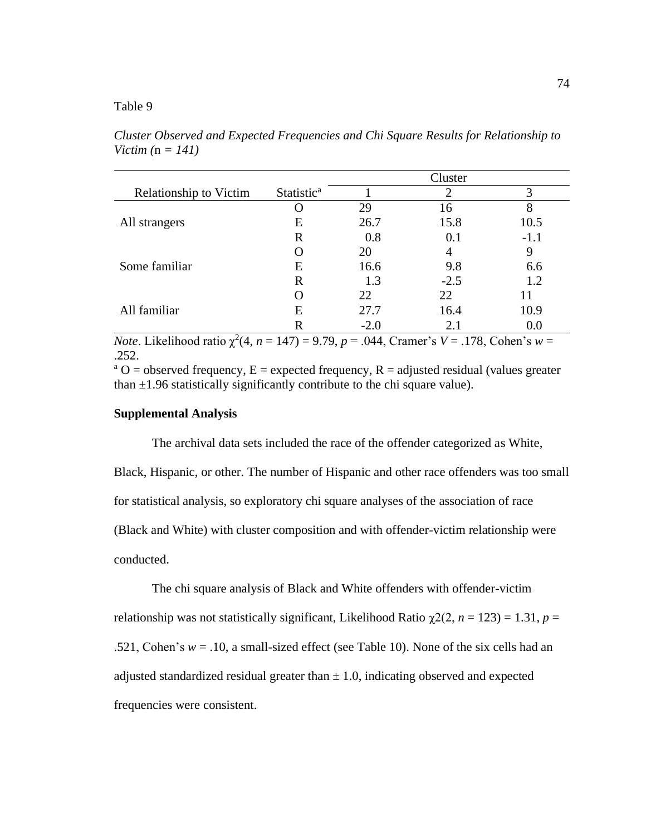# Table 9

Cluster Relationship to Victim Statistic<sup>a</sup> 1 2 3 All strangers O 29 16 8 E 26.7 15.8 10.5 R 0.8 0.1 -1.1 Some familiar O 20 4 9 E 16.6 9.8 6.6 R 1.3  $-2.5$  1.2 All familiar O 22 22 11 E 27.7 16.4 10.9 R  $-2.0$  2.1 0.0

*Cluster Observed and Expected Frequencies and Chi Square Results for Relationship to Victim (*n *= 141)*

*Note*. Likelihood ratio  $\chi^2(4, n = 147) = 9.79, p = .044$ , Cramer's *V* = .178, Cohen's *w* = .252.

<sup>a</sup> O = observed frequency, E = expected frequency, R = adjusted residual (values greater than  $\pm$ 1.96 statistically significantly contribute to the chi square value).

# **Supplemental Analysis**

The archival data sets included the race of the offender categorized as White, Black, Hispanic, or other. The number of Hispanic and other race offenders was too small for statistical analysis, so exploratory chi square analyses of the association of race (Black and White) with cluster composition and with offender-victim relationship were conducted.

The chi square analysis of Black and White offenders with offender-victim relationship was not statistically significant, Likelihood Ratio  $\chi^2(2, n = 123) = 1.31$ ,  $p =$ .521, Cohen's  $w = .10$ , a small-sized effect (see Table 10). None of the six cells had an adjusted standardized residual greater than  $\pm$  1.0, indicating observed and expected frequencies were consistent.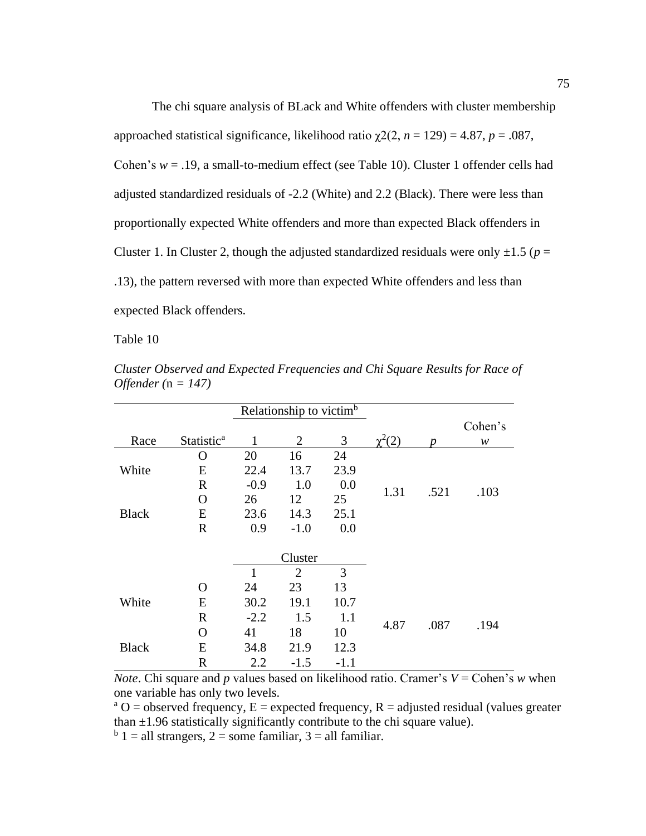The chi square analysis of BLack and White offenders with cluster membership approached statistical significance, likelihood ratio  $\gamma$ 2(2, *n* = 129) = 4.87, *p* = .087, Cohen's  $w = .19$ , a small-to-medium effect (see Table 10). Cluster 1 offender cells had adjusted standardized residuals of -2.2 (White) and 2.2 (Black). There were less than proportionally expected White offenders and more than expected Black offenders in Cluster 1. In Cluster 2, though the adjusted standardized residuals were only  $\pm 1.5$  ( $p =$ .13), the pattern reversed with more than expected White offenders and less than expected Black offenders.

Table 10

|              |                        | Relationship to victim <sup>b</sup> |                |        |               |      |         |
|--------------|------------------------|-------------------------------------|----------------|--------|---------------|------|---------|
|              |                        |                                     |                |        |               |      | Cohen's |
| Race         | Statistic <sup>a</sup> | 1                                   | $\overline{2}$ | 3      | $\gamma^2(2)$ | n    | w       |
|              | $\mathbf O$            | 20                                  | 16             | 24     |               |      |         |
| White        | E                      | 22.4                                | 13.7           | 23.9   |               |      |         |
|              | R                      | $-0.9$                              | 1.0            | 0.0    | 1.31          | .521 | .103    |
|              | O                      | 26                                  | 12             | 25     |               |      |         |
| <b>Black</b> | E                      | 23.6                                | 14.3           | 25.1   |               |      |         |
|              | $\mathbf R$            | 0.9                                 | $-1.0$         | 0.0    |               |      |         |
|              |                        |                                     |                |        |               |      |         |
|              |                        |                                     | Cluster        |        |               |      |         |
|              |                        | 1                                   | $\overline{2}$ | 3      |               |      |         |
|              | O                      | 24                                  | 23             | 13     |               |      |         |
| White        | E                      | 30.2                                | 19.1           | 10.7   |               |      |         |
|              | $\mathbf R$            | $-2.2$                              | 1.5            | 1.1    |               |      |         |
|              | $\Omega$               | 41                                  | 18             | 10     | 4.87          | .087 | .194    |
| <b>Black</b> | E                      | 34.8                                | 21.9           | 12.3   |               |      |         |
|              | $\mathbf R$            | 2.2                                 | $-1.5$         | $-1.1$ |               |      |         |

*Cluster Observed and Expected Frequencies and Chi Square Results for Race of Offender (*n *= 147)*

*Note*. Chi square and *p* values based on likelihood ratio. Cramer's  $V =$  Cohen's *w* when one variable has only two levels.

 $a^a$  O = observed frequency, E = expected frequency, R = adjusted residual (values greater than  $\pm$ 1.96 statistically significantly contribute to the chi square value).

 $b<sup>b</sup>$  1 = all strangers, 2 = some familiar, 3 = all familiar.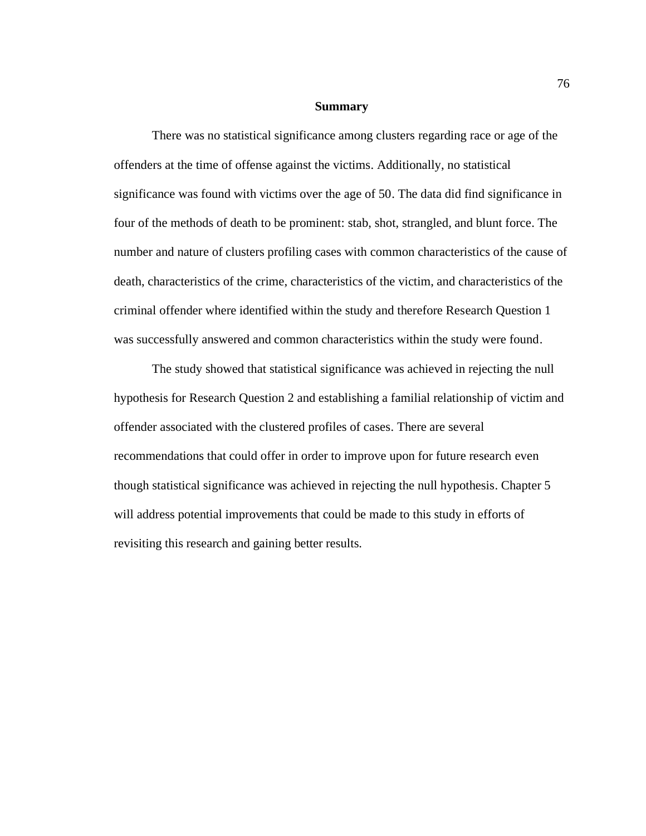#### **Summary**

There was no statistical significance among clusters regarding race or age of the offenders at the time of offense against the victims. Additionally, no statistical significance was found with victims over the age of 50. The data did find significance in four of the methods of death to be prominent: stab, shot, strangled, and blunt force. The number and nature of clusters profiling cases with common characteristics of the cause of death, characteristics of the crime, characteristics of the victim, and characteristics of the criminal offender where identified within the study and therefore Research Question 1 was successfully answered and common characteristics within the study were found.

The study showed that statistical significance was achieved in rejecting the null hypothesis for Research Question 2 and establishing a familial relationship of victim and offender associated with the clustered profiles of cases. There are several recommendations that could offer in order to improve upon for future research even though statistical significance was achieved in rejecting the null hypothesis. Chapter 5 will address potential improvements that could be made to this study in efforts of revisiting this research and gaining better results.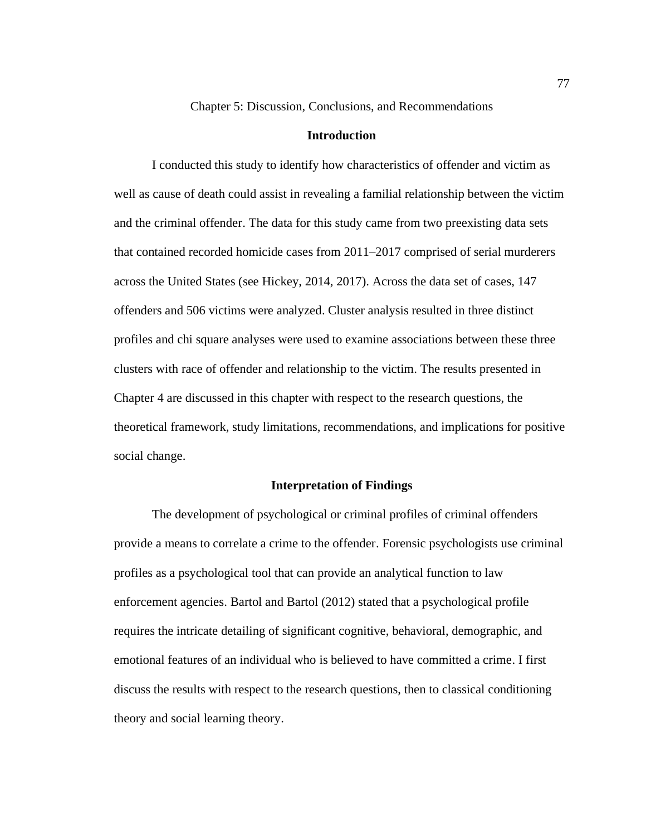Chapter 5: Discussion, Conclusions, and Recommendations

#### **Introduction**

I conducted this study to identify how characteristics of offender and victim as well as cause of death could assist in revealing a familial relationship between the victim and the criminal offender. The data for this study came from two preexisting data sets that contained recorded homicide cases from 2011–2017 comprised of serial murderers across the United States (see Hickey, 2014, 2017). Across the data set of cases, 147 offenders and 506 victims were analyzed. Cluster analysis resulted in three distinct profiles and chi square analyses were used to examine associations between these three clusters with race of offender and relationship to the victim. The results presented in Chapter 4 are discussed in this chapter with respect to the research questions, the theoretical framework, study limitations, recommendations, and implications for positive social change.

#### **Interpretation of Findings**

The development of psychological or criminal profiles of criminal offenders provide a means to correlate a crime to the offender. Forensic psychologists use criminal profiles as a psychological tool that can provide an analytical function to law enforcement agencies. Bartol and Bartol (2012) stated that a psychological profile requires the intricate detailing of significant cognitive, behavioral, demographic, and emotional features of an individual who is believed to have committed a crime. I first discuss the results with respect to the research questions, then to classical conditioning theory and social learning theory.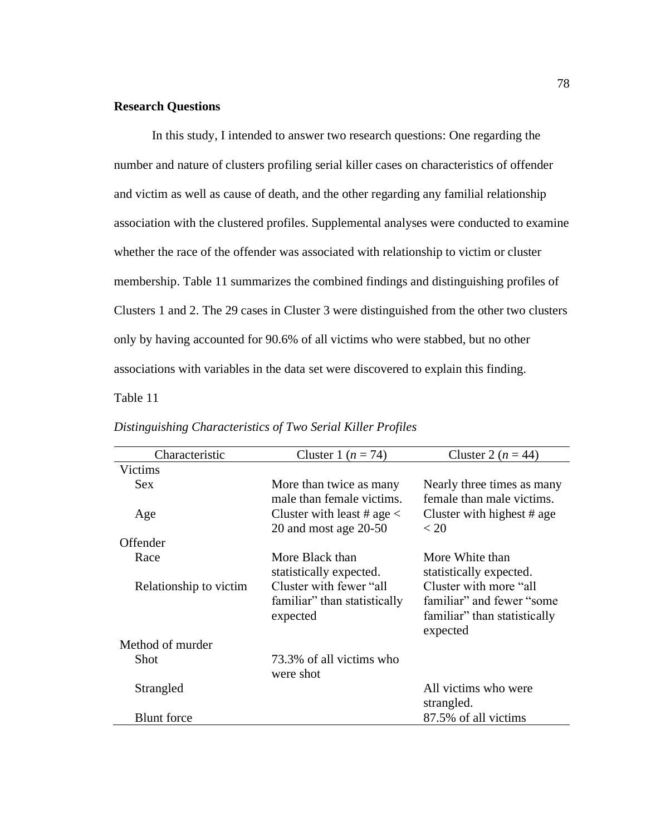# **Research Questions**

In this study, I intended to answer two research questions: One regarding the number and nature of clusters profiling serial killer cases on characteristics of offender and victim as well as cause of death, and the other regarding any familial relationship association with the clustered profiles. Supplemental analyses were conducted to examine whether the race of the offender was associated with relationship to victim or cluster membership. Table 11 summarizes the combined findings and distinguishing profiles of Clusters 1 and 2. The 29 cases in Cluster 3 were distinguished from the other two clusters only by having accounted for 90.6% of all victims who were stabbed, but no other associations with variables in the data set were discovered to explain this finding.

Table 11

| Characteristic         | Cluster 1 $(n = 74)$                                                | Cluster 2 $(n = 44)$                                                                             |
|------------------------|---------------------------------------------------------------------|--------------------------------------------------------------------------------------------------|
| <b>Victims</b>         |                                                                     |                                                                                                  |
| <b>Sex</b>             | More than twice as many<br>male than female victims.                | Nearly three times as many<br>female than male victims.                                          |
| Age                    | Cluster with least # age $\lt$<br>20 and most age $20-50$           | Cluster with highest $# age$<br>< 20                                                             |
| Offender               |                                                                     |                                                                                                  |
| Race                   | More Black than<br>statistically expected.                          | More White than<br>statistically expected.                                                       |
| Relationship to victim | Cluster with fewer "all<br>familiar" than statistically<br>expected | Cluster with more "all<br>familiar" and fewer "some"<br>familiar" than statistically<br>expected |
| Method of murder       |                                                                     |                                                                                                  |
| <b>Shot</b>            | 73.3% of all victims who<br>were shot                               |                                                                                                  |
| Strangled              |                                                                     | All victims who were<br>strangled.                                                               |
| <b>Blunt</b> force     |                                                                     | 87.5% of all victims                                                                             |

# *Distinguishing Characteristics of Two Serial Killer Profiles*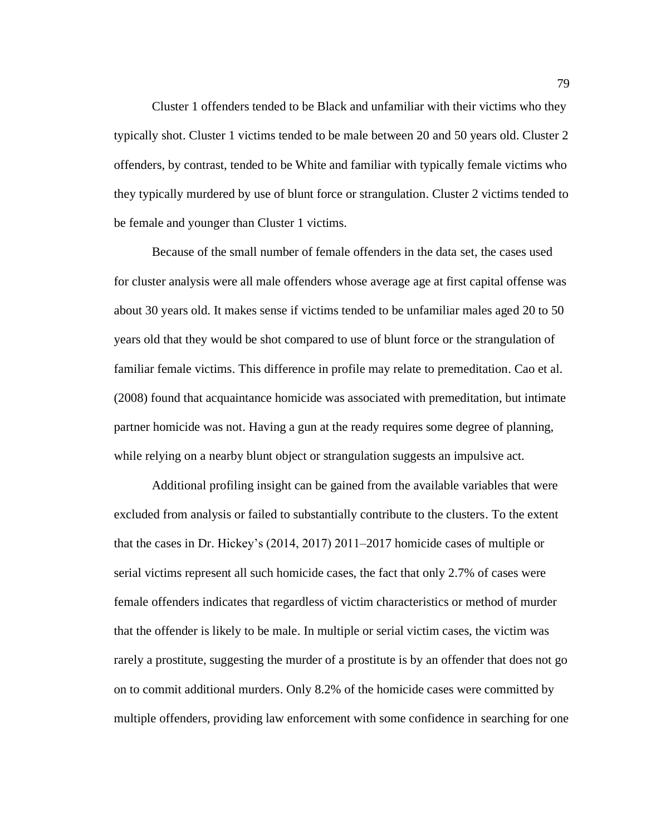Cluster 1 offenders tended to be Black and unfamiliar with their victims who they typically shot. Cluster 1 victims tended to be male between 20 and 50 years old. Cluster 2 offenders, by contrast, tended to be White and familiar with typically female victims who they typically murdered by use of blunt force or strangulation. Cluster 2 victims tended to be female and younger than Cluster 1 victims.

Because of the small number of female offenders in the data set, the cases used for cluster analysis were all male offenders whose average age at first capital offense was about 30 years old. It makes sense if victims tended to be unfamiliar males aged 20 to 50 years old that they would be shot compared to use of blunt force or the strangulation of familiar female victims. This difference in profile may relate to premeditation. Cao et al. (2008) found that acquaintance homicide was associated with premeditation, but intimate partner homicide was not. Having a gun at the ready requires some degree of planning, while relying on a nearby blunt object or strangulation suggests an impulsive act.

Additional profiling insight can be gained from the available variables that were excluded from analysis or failed to substantially contribute to the clusters. To the extent that the cases in Dr. Hickey's (2014, 2017) 2011–2017 homicide cases of multiple or serial victims represent all such homicide cases, the fact that only 2.7% of cases were female offenders indicates that regardless of victim characteristics or method of murder that the offender is likely to be male. In multiple or serial victim cases, the victim was rarely a prostitute, suggesting the murder of a prostitute is by an offender that does not go on to commit additional murders. Only 8.2% of the homicide cases were committed by multiple offenders, providing law enforcement with some confidence in searching for one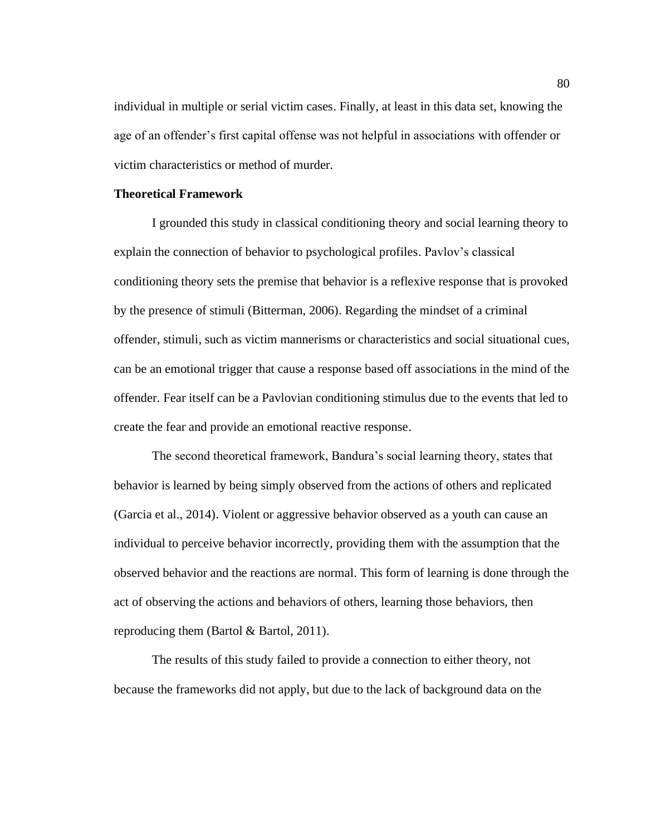individual in multiple or serial victim cases. Finally, at least in this data set, knowing the age of an offender's first capital offense was not helpful in associations with offender or victim characteristics or method of murder.

### **Theoretical Framework**

I grounded this study in classical conditioning theory and social learning theory to explain the connection of behavior to psychological profiles. Pavlov's classical conditioning theory sets the premise that behavior is a reflexive response that is provoked by the presence of stimuli (Bitterman, 2006). Regarding the mindset of a criminal offender, stimuli, such as victim mannerisms or characteristics and social situational cues, can be an emotional trigger that cause a response based off associations in the mind of the offender. Fear itself can be a Pavlovian conditioning stimulus due to the events that led to create the fear and provide an emotional reactive response.

The second theoretical framework, Bandura's social learning theory, states that behavior is learned by being simply observed from the actions of others and replicated (Garcia et al., 2014). Violent or aggressive behavior observed as a youth can cause an individual to perceive behavior incorrectly, providing them with the assumption that the observed behavior and the reactions are normal. This form of learning is done through the act of observing the actions and behaviors of others, learning those behaviors, then reproducing them (Bartol & Bartol, 2011).

The results of this study failed to provide a connection to either theory, not because the frameworks did not apply, but due to the lack of background data on the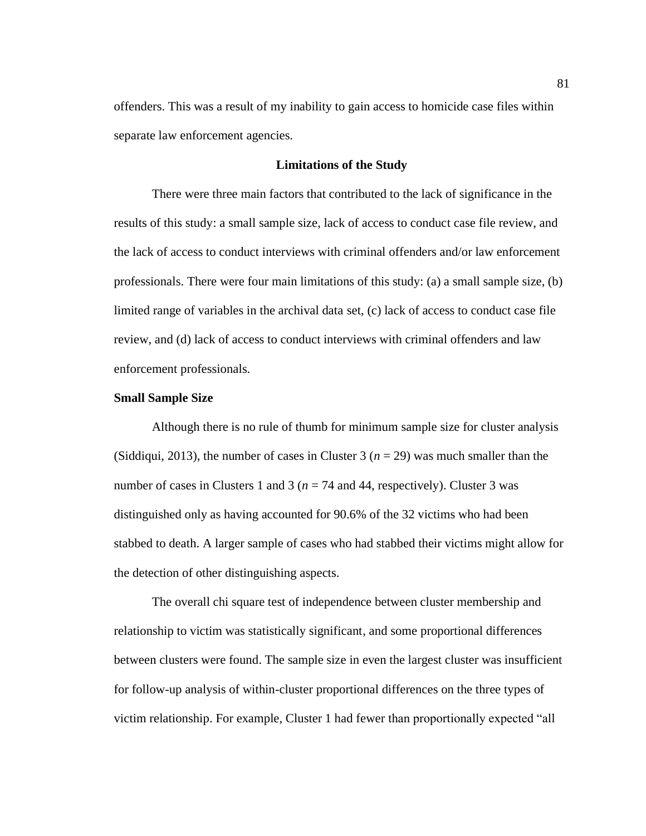offenders. This was a result of my inability to gain access to homicide case files within separate law enforcement agencies.

### **Limitations of the Study**

There were three main factors that contributed to the lack of significance in the results of this study: a small sample size, lack of access to conduct case file review, and the lack of access to conduct interviews with criminal offenders and/or law enforcement professionals. There were four main limitations of this study: (a) a small sample size, (b) limited range of variables in the archival data set, (c) lack of access to conduct case file review, and (d) lack of access to conduct interviews with criminal offenders and law enforcement professionals.

#### **Small Sample Size**

Although there is no rule of thumb for minimum sample size for cluster analysis (Siddiqui, 2013), the number of cases in Cluster 3 ( $n = 29$ ) was much smaller than the number of cases in Clusters 1 and 3 ( $n = 74$  and 44, respectively). Cluster 3 was distinguished only as having accounted for 90.6% of the 32 victims who had been stabbed to death. A larger sample of cases who had stabbed their victims might allow for the detection of other distinguishing aspects.

The overall chi square test of independence between cluster membership and relationship to victim was statistically significant, and some proportional differences between clusters were found. The sample size in even the largest cluster was insufficient for follow-up analysis of within-cluster proportional differences on the three types of victim relationship. For example, Cluster 1 had fewer than proportionally expected "all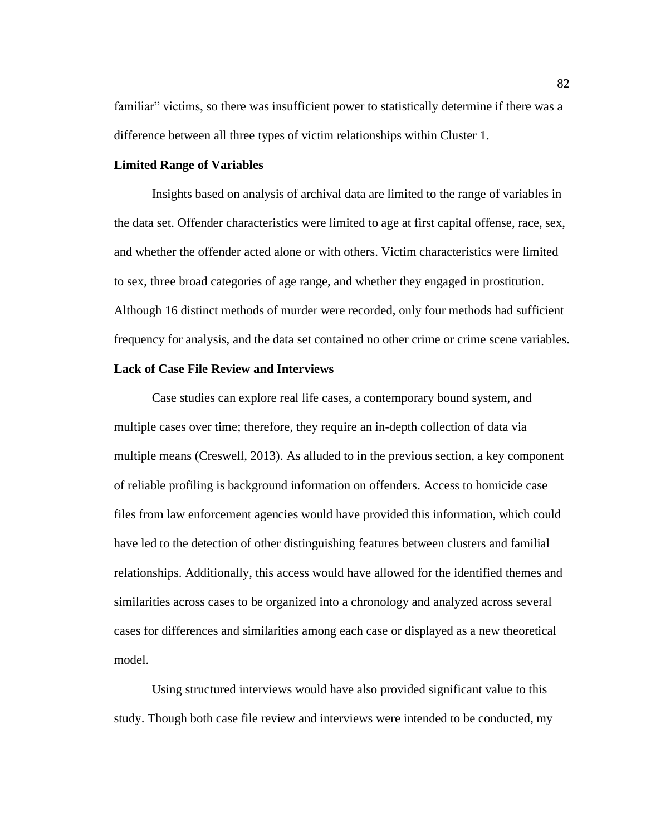familiar" victims, so there was insufficient power to statistically determine if there was a difference between all three types of victim relationships within Cluster 1.

#### **Limited Range of Variables**

Insights based on analysis of archival data are limited to the range of variables in the data set. Offender characteristics were limited to age at first capital offense, race, sex, and whether the offender acted alone or with others. Victim characteristics were limited to sex, three broad categories of age range, and whether they engaged in prostitution. Although 16 distinct methods of murder were recorded, only four methods had sufficient frequency for analysis, and the data set contained no other crime or crime scene variables.

# **Lack of Case File Review and Interviews**

Case studies can explore real life cases, a contemporary bound system, and multiple cases over time; therefore, they require an in-depth collection of data via multiple means (Creswell, 2013). As alluded to in the previous section, a key component of reliable profiling is background information on offenders. Access to homicide case files from law enforcement agencies would have provided this information, which could have led to the detection of other distinguishing features between clusters and familial relationships. Additionally, this access would have allowed for the identified themes and similarities across cases to be organized into a chronology and analyzed across several cases for differences and similarities among each case or displayed as a new theoretical model.

Using structured interviews would have also provided significant value to this study. Though both case file review and interviews were intended to be conducted, my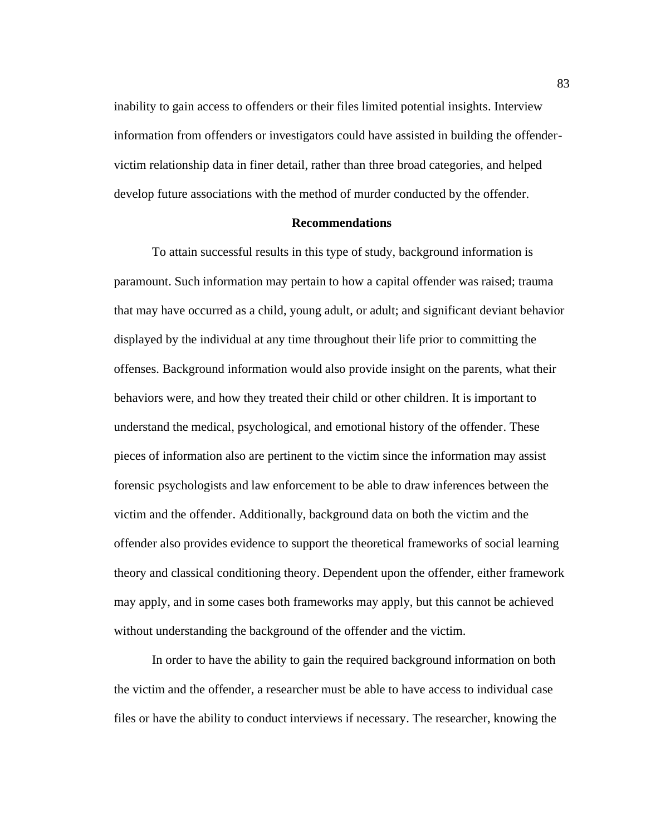inability to gain access to offenders or their files limited potential insights. Interview information from offenders or investigators could have assisted in building the offendervictim relationship data in finer detail, rather than three broad categories, and helped develop future associations with the method of murder conducted by the offender.

#### **Recommendations**

To attain successful results in this type of study, background information is paramount. Such information may pertain to how a capital offender was raised; trauma that may have occurred as a child, young adult, or adult; and significant deviant behavior displayed by the individual at any time throughout their life prior to committing the offenses. Background information would also provide insight on the parents, what their behaviors were, and how they treated their child or other children. It is important to understand the medical, psychological, and emotional history of the offender. These pieces of information also are pertinent to the victim since the information may assist forensic psychologists and law enforcement to be able to draw inferences between the victim and the offender. Additionally, background data on both the victim and the offender also provides evidence to support the theoretical frameworks of social learning theory and classical conditioning theory. Dependent upon the offender, either framework may apply, and in some cases both frameworks may apply, but this cannot be achieved without understanding the background of the offender and the victim.

In order to have the ability to gain the required background information on both the victim and the offender, a researcher must be able to have access to individual case files or have the ability to conduct interviews if necessary. The researcher, knowing the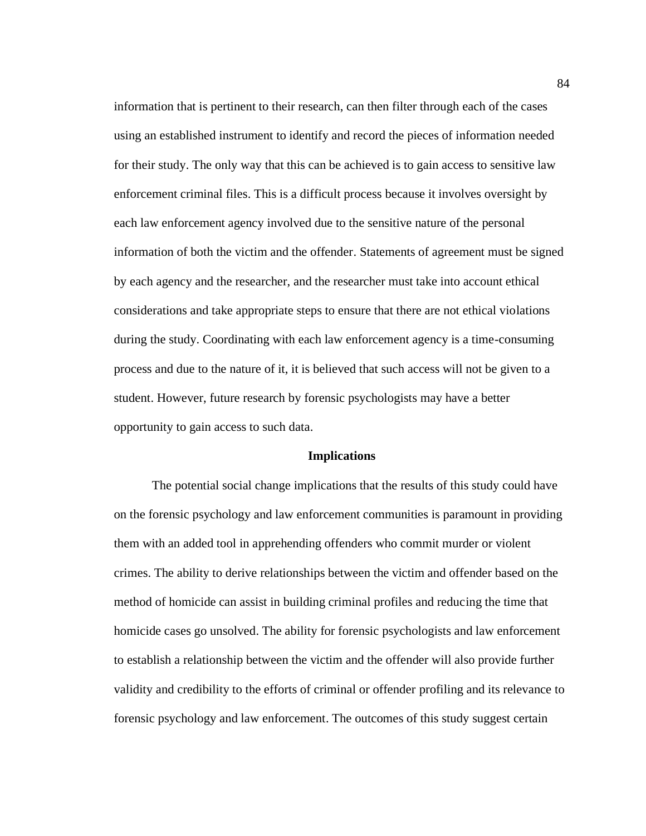information that is pertinent to their research, can then filter through each of the cases using an established instrument to identify and record the pieces of information needed for their study. The only way that this can be achieved is to gain access to sensitive law enforcement criminal files. This is a difficult process because it involves oversight by each law enforcement agency involved due to the sensitive nature of the personal information of both the victim and the offender. Statements of agreement must be signed by each agency and the researcher, and the researcher must take into account ethical considerations and take appropriate steps to ensure that there are not ethical violations during the study. Coordinating with each law enforcement agency is a time-consuming process and due to the nature of it, it is believed that such access will not be given to a student. However, future research by forensic psychologists may have a better opportunity to gain access to such data.

#### **Implications**

The potential social change implications that the results of this study could have on the forensic psychology and law enforcement communities is paramount in providing them with an added tool in apprehending offenders who commit murder or violent crimes. The ability to derive relationships between the victim and offender based on the method of homicide can assist in building criminal profiles and reducing the time that homicide cases go unsolved. The ability for forensic psychologists and law enforcement to establish a relationship between the victim and the offender will also provide further validity and credibility to the efforts of criminal or offender profiling and its relevance to forensic psychology and law enforcement. The outcomes of this study suggest certain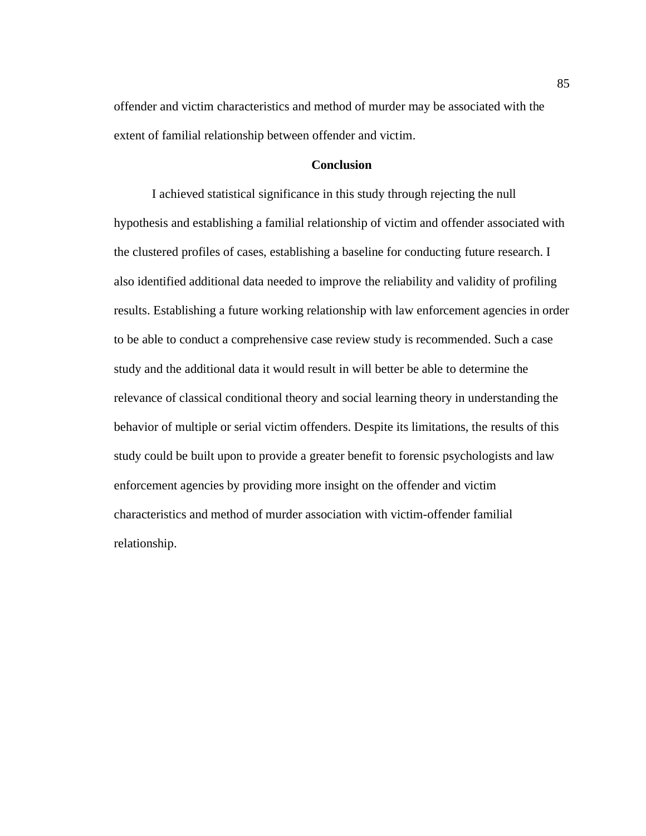offender and victim characteristics and method of murder may be associated with the extent of familial relationship between offender and victim.

# **Conclusion**

I achieved statistical significance in this study through rejecting the null hypothesis and establishing a familial relationship of victim and offender associated with the clustered profiles of cases, establishing a baseline for conducting future research. I also identified additional data needed to improve the reliability and validity of profiling results. Establishing a future working relationship with law enforcement agencies in order to be able to conduct a comprehensive case review study is recommended. Such a case study and the additional data it would result in will better be able to determine the relevance of classical conditional theory and social learning theory in understanding the behavior of multiple or serial victim offenders. Despite its limitations, the results of this study could be built upon to provide a greater benefit to forensic psychologists and law enforcement agencies by providing more insight on the offender and victim characteristics and method of murder association with victim-offender familial relationship.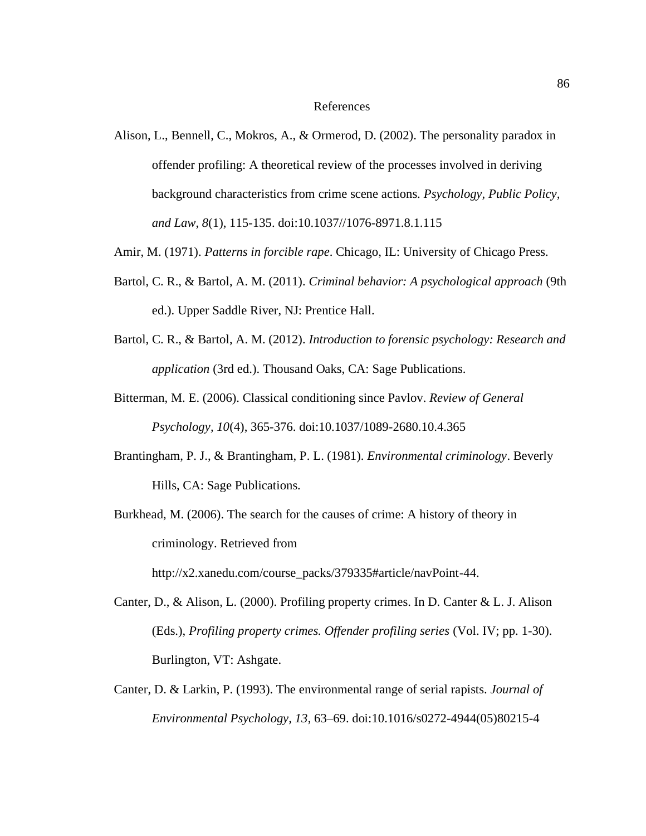#### References

- Alison, L., Bennell, C., Mokros, A., & Ormerod, D. (2002). The personality paradox in offender profiling: A theoretical review of the processes involved in deriving background characteristics from crime scene actions. *Psychology, Public Policy, and Law*, *8*(1), 115-135. doi:10.1037//1076-8971.8.1.115
- Amir, M. (1971). *Patterns in forcible rape*. Chicago, IL: University of Chicago Press.
- Bartol, C. R., & Bartol, A. M. (2011). *Criminal behavior: A psychological approach* (9th ed.). Upper Saddle River, NJ: Prentice Hall.
- Bartol, C. R., & Bartol, A. M. (2012). *Introduction to forensic psychology: Research and application* (3rd ed.). Thousand Oaks, CA: Sage Publications.
- Bitterman, M. E. (2006). Classical conditioning since Pavlov. *Review of General Psychology, 10*(4), 365-376. doi:10.1037/1089-2680.10.4.365
- Brantingham, P. J., & Brantingham, P. L. (1981). *Environmental criminology*. Beverly Hills, CA: Sage Publications.
- Burkhead, M. (2006). The search for the causes of crime: A history of theory in criminology. Retrieved from

http://x2.xanedu.com/course\_packs/379335#article/navPoint-44.

- Canter, D., & Alison, L. (2000). Profiling property crimes. In D. Canter & L. J. Alison (Eds.), *Profiling property crimes. Offender profiling series* (Vol. IV; pp. 1-30). Burlington, VT: Ashgate.
- Canter, D. & Larkin, P. (1993). The environmental range of serial rapists. *Journal of Environmental Psychology, 13*, 63–69. doi:10.1016/s0272-4944(05)80215-4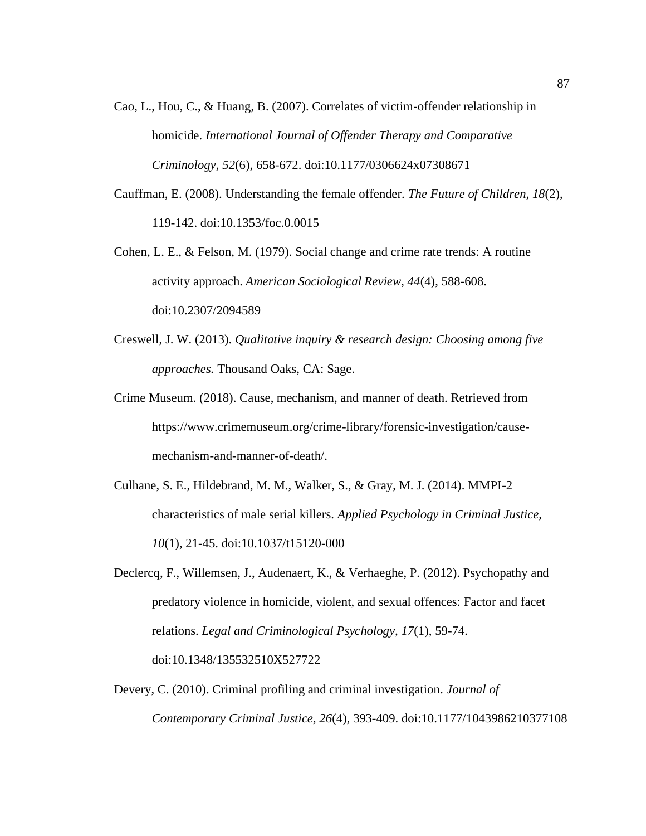- Cao, L., Hou, C., & Huang, B. (2007). Correlates of victim-offender relationship in homicide. *International Journal of Offender Therapy and Comparative Criminology, 52*(6), 658-672. doi:10.1177/0306624x07308671
- Cauffman, E. (2008). Understanding the female offender. *The Future of Children, 18*(2), 119-142. doi:10.1353/foc.0.0015
- Cohen, L. E., & Felson, M. (1979). Social change and crime rate trends: A routine activity approach. *American Sociological Review, 44*(4), 588-608. doi:10.2307/2094589
- Creswell, J. W. (2013). *Qualitative inquiry & research design: Choosing among five approaches.* Thousand Oaks, CA: Sage.
- Crime Museum. (2018). Cause, mechanism, and manner of death. Retrieved from https://www.crimemuseum.org/crime-library/forensic-investigation/causemechanism-and-manner-of-death/.
- Culhane, S. E., Hildebrand, M. M., Walker, S., & Gray, M. J. (2014). MMPI-2 characteristics of male serial killers. *Applied Psychology in Criminal Justice, 10*(1), 21-45. doi:10.1037/t15120-000
- Declercq, F., Willemsen, J., Audenaert, K., & Verhaeghe, P. (2012). Psychopathy and predatory violence in homicide, violent, and sexual offences: Factor and facet relations. *Legal and Criminological Psychology, 17*(1), 59-74. doi:10.1348/135532510X527722
- Devery, C. (2010). Criminal profiling and criminal investigation*. Journal of Contemporary Criminal Justice, 26*(4), 393-409. doi:10.1177/1043986210377108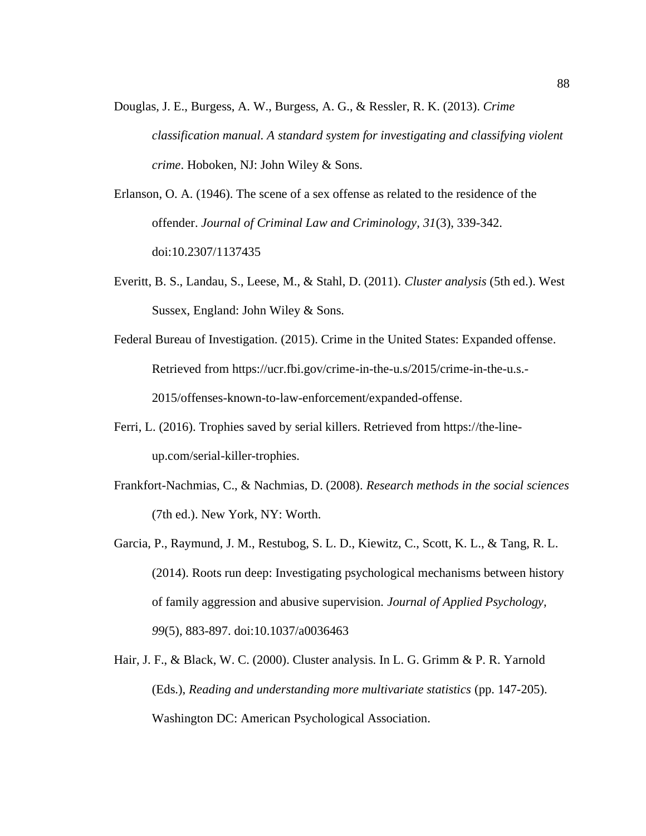Douglas, J. E., Burgess, A. W., Burgess, A. G., & Ressler, R. K. (2013). *Crime classification manual. A standard system for investigating and classifying violent crime*. Hoboken, NJ: John Wiley & Sons.

Erlanson, O. A. (1946). The scene of a sex offense as related to the residence of the offender. *Journal of Criminal Law and Criminology, 31*(3), 339-342. doi:10.2307/1137435

- Everitt, B. S., Landau, S., Leese, M., & Stahl, D. (2011). *Cluster analysis* (5th ed.). West Sussex, England: John Wiley & Sons.
- Federal Bureau of Investigation. (2015). Crime in the United States: Expanded offense. Retrieved from https://ucr.fbi.gov/crime-in-the-u.s/2015/crime-in-the-u.s.- 2015/offenses-known-to-law-enforcement/expanded-offense.
- Ferri, L. (2016). Trophies saved by serial killers. Retrieved from https://the-lineup.com/serial-killer-trophies.
- Frankfort-Nachmias, C., & Nachmias, D. (2008). *Research methods in the social sciences* (7th ed.). New York, NY: Worth.
- Garcia, P., Raymund, J. M., Restubog, S. L. D., Kiewitz, C., Scott, K. L., & Tang, R. L. (2014). Roots run deep: Investigating psychological mechanisms between history of family aggression and abusive supervision. *Journal of Applied Psychology, 99*(5), 883-897. doi:10.1037/a0036463
- Hair, J. F., & Black, W. C. (2000). Cluster analysis. In L. G. Grimm & P. R. Yarnold (Eds.), *Reading and understanding more multivariate statistics* (pp. 147-205). Washington DC: American Psychological Association.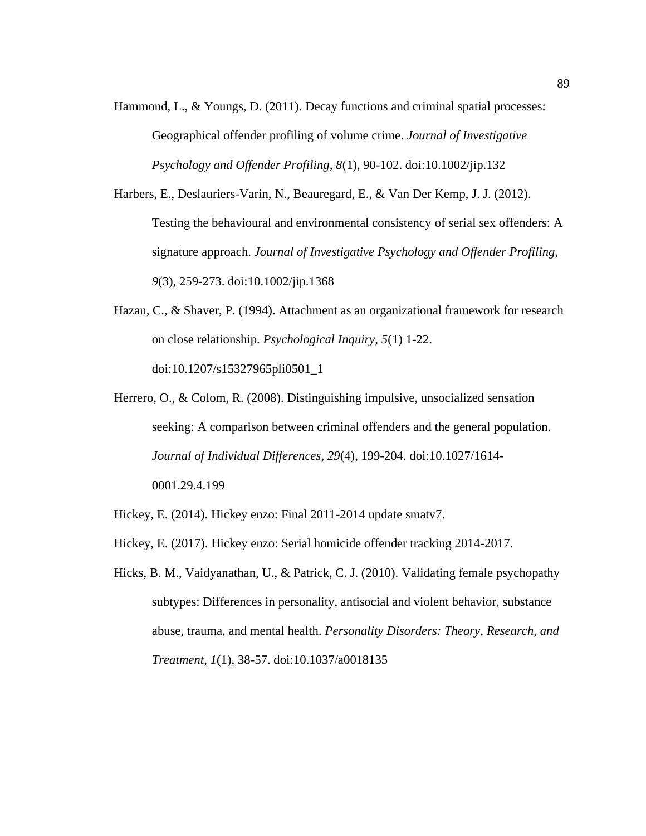Hammond, L., & Youngs, D. (2011). Decay functions and criminal spatial processes: Geographical offender profiling of volume crime. *Journal of Investigative Psychology and Offender Profiling, 8*(1), 90-102. doi:10.1002/jip.132

Harbers, E., Deslauriers-Varin, N., Beauregard, E., & Van Der Kemp, J. J. (2012). Testing the behavioural and environmental consistency of serial sex offenders: A signature approach. *Journal of Investigative Psychology and Offender Profiling, 9*(3), 259-273. doi:10.1002/jip.1368

- Hazan, C., & Shaver, P. (1994). Attachment as an organizational framework for research on close relationship. *Psychological Inquiry, 5*(1) 1-22. doi:10.1207/s15327965pli0501\_1
- Herrero, O., & Colom, R. (2008). Distinguishing impulsive, unsocialized sensation seeking: A comparison between criminal offenders and the general population. *Journal of Individual Differences*, *29*(4), 199-204. doi:10.1027/1614- 0001.29.4.199
- Hickey, E. (2014). Hickey enzo: Final 2011-2014 update smatv7.
- Hickey, E. (2017). Hickey enzo: Serial homicide offender tracking 2014-2017.
- Hicks, B. M., Vaidyanathan, U., & Patrick, C. J. (2010). Validating female psychopathy subtypes: Differences in personality, antisocial and violent behavior, substance abuse, trauma, and mental health. *Personality Disorders: Theory, Research, and Treatment*, *1*(1), 38-57. doi:10.1037/a0018135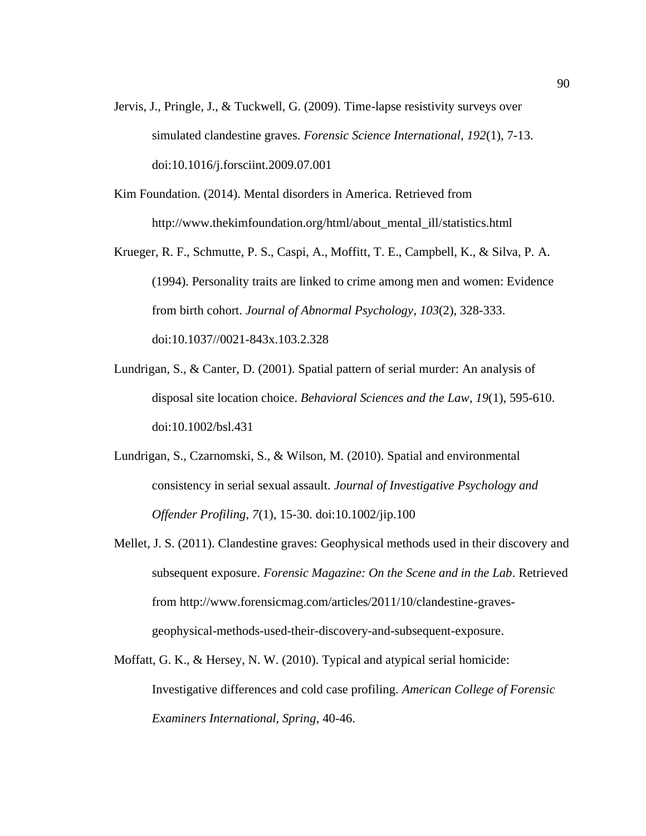- Jervis, J., Pringle, J., & Tuckwell, G. (2009). Time-lapse resistivity surveys over simulated clandestine graves. *Forensic Science International, 192*(1), 7-13. doi:10.1016/j.forsciint.2009.07.001
- Kim Foundation. (2014). Mental disorders in America. Retrieved from http://www.thekimfoundation.org/html/about\_mental\_ill/statistics.html
- Krueger, R. F., Schmutte, P. S., Caspi, A., Moffitt, T. E., Campbell, K., & Silva, P. A. (1994). Personality traits are linked to crime among men and women: Evidence from birth cohort. *Journal of Abnormal Psychology*, *103*(2), 328-333. doi:10.1037//0021-843x.103.2.328
- Lundrigan, S., & Canter, D. (2001). Spatial pattern of serial murder: An analysis of disposal site location choice. *Behavioral Sciences and the Law*, *19*(1), 595-610. doi:10.1002/bsl.431
- Lundrigan, S., Czarnomski, S., & Wilson, M. (2010). Spatial and environmental consistency in serial sexual assault. *Journal of Investigative Psychology and Offender Profiling, 7*(1), 15-30. doi:10.1002/jip.100
- Mellet, J. S. (2011). Clandestine graves: Geophysical methods used in their discovery and subsequent exposure. *Forensic Magazine: On the Scene and in the Lab*. Retrieved from http://www.forensicmag.com/articles/2011/10/clandestine-gravesgeophysical-methods-used-their-discovery-and-subsequent-exposure.
- Moffatt, G. K., & Hersey, N. W. (2010). Typical and atypical serial homicide: Investigative differences and cold case profiling. *American College of Forensic Examiners International, Spring*, 40-46.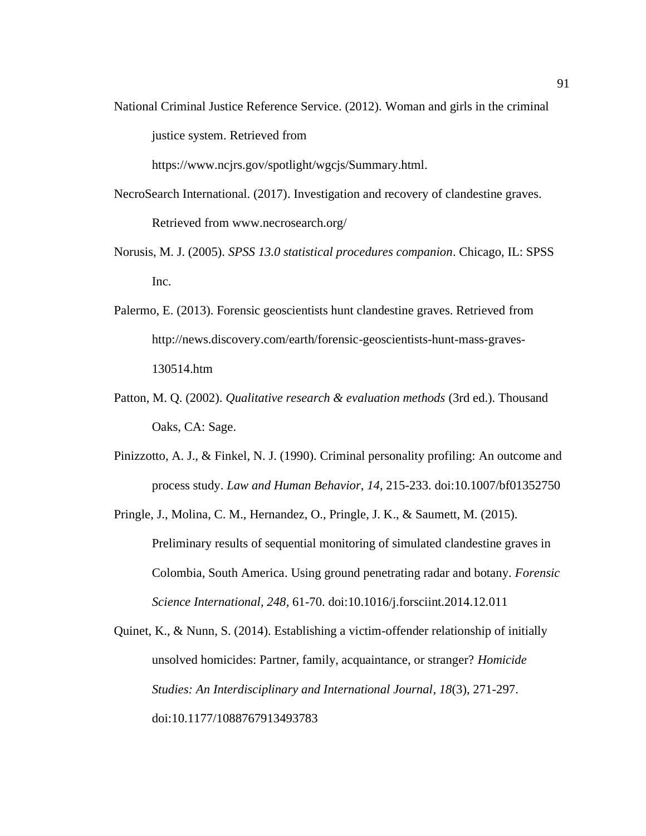National Criminal Justice Reference Service. (2012). Woman and girls in the criminal justice system. Retrieved from

https://www.ncjrs.gov/spotlight/wgcjs/Summary.html.

- NecroSearch International. (2017). Investigation and recovery of clandestine graves. Retrieved from www.necrosearch.org/
- Norusis, M. J. (2005). *SPSS 13.0 statistical procedures companion*. Chicago, IL: SPSS Inc.
- Palermo, E. (2013). Forensic geoscientists hunt clandestine graves. Retrieved from http://news.discovery.com/earth/forensic-geoscientists-hunt-mass-graves-130514.htm
- Patton, M. Q. (2002). *Qualitative research & evaluation methods* (3rd ed.). Thousand Oaks, CA: Sage.
- Pinizzotto, A. J., & Finkel, N. J. (1990). Criminal personality profiling: An outcome and process study. *Law and Human Behavior*, *14*, 215-233. doi:10.1007/bf01352750
- Pringle, J., Molina, C. M., Hernandez, O., Pringle, J. K., & Saumett, M. (2015). Preliminary results of sequential monitoring of simulated clandestine graves in Colombia, South America. Using ground penetrating radar and botany. *Forensic Science International, 248,* 61-70. doi:10.1016/j.forsciint.2014.12.011
- Quinet, K., & Nunn, S. (2014). Establishing a victim-offender relationship of initially unsolved homicides: Partner, family, acquaintance, or stranger? *Homicide Studies: An Interdisciplinary and International Journal, 18*(3), 271-297. doi:10.1177/1088767913493783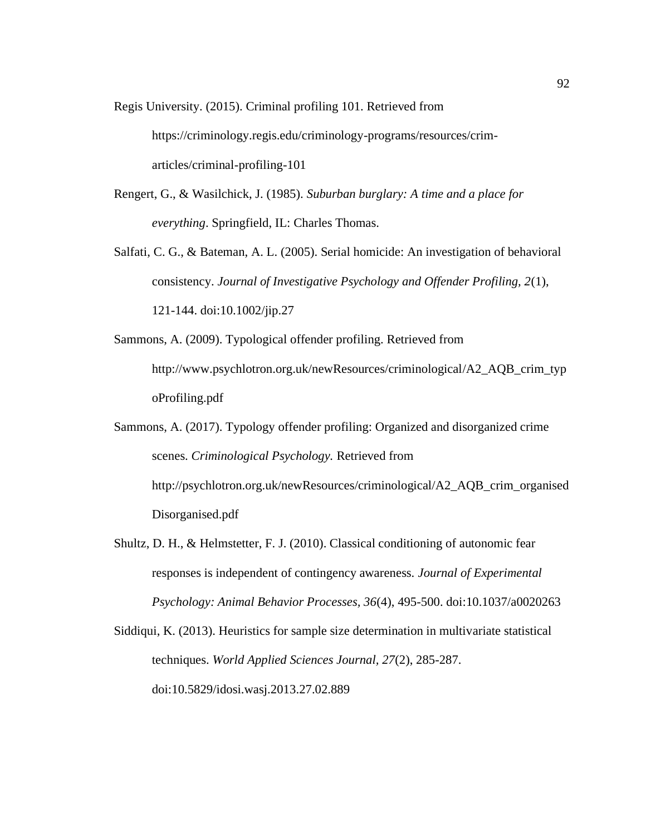Regis University. (2015). Criminal profiling 101. Retrieved from

https://criminology.regis.edu/criminology-programs/resources/crimarticles/criminal-profiling-101

- Rengert, G., & Wasilchick, J. (1985). *Suburban burglary: A time and a place for everything*. Springfield, IL: Charles Thomas.
- Salfati, C. G., & Bateman, A. L. (2005). Serial homicide: An investigation of behavioral consistency. *Journal of Investigative Psychology and Offender Profiling, 2*(1), 121-144. doi:10.1002/jip.27
- Sammons, A. (2009). Typological offender profiling. Retrieved from http://www.psychlotron.org.uk/newResources/criminological/A2\_AQB\_crim\_typ oProfiling.pdf
- Sammons, A. (2017). Typology offender profiling: Organized and disorganized crime scenes. *Criminological Psychology.* Retrieved from http://psychlotron.org.uk/newResources/criminological/A2\_AQB\_crim\_organised Disorganised.pdf
- Shultz, D. H., & Helmstetter, F. J. (2010). Classical conditioning of autonomic fear responses is independent of contingency awareness. *Journal of Experimental Psychology: Animal Behavior Processes, 36*(4), 495-500. doi:10.1037/a0020263

Siddiqui, K. (2013). Heuristics for sample size determination in multivariate statistical techniques. *World Applied Sciences Journal, 27*(2), 285-287. doi:10.5829/idosi.wasj.2013.27.02.889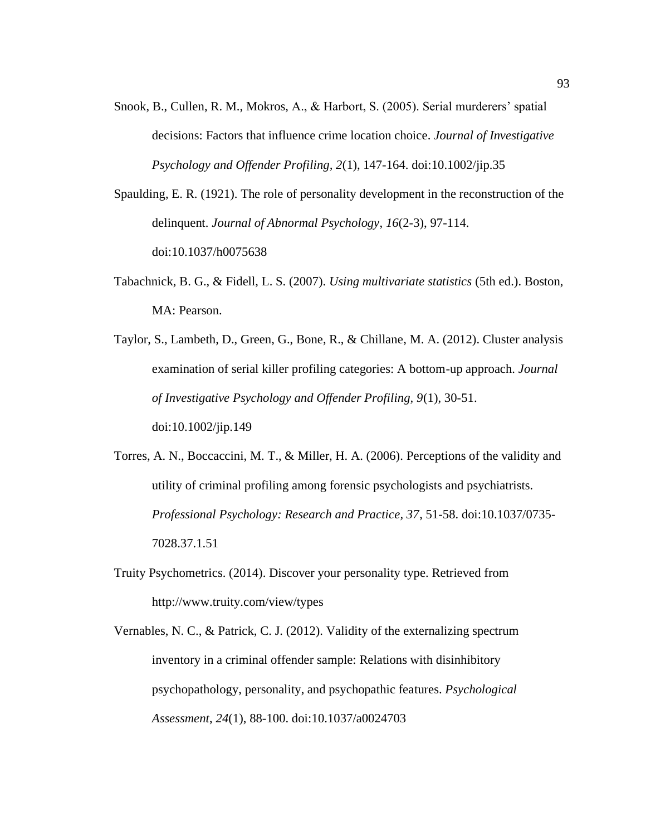Snook, B., Cullen, R. M., Mokros, A., & Harbort, S. (2005). Serial murderers' spatial decisions: Factors that influence crime location choice. *Journal of Investigative Psychology and Offender Profiling, 2*(1), 147-164. doi:10.1002/jip.35

Spaulding, E. R. (1921). The role of personality development in the reconstruction of the delinquent. *Journal of Abnormal Psychology*, *16*(2-3), 97-114. doi:10.1037/h0075638

- Tabachnick, B. G., & Fidell, L. S. (2007). *Using multivariate statistics* (5th ed.). Boston, MA: Pearson.
- Taylor, S., Lambeth, D., Green, G., Bone, R., & Chillane, M. A. (2012). Cluster analysis examination of serial killer profiling categories: A bottom-up approach. *Journal of Investigative Psychology and Offender Profiling, 9*(1), 30-51. doi:10.1002/jip.149
- Torres, A. N., Boccaccini, M. T., & Miller, H. A. (2006). Perceptions of the validity and utility of criminal profiling among forensic psychologists and psychiatrists. *Professional Psychology: Research and Practice, 37*, 51-58. doi:10.1037/0735- 7028.37.1.51
- Truity Psychometrics. (2014). Discover your personality type. Retrieved from http://www.truity.com/view/types
- Vernables, N. C., & Patrick, C. J. (2012). Validity of the externalizing spectrum inventory in a criminal offender sample: Relations with disinhibitory psychopathology, personality, and psychopathic features. *Psychological Assessment*, *24*(1), 88-100. doi:10.1037/a0024703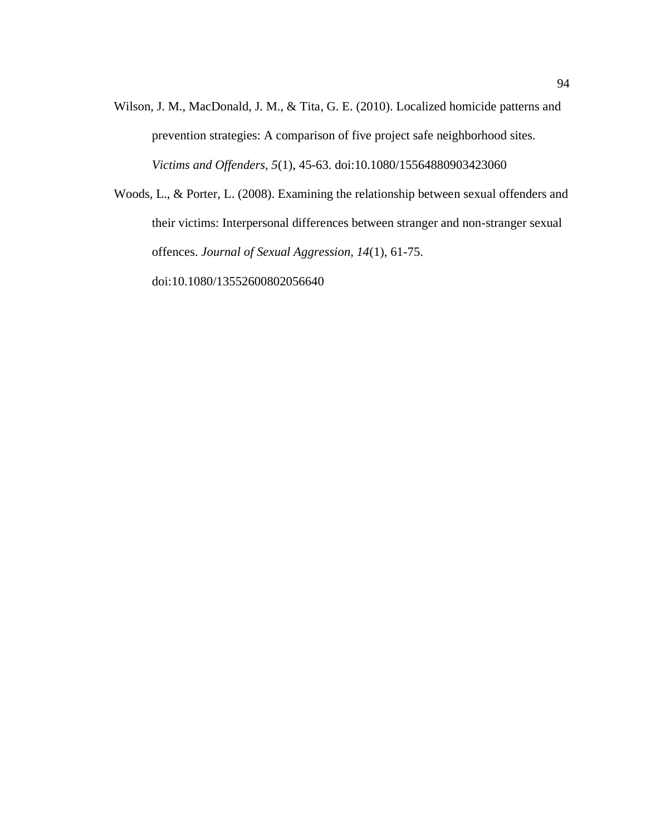Wilson, J. M., MacDonald, J. M., & Tita, G. E. (2010). Localized homicide patterns and prevention strategies: A comparison of five project safe neighborhood sites. *Victims and Offenders, 5*(1), 45-63. doi:10.1080/15564880903423060

Woods, L., & Porter, L. (2008). Examining the relationship between sexual offenders and their victims: Interpersonal differences between stranger and non-stranger sexual offences. *Journal of Sexual Aggression, 14*(1), 61-75. doi:10.1080/13552600802056640